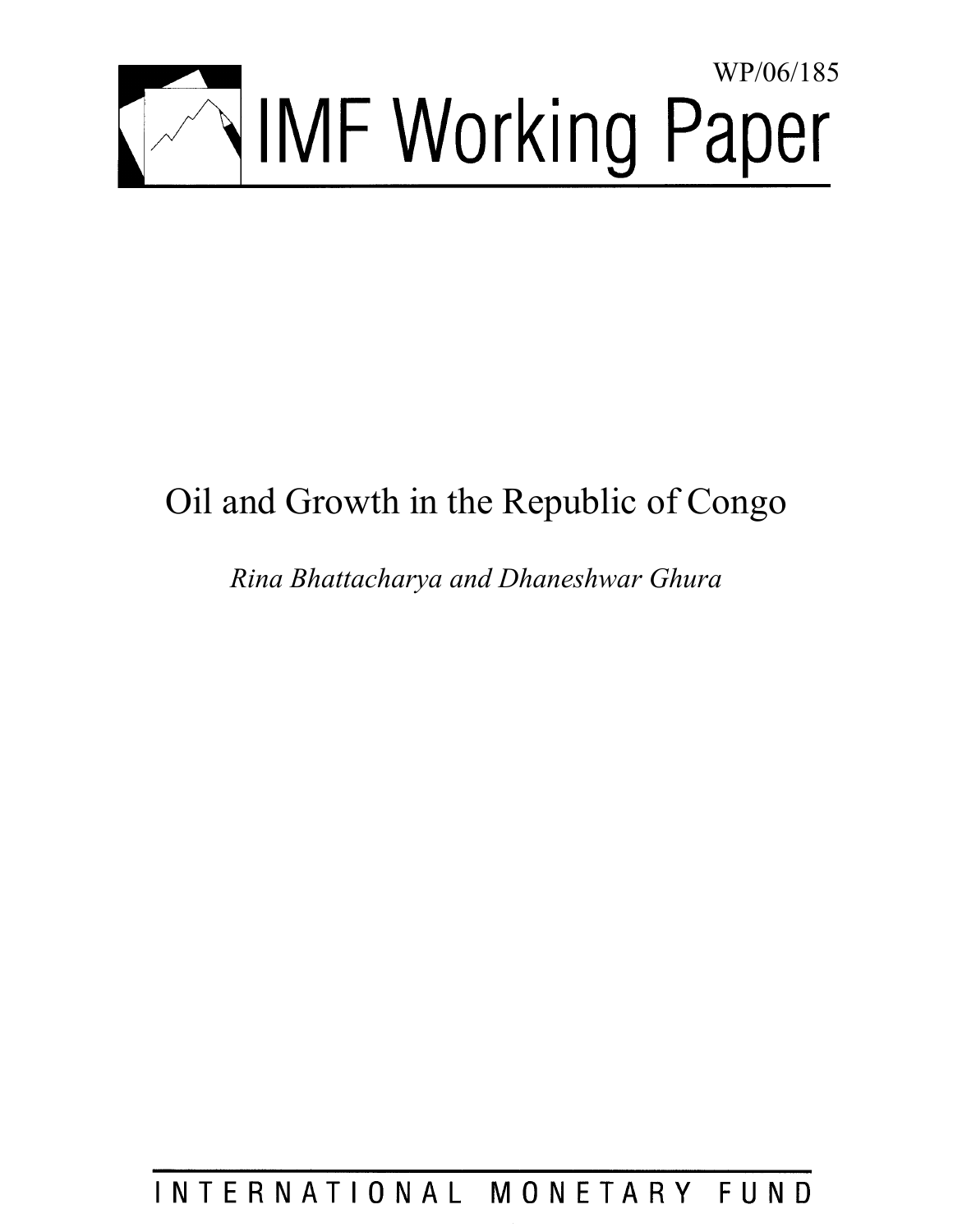

# Oil and Growth in the Republic of Congo

*Rina Bhattacharya and Dhaneshwar Ghura* 

INTERNATIONAL MONETARY FUND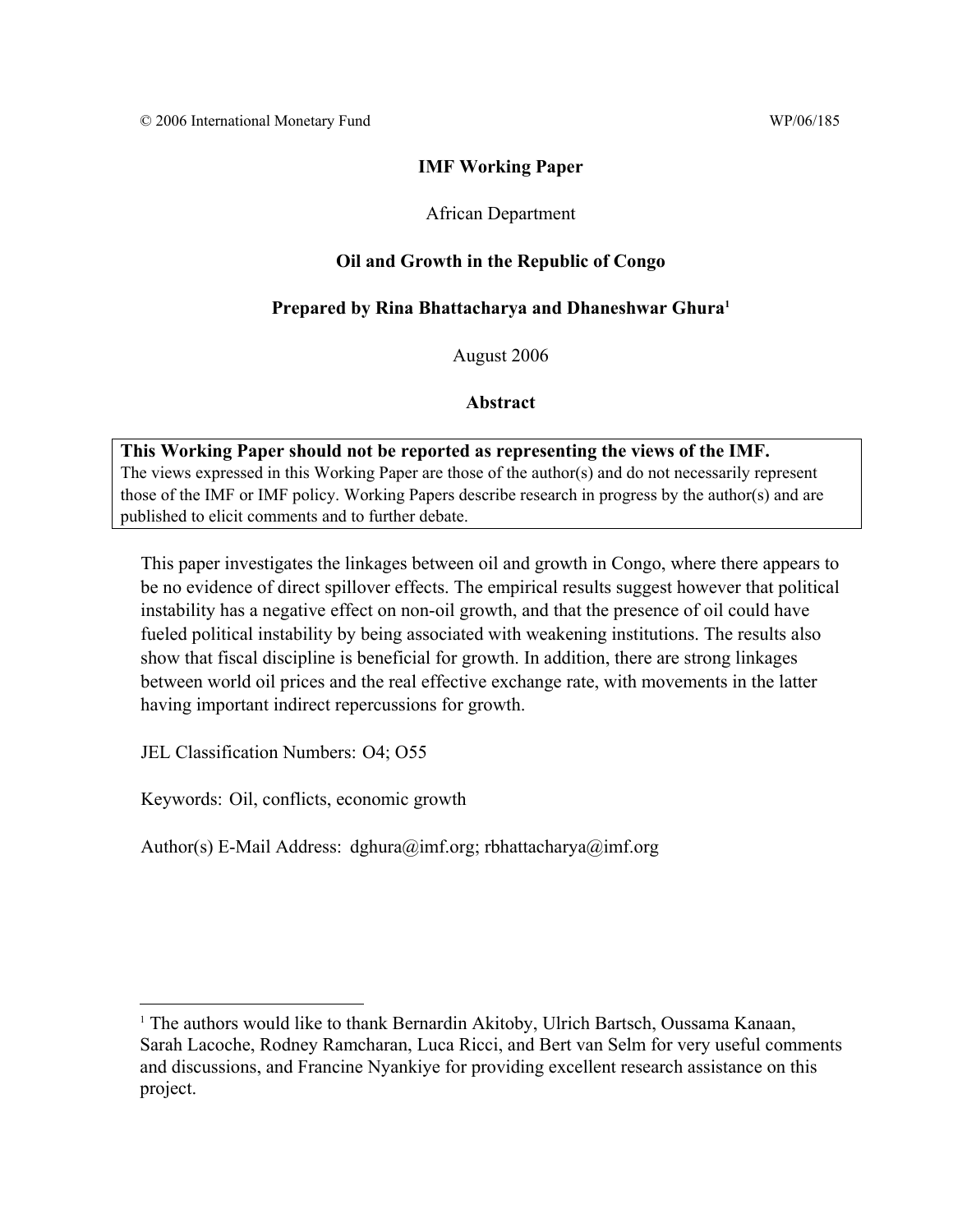## **IMF Working Paper**

## African Department

## **Oil and Growth in the Republic of Congo**

## **Prepared by Rina Bhattacharya and Dhaneshwar Ghura1**

August 2006

## **Abstract**

**This Working Paper should not be reported as representing the views of the IMF.** The views expressed in this Working Paper are those of the author(s) and do not necessarily represent those of the IMF or IMF policy. Working Papers describe research in progress by the author(s) and are published to elicit comments and to further debate.

This paper investigates the linkages between oil and growth in Congo, where there appears to be no evidence of direct spillover effects. The empirical results suggest however that political instability has a negative effect on non-oil growth, and that the presence of oil could have fueled political instability by being associated with weakening institutions. The results also show that fiscal discipline is beneficial for growth. In addition, there are strong linkages between world oil prices and the real effective exchange rate, with movements in the latter having important indirect repercussions for growth.

JEL Classification Numbers: O4; O55

 $\overline{a}$ 

Keywords: Oil, conflicts, economic growth

Author(s) E-Mail Address: dghura@imf.org; rbhattacharya@imf.org

<sup>&</sup>lt;sup>1</sup> The authors would like to thank Bernardin Akitoby, Ulrich Bartsch, Oussama Kanaan, Sarah Lacoche, Rodney Ramcharan, Luca Ricci, and Bert van Selm for very useful comments and discussions, and Francine Nyankiye for providing excellent research assistance on this project.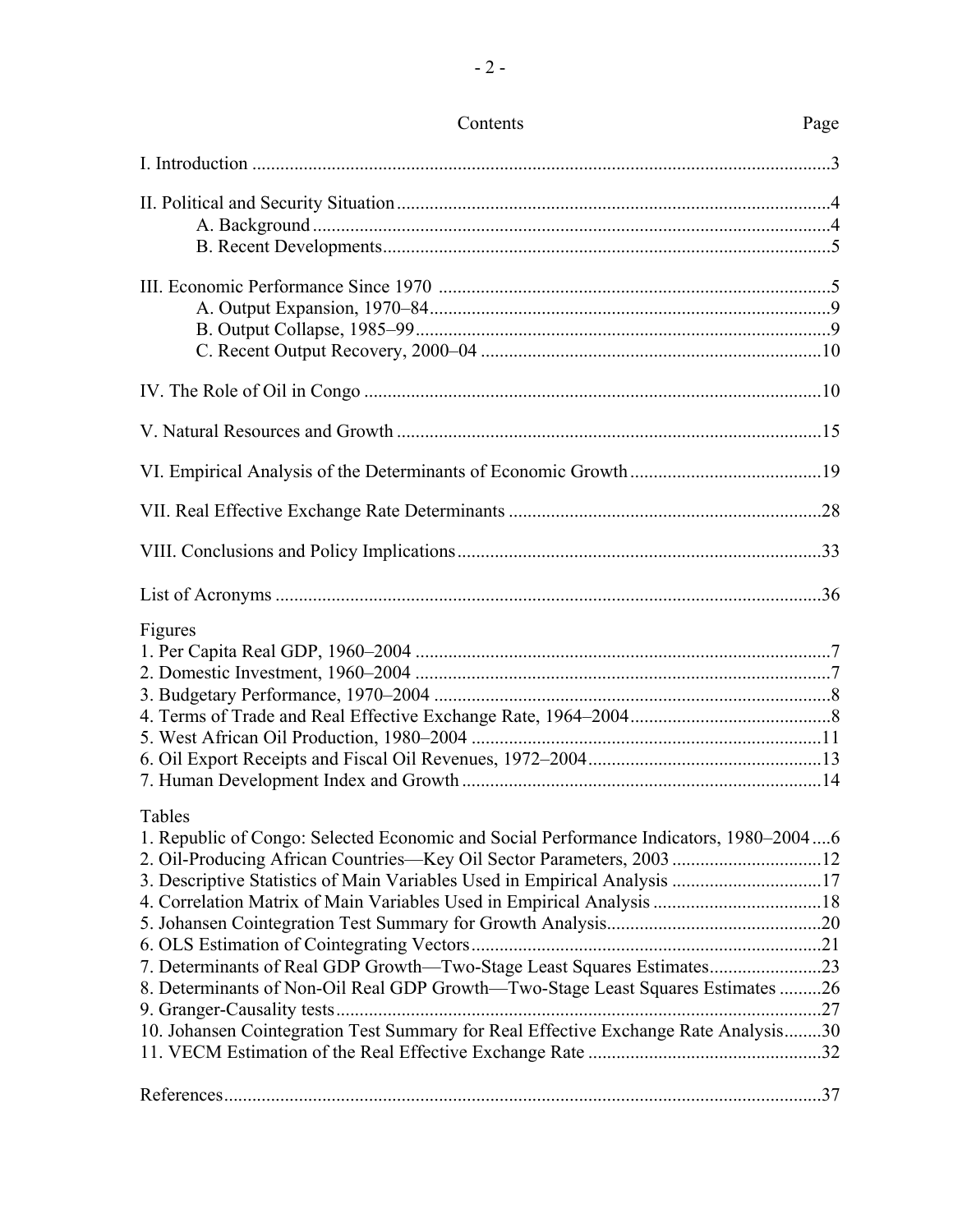| Figures                                                                                                                                                                                                                                                                                                                                                                                                                                                                                                  |  |
|----------------------------------------------------------------------------------------------------------------------------------------------------------------------------------------------------------------------------------------------------------------------------------------------------------------------------------------------------------------------------------------------------------------------------------------------------------------------------------------------------------|--|
| Tables<br>1. Republic of Congo: Selected Economic and Social Performance Indicators, 1980-20046<br>2. Oil-Producing African Countries—Key Oil Sector Parameters, 200312<br>3. Descriptive Statistics of Main Variables Used in Empirical Analysis 17<br>7. Determinants of Real GDP Growth-Two-Stage Least Squares Estimates23<br>8. Determinants of Non-Oil Real GDP Growth-Two-Stage Least Squares Estimates 26<br>10. Johansen Cointegration Test Summary for Real Effective Exchange Rate Analysis30 |  |
|                                                                                                                                                                                                                                                                                                                                                                                                                                                                                                          |  |

# Contents Page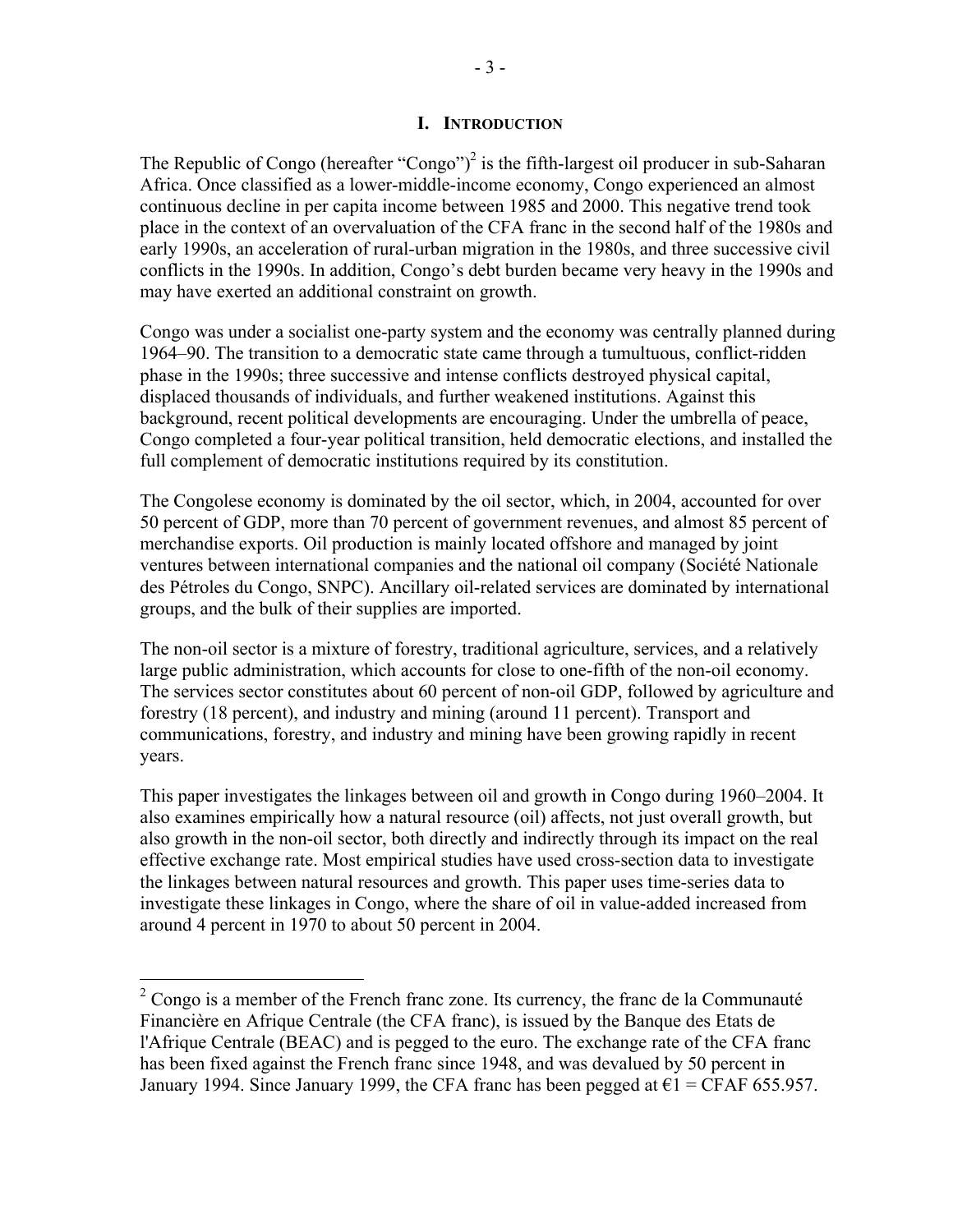## **I. INTRODUCTION**

The Republic of Congo (hereafter "Congo")<sup>2</sup> is the fifth-largest oil producer in sub-Saharan Africa. Once classified as a lower-middle-income economy, Congo experienced an almost continuous decline in per capita income between 1985 and 2000. This negative trend took place in the context of an overvaluation of the CFA franc in the second half of the 1980s and early 1990s, an acceleration of rural-urban migration in the 1980s, and three successive civil conflicts in the 1990s. In addition, Congo's debt burden became very heavy in the 1990s and may have exerted an additional constraint on growth.

Congo was under a socialist one-party system and the economy was centrally planned during 1964–90. The transition to a democratic state came through a tumultuous, conflict-ridden phase in the 1990s; three successive and intense conflicts destroyed physical capital, displaced thousands of individuals, and further weakened institutions. Against this background, recent political developments are encouraging. Under the umbrella of peace, Congo completed a four-year political transition, held democratic elections, and installed the full complement of democratic institutions required by its constitution.

The Congolese economy is dominated by the oil sector, which, in 2004, accounted for over 50 percent of GDP, more than 70 percent of government revenues, and almost 85 percent of merchandise exports. Oil production is mainly located offshore and managed by joint ventures between international companies and the national oil company (Société Nationale des Pétroles du Congo, SNPC). Ancillary oil-related services are dominated by international groups, and the bulk of their supplies are imported.

The non-oil sector is a mixture of forestry, traditional agriculture, services, and a relatively large public administration, which accounts for close to one-fifth of the non-oil economy. The services sector constitutes about 60 percent of non-oil GDP, followed by agriculture and forestry (18 percent), and industry and mining (around 11 percent). Transport and communications, forestry, and industry and mining have been growing rapidly in recent years.

This paper investigates the linkages between oil and growth in Congo during 1960–2004. It also examines empirically how a natural resource (oil) affects, not just overall growth, but also growth in the non-oil sector, both directly and indirectly through its impact on the real effective exchange rate. Most empirical studies have used cross-section data to investigate the linkages between natural resources and growth. This paper uses time-series data to investigate these linkages in Congo, where the share of oil in value-added increased from around 4 percent in 1970 to about 50 percent in 2004.

 $\overline{a}$ 

 $2^2$  Congo is a member of the French franc zone. Its currency, the franc de la Communauté Financière en Afrique Centrale (the CFA franc), is issued by the Banque des Etats de l'Afrique Centrale (BEAC) and is pegged to the euro. The exchange rate of the CFA franc has been fixed against the French franc since 1948, and was devalued by 50 percent in January 1994. Since January 1999, the CFA franc has been pegged at  $\epsilon$ 1 = CFAF 655.957.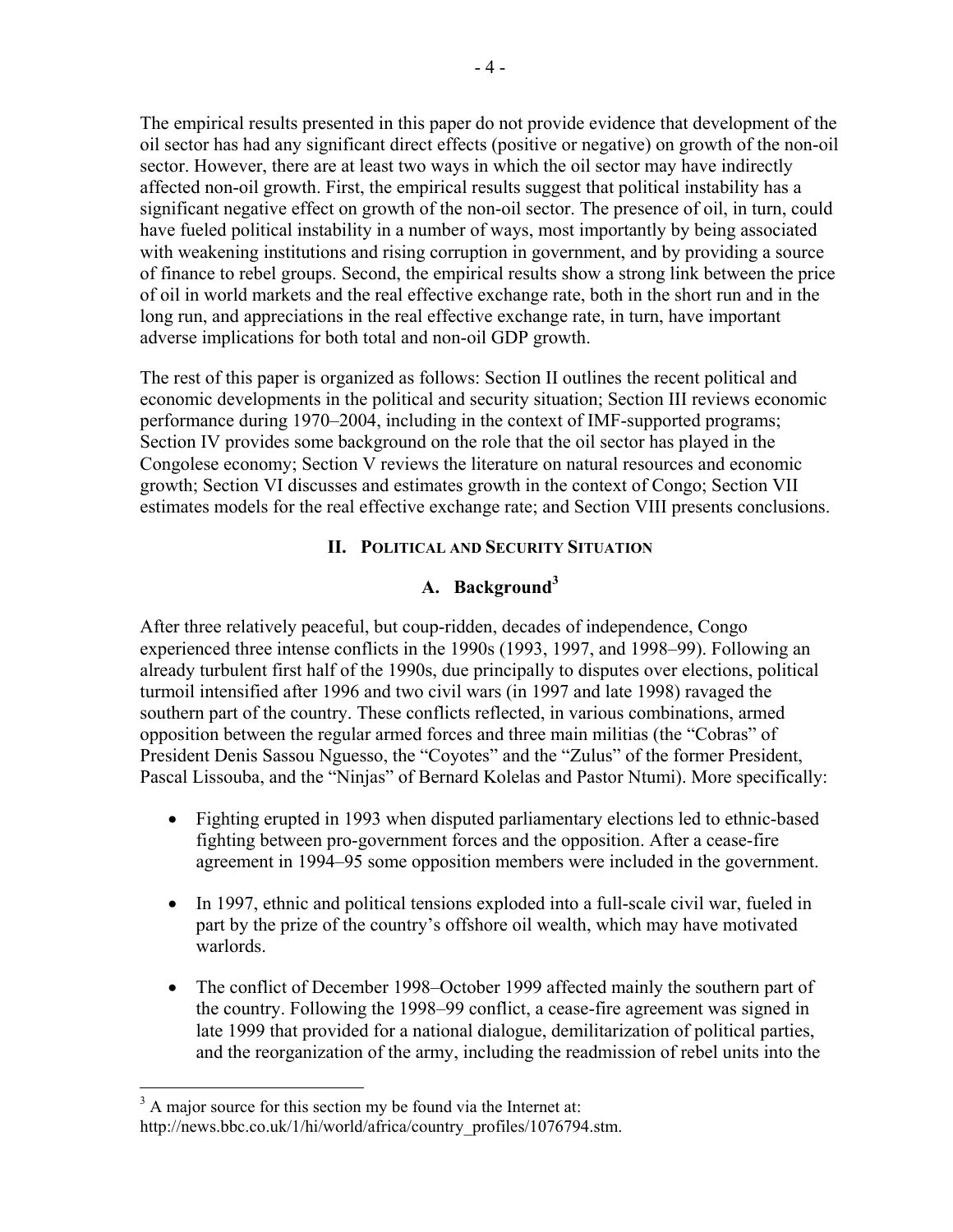The empirical results presented in this paper do not provide evidence that development of the oil sector has had any significant direct effects (positive or negative) on growth of the non-oil sector. However, there are at least two ways in which the oil sector may have indirectly affected non-oil growth. First, the empirical results suggest that political instability has a significant negative effect on growth of the non-oil sector. The presence of oil, in turn, could have fueled political instability in a number of ways, most importantly by being associated with weakening institutions and rising corruption in government, and by providing a source of finance to rebel groups. Second, the empirical results show a strong link between the price of oil in world markets and the real effective exchange rate, both in the short run and in the long run, and appreciations in the real effective exchange rate, in turn, have important adverse implications for both total and non-oil GDP growth.

The rest of this paper is organized as follows: Section II outlines the recent political and economic developments in the political and security situation; Section III reviews economic performance during 1970–2004, including in the context of IMF-supported programs; Section IV provides some background on the role that the oil sector has played in the Congolese economy; Section V reviews the literature on natural resources and economic growth; Section VI discusses and estimates growth in the context of Congo; Section VII estimates models for the real effective exchange rate; and Section VIII presents conclusions.

## **II. POLITICAL AND SECURITY SITUATION**

## **A. Background<sup>3</sup>**

After three relatively peaceful, but coup-ridden, decades of independence, Congo experienced three intense conflicts in the 1990s (1993, 1997, and 1998–99). Following an already turbulent first half of the 1990s, due principally to disputes over elections, political turmoil intensified after 1996 and two civil wars (in 1997 and late 1998) ravaged the southern part of the country. These conflicts reflected, in various combinations, armed opposition between the regular armed forces and three main militias (the "Cobras" of President Denis Sassou Nguesso, the "Coyotes" and the "Zulus" of the former President, Pascal Lissouba, and the "Ninjas" of Bernard Kolelas and Pastor Ntumi). More specifically:

- Fighting erupted in 1993 when disputed parliamentary elections led to ethnic-based fighting between pro-government forces and the opposition. After a cease-fire agreement in 1994–95 some opposition members were included in the government.
- In 1997, ethnic and political tensions exploded into a full-scale civil war, fueled in part by the prize of the country's offshore oil wealth, which may have motivated warlords.
- The conflict of December 1998–October 1999 affected mainly the southern part of the country. Following the 1998–99 conflict, a cease-fire agreement was signed in late 1999 that provided for a national dialogue, demilitarization of political parties, and the reorganization of the army, including the readmission of rebel units into the

 $\overline{a}$ 

 $3$  A major source for this section my be found via the Internet at: [http://news.bbc.co.uk/1/hi/world/africa/country\\_profiles/1076794.stm.](http://news.bbc.co.uk/1/hi/world/africa/country_profiles/1076794.stm)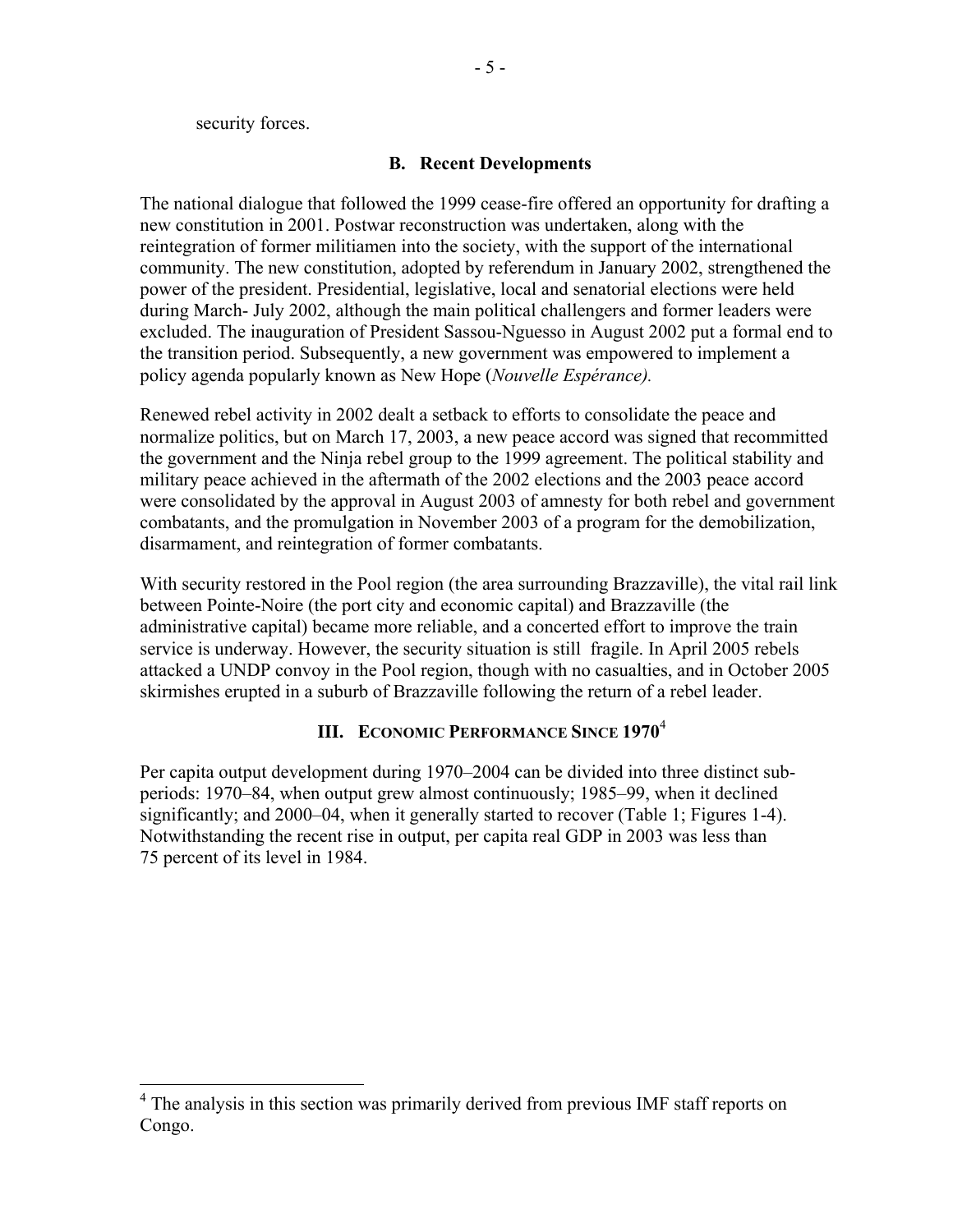security forces.

 $\overline{a}$ 

#### **B. Recent Developments**

The national dialogue that followed the 1999 cease-fire offered an opportunity for drafting a new constitution in 2001. Postwar reconstruction was undertaken, along with the reintegration of former militiamen into the society, with the support of the international community. The new constitution, adopted by referendum in January 2002, strengthened the power of the president. Presidential, legislative, local and senatorial elections were held during March- July 2002, although the main political challengers and former leaders were excluded. The inauguration of President Sassou-Nguesso in August 2002 put a formal end to the transition period. Subsequently, a new government was empowered to implement a policy agenda popularly known as New Hope (*Nouvelle Espérance).*

Renewed rebel activity in 2002 dealt a setback to efforts to consolidate the peace and normalize politics, but on March 17, 2003, a new peace accord was signed that recommitted the government and the Ninja rebel group to the 1999 agreement. The political stability and military peace achieved in the aftermath of the 2002 elections and the 2003 peace accord were consolidated by the approval in August 2003 of amnesty for both rebel and government combatants, and the promulgation in November 2003 of a program for the demobilization, disarmament, and reintegration of former combatants.

With security restored in the Pool region (the area surrounding Brazzaville), the vital rail link between Pointe-Noire (the port city and economic capital) and Brazzaville (the administrative capital) became more reliable, and a concerted effort to improve the train service is underway. However, the security situation is still fragile. In April 2005 rebels attacked a UNDP convoy in the Pool region, though with no casualties, and in October 2005 skirmishes erupted in a suburb of Brazzaville following the return of a rebel leader.

## **III. ECONOMIC PERFORMANCE SINCE 1970**<sup>4</sup>

Per capita output development during 1970–2004 can be divided into three distinct subperiods: 1970–84, when output grew almost continuously; 1985–99, when it declined significantly; and 2000–04, when it generally started to recover (Table 1; Figures 1-4). Notwithstanding the recent rise in output, per capita real GDP in 2003 was less than 75 percent of its level in 1984.

<sup>&</sup>lt;sup>4</sup> The analysis in this section was primarily derived from previous IMF staff reports on Congo.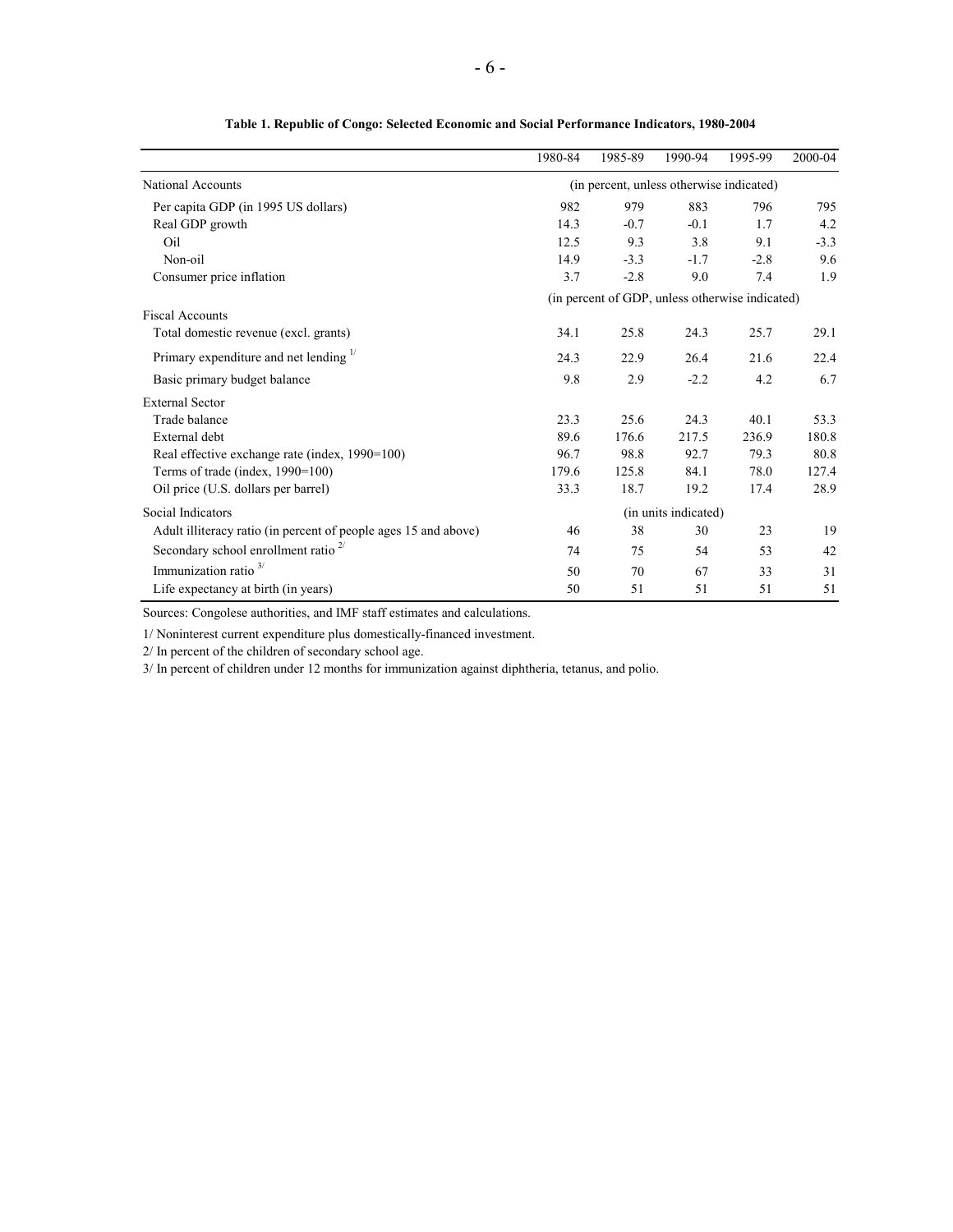|                                                                 | 1980-84 | 1985-89                                  | 1990-94              | 1995-99                                         | 2000-04 |
|-----------------------------------------------------------------|---------|------------------------------------------|----------------------|-------------------------------------------------|---------|
| <b>National Accounts</b>                                        |         | (in percent, unless otherwise indicated) |                      |                                                 |         |
| Per capita GDP (in 1995 US dollars)                             | 982     | 979                                      | 883                  | 796                                             | 795     |
| Real GDP growth                                                 | 14.3    | $-0.7$                                   | $-0.1$               | 1.7                                             | 4.2     |
| Oil                                                             | 12.5    | 9.3                                      | 3.8                  | 9.1                                             | $-3.3$  |
| Non-oil                                                         | 14.9    | $-3.3$                                   | $-1.7$               | $-2.8$                                          | 9.6     |
| Consumer price inflation                                        | 3.7     | $-2.8$                                   | 9.0                  | 7.4                                             | 1.9     |
|                                                                 |         |                                          |                      | (in percent of GDP, unless otherwise indicated) |         |
| <b>Fiscal Accounts</b>                                          |         |                                          |                      |                                                 |         |
| Total domestic revenue (excl. grants)                           | 34.1    | 25.8                                     | 24.3                 | 25.7                                            | 29.1    |
| Primary expenditure and net lending $\frac{1}{1}$               | 24.3    | 22.9                                     | 26.4                 | 21.6                                            | 22.4    |
| Basic primary budget balance                                    | 9.8     | 2.9                                      | $-2.2$               | 4.2                                             | 6.7     |
| <b>External Sector</b>                                          |         |                                          |                      |                                                 |         |
| Trade balance                                                   | 23.3    | 25.6                                     | 24.3                 | 40.1                                            | 53.3    |
| External debt                                                   | 89.6    | 176.6                                    | 217.5                | 236.9                                           | 180.8   |
| Real effective exchange rate (index, 1990=100)                  | 96.7    | 98.8                                     | 92.7                 | 79.3                                            | 80.8    |
| Terms of trade (index, 1990=100)                                | 179.6   | 125.8                                    | 84.1                 | 78.0                                            | 127.4   |
| Oil price (U.S. dollars per barrel)                             | 33.3    | 18.7                                     | 19.2                 | 17.4                                            | 28.9    |
| Social Indicators                                               |         |                                          | (in units indicated) |                                                 |         |
| Adult illiteracy ratio (in percent of people ages 15 and above) | 46      | 38                                       | 30                   | 23                                              | 19      |
| Secondary school enrollment ratio $2^{7}$                       | 74      | 75                                       | 54                   | 53                                              | 42      |
| Immunization ratio <sup>3/</sup>                                | 50      | 70                                       | 67                   | 33                                              | 31      |
| Life expectancy at birth (in years)                             | 50      | 51                                       | 51                   | 51                                              | 51      |

**Table 1. Republic of Congo: Selected Economic and Social Performance Indicators, 1980-2004**

Sources: Congolese authorities, and IMF staff estimates and calculations.

1/ Noninterest current expenditure plus domestically-financed investment.

2/ In percent of the children of secondary school age.

3/ In percent of children under 12 months for immunization against diphtheria, tetanus, and polio.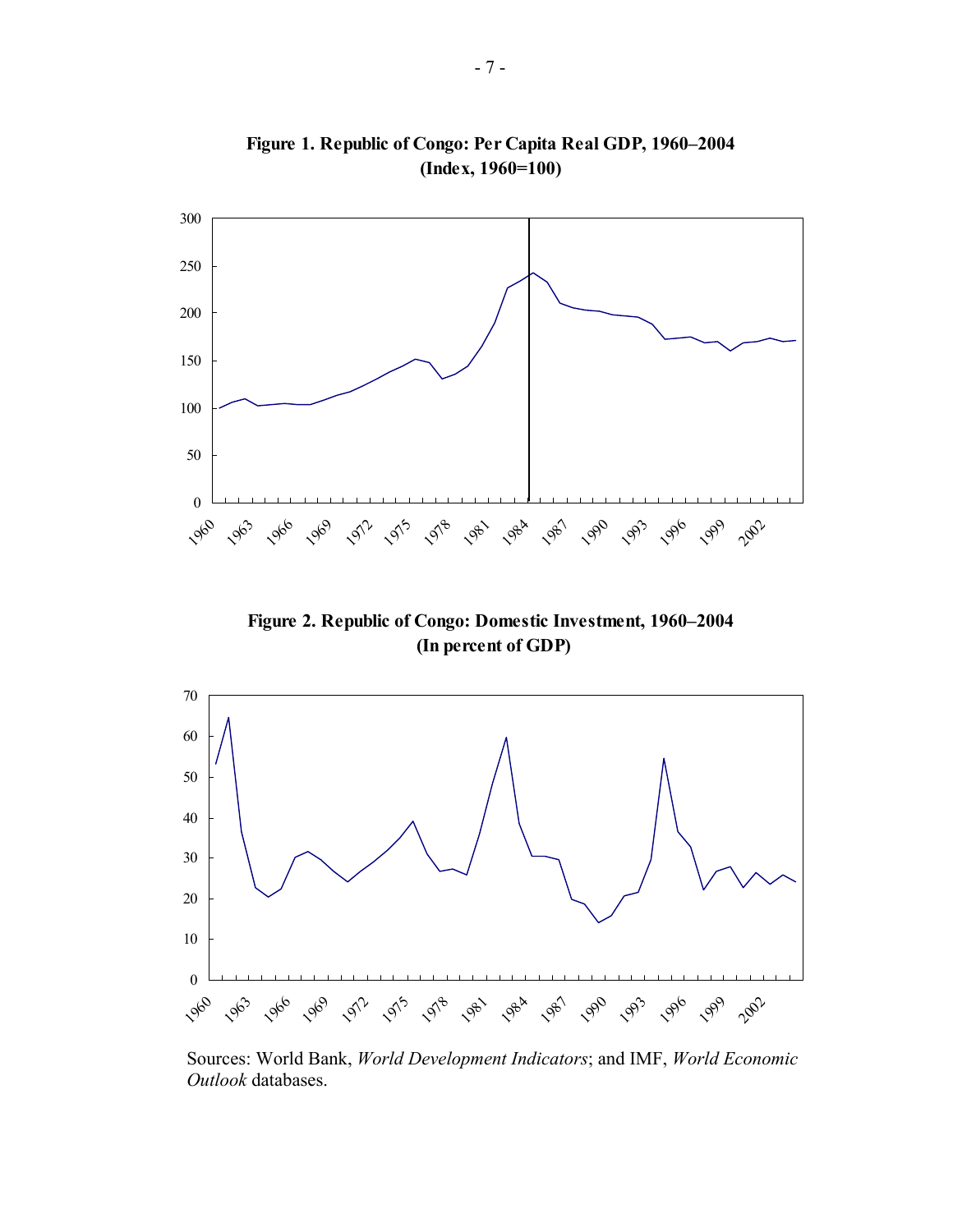

**Figure 1. Republic of Congo: Per Capita Real GDP, 1960–2004 (Index, 1960=100)**

**Figure 2. Republic of Congo: Domestic Investment, 1960–2004 (In percent of GDP)**



Sources: World Bank, *World Development Indicators*; and IMF, *World Economic Outlook* databases.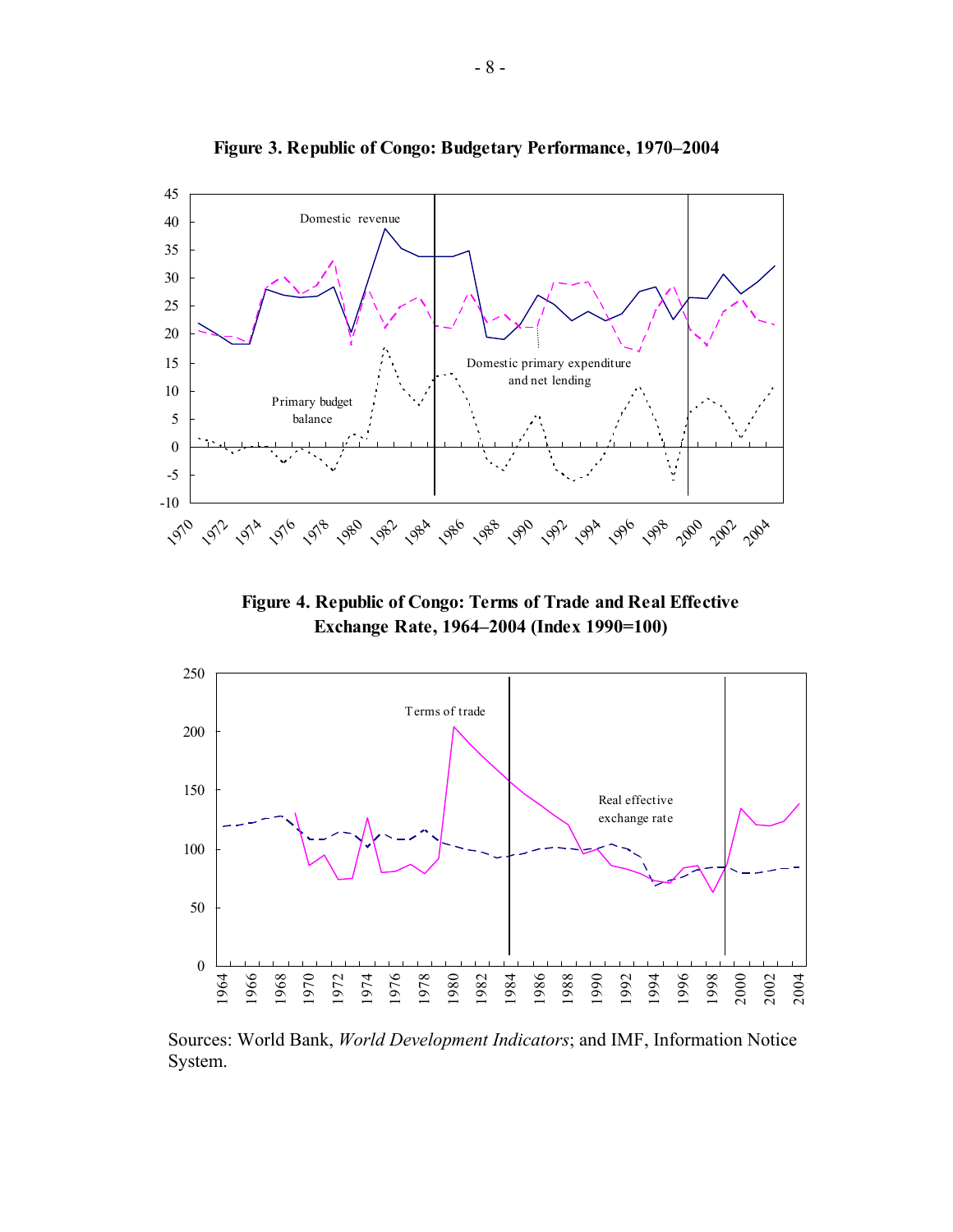

**Figure 3. Republic of Congo: Budgetary Performance, 1970–2004**

**Figure 4. Republic of Congo: Terms of Trade and Real Effective Exchange Rate, 1964–2004 (Index 1990=100)**



Sources: World Bank, *World Development Indicators*; and IMF, Information Notice System.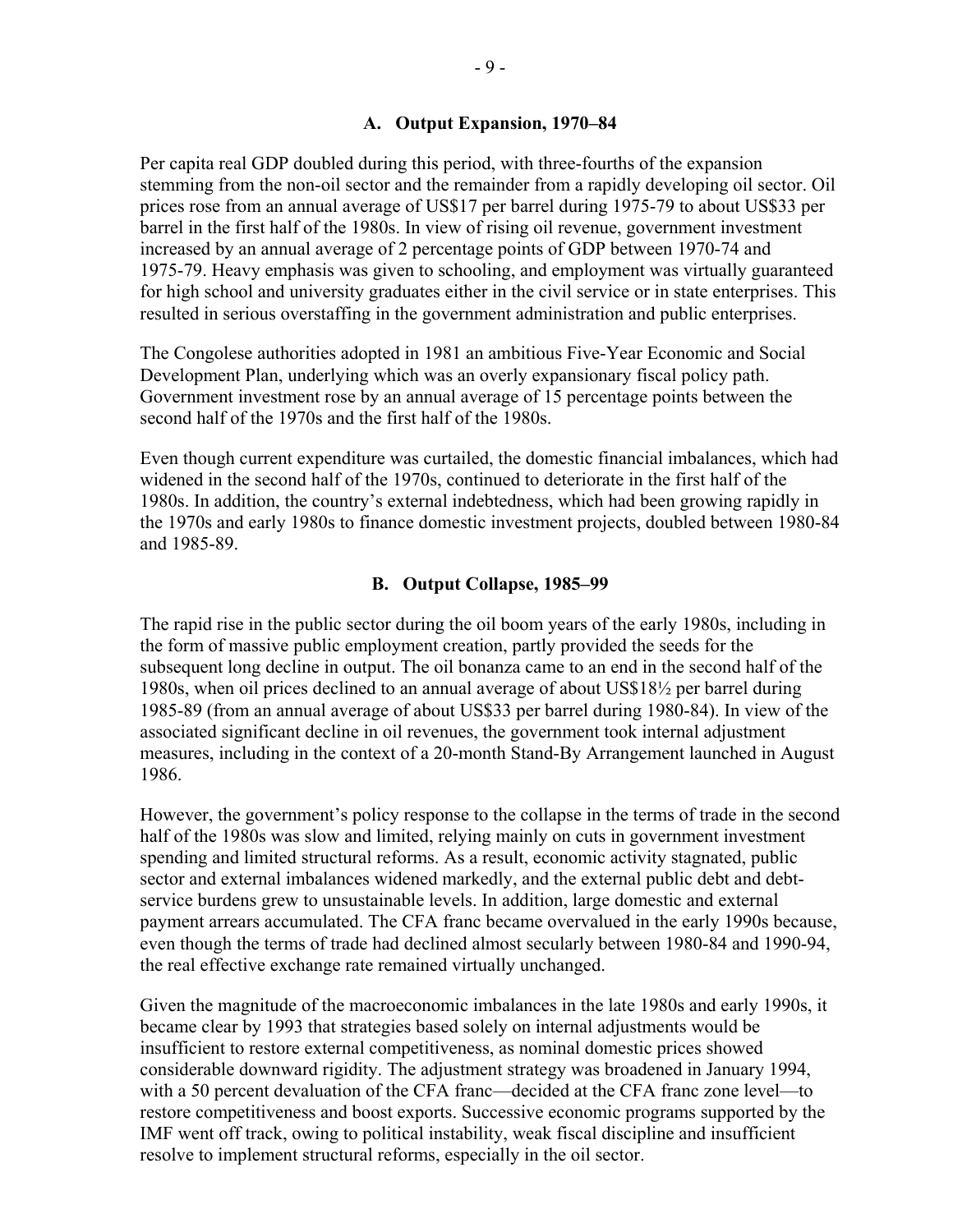Per capita real GDP doubled during this period, with three-fourths of the expansion stemming from the non-oil sector and the remainder from a rapidly developing oil sector. Oil prices rose from an annual average of US\$17 per barrel during 1975-79 to about US\$33 per barrel in the first half of the 1980s. In view of rising oil revenue, government investment increased by an annual average of 2 percentage points of GDP between 1970-74 and 1975-79. Heavy emphasis was given to schooling, and employment was virtually guaranteed for high school and university graduates either in the civil service or in state enterprises. This resulted in serious overstaffing in the government administration and public enterprises.

The Congolese authorities adopted in 1981 an ambitious Five-Year Economic and Social Development Plan, underlying which was an overly expansionary fiscal policy path. Government investment rose by an annual average of 15 percentage points between the second half of the 1970s and the first half of the 1980s.

Even though current expenditure was curtailed, the domestic financial imbalances, which had widened in the second half of the 1970s, continued to deteriorate in the first half of the 1980s. In addition, the country's external indebtedness, which had been growing rapidly in the 1970s and early 1980s to finance domestic investment projects, doubled between 1980-84 and 1985-89.

## **B. Output Collapse, 1985–99**

The rapid rise in the public sector during the oil boom years of the early 1980s, including in the form of massive public employment creation, partly provided the seeds for the subsequent long decline in output. The oil bonanza came to an end in the second half of the 1980s, when oil prices declined to an annual average of about US\$18½ per barrel during 1985-89 (from an annual average of about US\$33 per barrel during 1980-84). In view of the associated significant decline in oil revenues, the government took internal adjustment measures, including in the context of a 20-month Stand-By Arrangement launched in August 1986.

However, the government's policy response to the collapse in the terms of trade in the second half of the 1980s was slow and limited, relying mainly on cuts in government investment spending and limited structural reforms. As a result, economic activity stagnated, public sector and external imbalances widened markedly, and the external public debt and debtservice burdens grew to unsustainable levels. In addition, large domestic and external payment arrears accumulated. The CFA franc became overvalued in the early 1990s because, even though the terms of trade had declined almost secularly between 1980-84 and 1990-94, the real effective exchange rate remained virtually unchanged.

Given the magnitude of the macroeconomic imbalances in the late 1980s and early 1990s, it became clear by 1993 that strategies based solely on internal adjustments would be insufficient to restore external competitiveness, as nominal domestic prices showed considerable downward rigidity. The adjustment strategy was broadened in January 1994, with a 50 percent devaluation of the CFA franc—decided at the CFA franc zone level—to restore competitiveness and boost exports. Successive economic programs supported by the IMF went off track, owing to political instability, weak fiscal discipline and insufficient resolve to implement structural reforms, especially in the oil sector.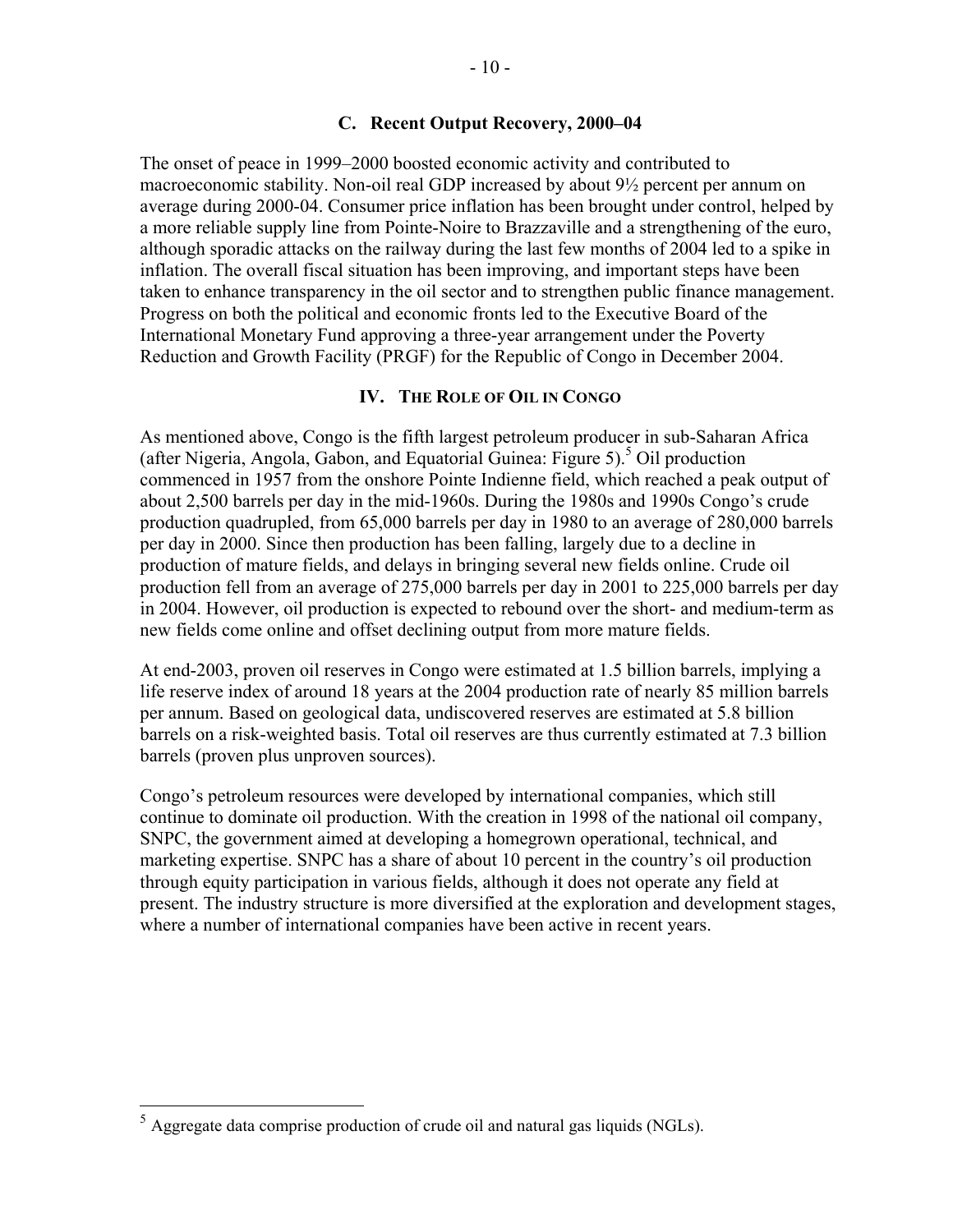#### **C. Recent Output Recovery, 2000–04**

The onset of peace in 1999–2000 boosted economic activity and contributed to macroeconomic stability. Non-oil real GDP increased by about 9½ percent per annum on average during 2000-04. Consumer price inflation has been brought under control, helped by a more reliable supply line from Pointe-Noire to Brazzaville and a strengthening of the euro, although sporadic attacks on the railway during the last few months of 2004 led to a spike in inflation. The overall fiscal situation has been improving, and important steps have been taken to enhance transparency in the oil sector and to strengthen public finance management. Progress on both the political and economic fronts led to the Executive Board of the International Monetary Fund approving a three-year arrangement under the Poverty Reduction and Growth Facility (PRGF) for the Republic of Congo in December 2004.

#### **IV. THE ROLE OF OIL IN CONGO**

As mentioned above, Congo is the fifth largest petroleum producer in sub-Saharan Africa (after Nigeria, Angola, Gabon, and Equatorial Guinea: Figure 5).<sup>5</sup> Oil production commenced in 1957 from the onshore Pointe Indienne field, which reached a peak output of about 2,500 barrels per day in the mid-1960s. During the 1980s and 1990s Congo's crude production quadrupled, from 65,000 barrels per day in 1980 to an average of 280,000 barrels per day in 2000. Since then production has been falling, largely due to a decline in production of mature fields, and delays in bringing several new fields online. Crude oil production fell from an average of 275,000 barrels per day in 2001 to 225,000 barrels per day in 2004. However, oil production is expected to rebound over the short- and medium-term as new fields come online and offset declining output from more mature fields.

At end-2003, proven oil reserves in Congo were estimated at 1.5 billion barrels, implying a life reserve index of around 18 years at the 2004 production rate of nearly 85 million barrels per annum. Based on geological data, undiscovered reserves are estimated at 5.8 billion barrels on a risk-weighted basis. Total oil reserves are thus currently estimated at 7.3 billion barrels (proven plus unproven sources).

Congo's petroleum resources were developed by international companies, which still continue to dominate oil production. With the creation in 1998 of the national oil company, SNPC, the government aimed at developing a homegrown operational, technical, and marketing expertise. SNPC has a share of about 10 percent in the country's oil production through equity participation in various fields, although it does not operate any field at present. The industry structure is more diversified at the exploration and development stages, where a number of international companies have been active in recent years.

 $\overline{a}$ 

 $<sup>5</sup>$  Aggregate data comprise production of crude oil and natural gas liquids (NGLs).</sup>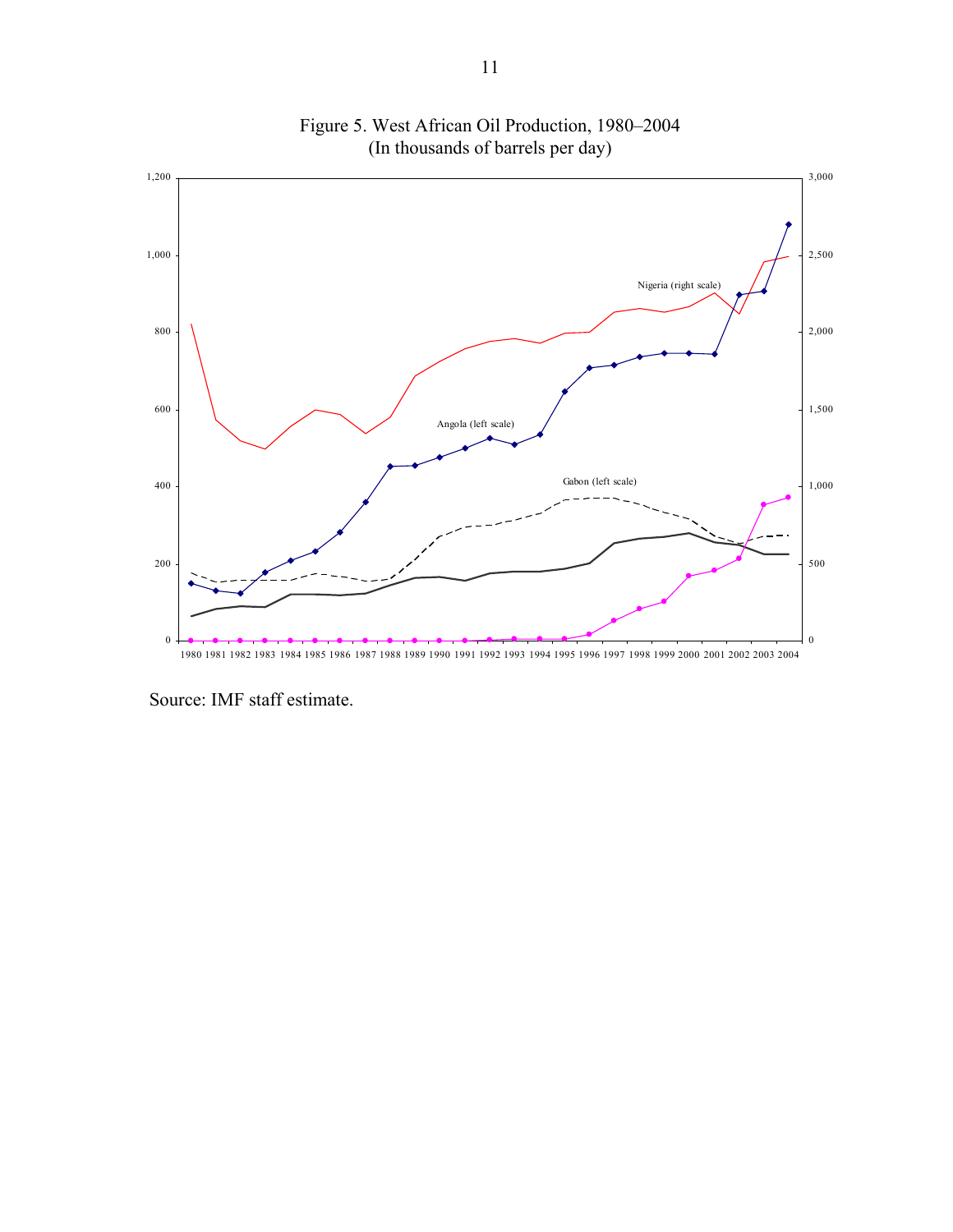

Figure 5. West African Oil Production, 1980–2004 (In thousands of barrels per day)

Source: IMF staff estimate.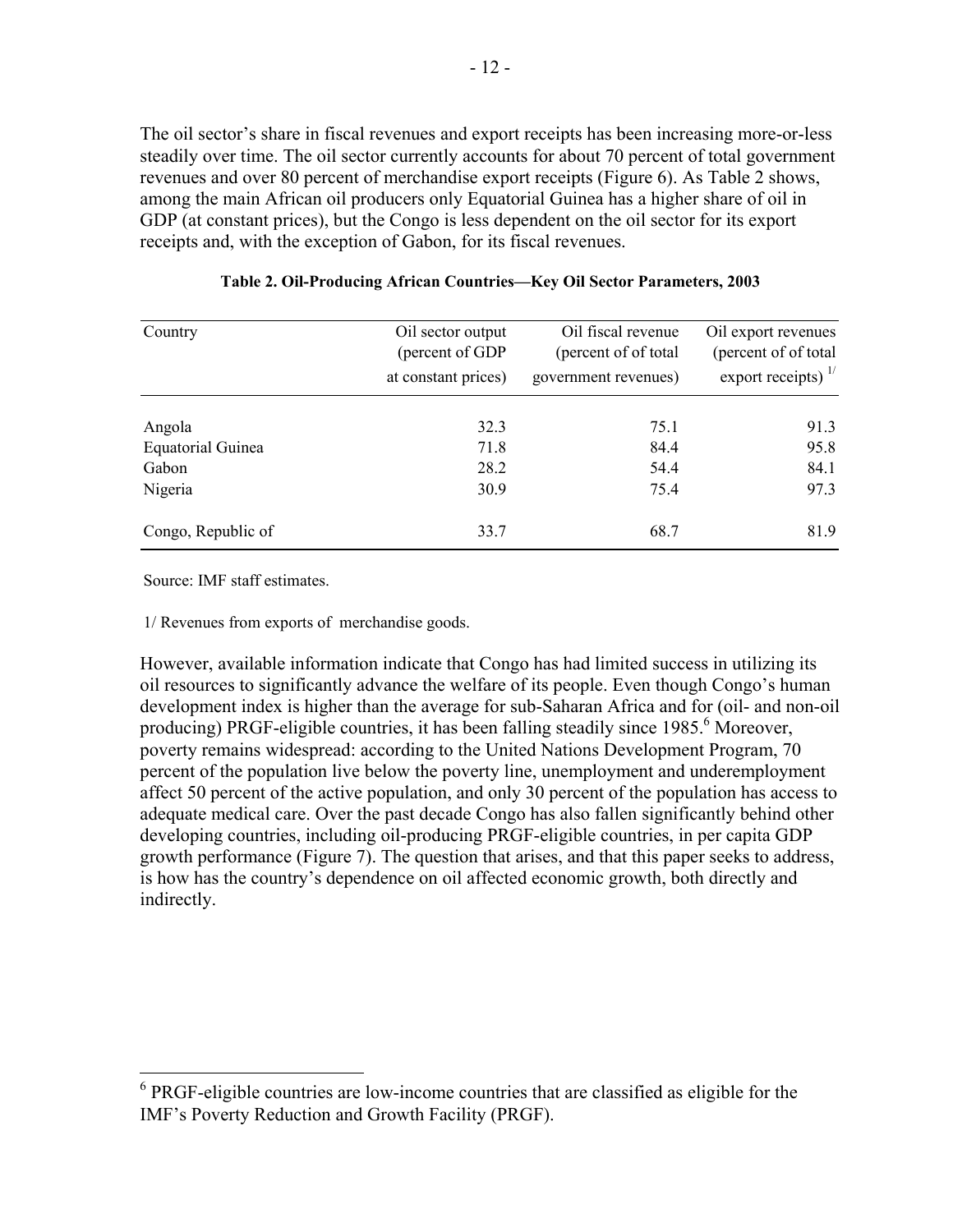The oil sector's share in fiscal revenues and export receipts has been increasing more-or-less steadily over time. The oil sector currently accounts for about 70 percent of total government revenues and over 80 percent of merchandise export receipts (Figure 6). As Table 2 shows, among the main African oil producers only Equatorial Guinea has a higher share of oil in GDP (at constant prices), but the Congo is less dependent on the oil sector for its export receipts and, with the exception of Gabon, for its fiscal revenues.

| Country                  | Oil sector output   | Oil fiscal revenue    | Oil export revenues            |
|--------------------------|---------------------|-----------------------|--------------------------------|
|                          | (percent of GDP     | (percent of of total) | (percent of of total)          |
|                          | at constant prices) | government revenues)  | export receipts) $\frac{1}{1}$ |
| Angola                   | 32.3                | 75.1                  | 91.3                           |
| <b>Equatorial Guinea</b> | 71.8                | 84.4                  | 95.8                           |
| Gabon                    | 28.2                | 54.4                  | 84.1                           |
| Nigeria                  | 30.9                | 75.4                  | 97.3                           |
| Congo, Republic of       | 33.7                | 68.7                  | 81.9                           |

| Table 2. Oil-Producing African Countries-Key Oil Sector Parameters, 2003 |  |  |  |
|--------------------------------------------------------------------------|--|--|--|
|                                                                          |  |  |  |

Source: IMF staff estimates.

1/ Revenues from exports of merchandise goods.

However, available information indicate that Congo has had limited success in utilizing its oil resources to significantly advance the welfare of its people. Even though Congo's human development index is higher than the average for sub-Saharan Africa and for (oil- and non-oil producing) PRGF-eligible countries, it has been falling steadily since 1985.<sup>6</sup> Moreover, poverty remains widespread: according to the United Nations Development Program, 70 percent of the population live below the poverty line, unemployment and underemployment affect 50 percent of the active population, and only 30 percent of the population has access to adequate medical care. Over the past decade Congo has also fallen significantly behind other developing countries, including oil-producing PRGF-eligible countries, in per capita GDP growth performance (Figure 7). The question that arises, and that this paper seeks to address, is how has the country's dependence on oil affected economic growth, both directly and indirectly.

 6 PRGF-eligible countries are low-income countries that are classified as eligible for the IMF's Poverty Reduction and Growth Facility (PRGF).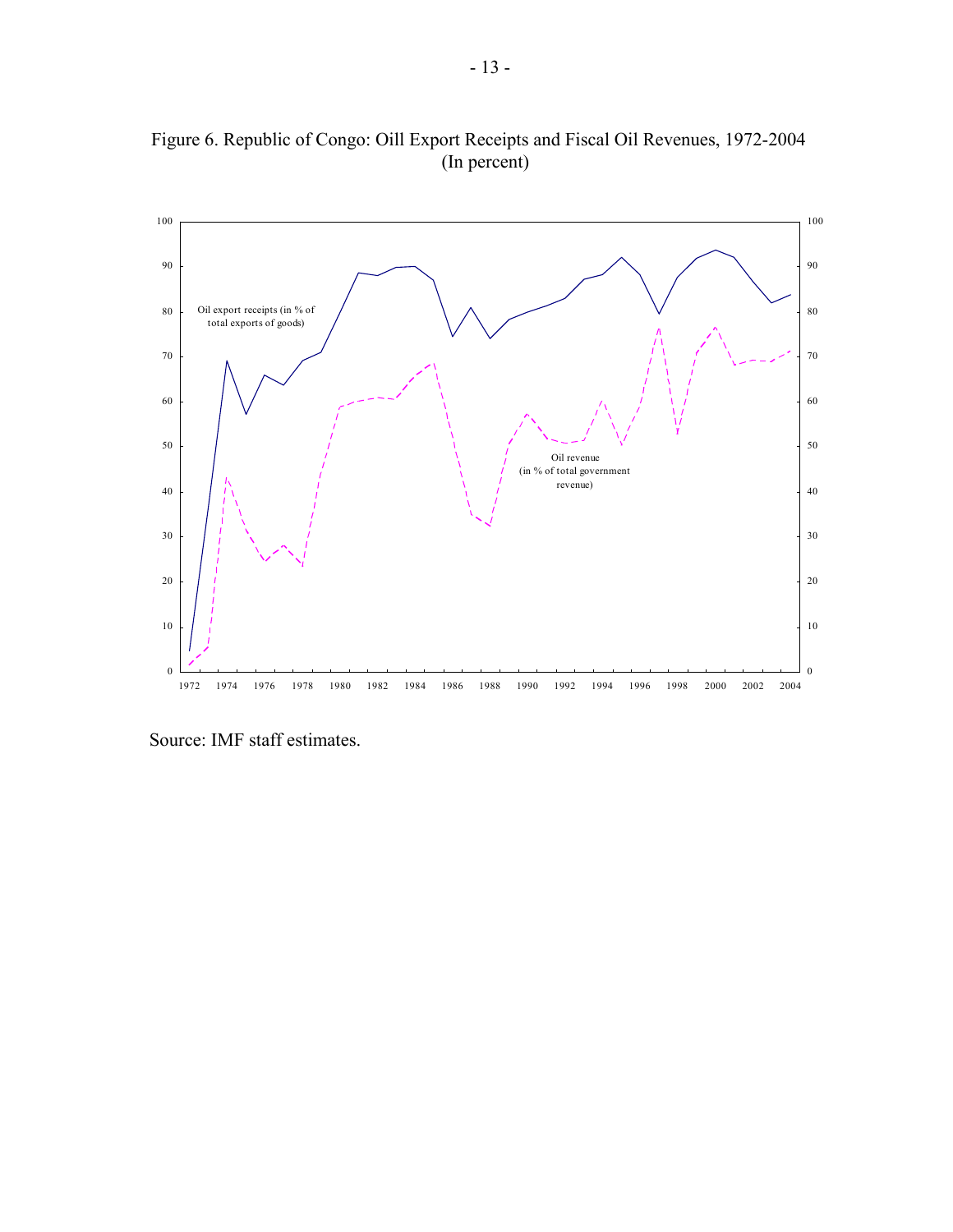

Figure 6. Republic of Congo: Oill Export Receipts and Fiscal Oil Revenues, 1972-2004 (In percent)

Source: IMF staff estimates.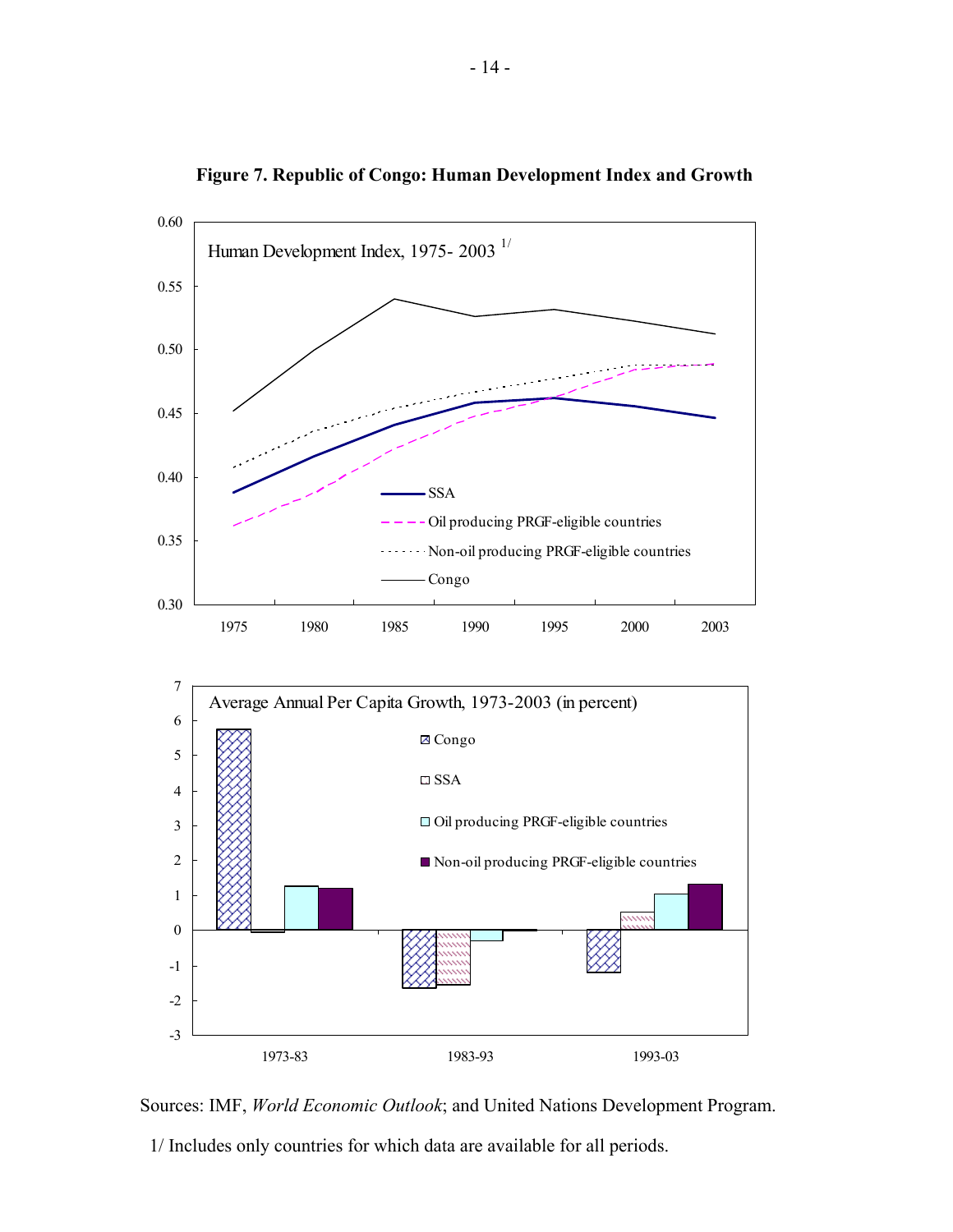

**Figure 7. Republic of Congo: Human Development Index and Growth** 

Sources: IMF, *World Economic Outlook*; and United Nations Development Program.

1/ Includes only countries for which data are available for all periods.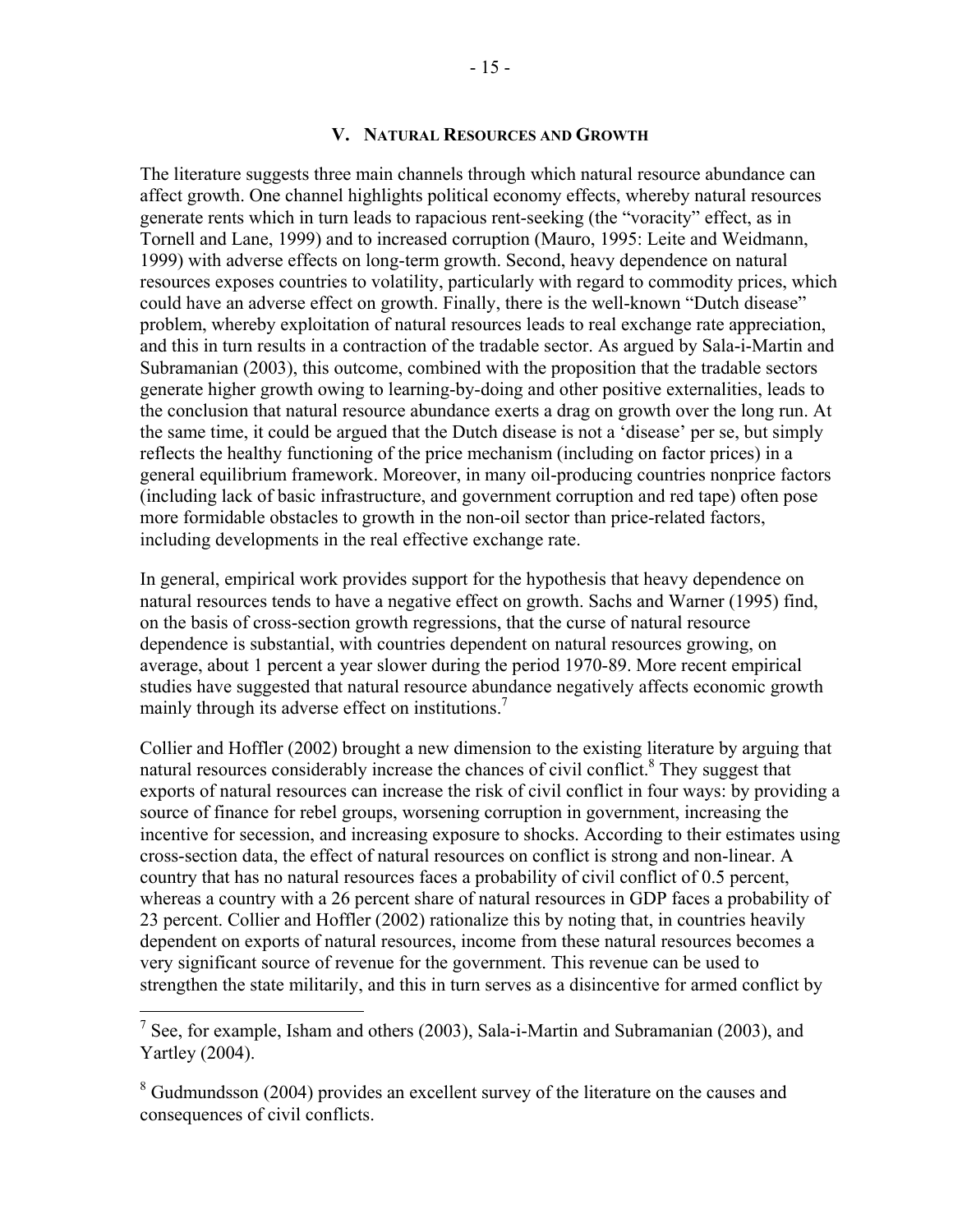#### **V. NATURAL RESOURCES AND GROWTH**

The literature suggests three main channels through which natural resource abundance can affect growth. One channel highlights political economy effects, whereby natural resources generate rents which in turn leads to rapacious rent-seeking (the "voracity" effect, as in Tornell and Lane, 1999) and to increased corruption (Mauro, 1995: Leite and Weidmann, 1999) with adverse effects on long-term growth. Second, heavy dependence on natural resources exposes countries to volatility, particularly with regard to commodity prices, which could have an adverse effect on growth. Finally, there is the well-known "Dutch disease" problem, whereby exploitation of natural resources leads to real exchange rate appreciation, and this in turn results in a contraction of the tradable sector. As argued by Sala-i-Martin and Subramanian (2003), this outcome, combined with the proposition that the tradable sectors generate higher growth owing to learning-by-doing and other positive externalities, leads to the conclusion that natural resource abundance exerts a drag on growth over the long run. At the same time, it could be argued that the Dutch disease is not a 'disease' per se, but simply reflects the healthy functioning of the price mechanism (including on factor prices) in a general equilibrium framework. Moreover, in many oil-producing countries nonprice factors (including lack of basic infrastructure, and government corruption and red tape) often pose more formidable obstacles to growth in the non-oil sector than price-related factors, including developments in the real effective exchange rate.

In general, empirical work provides support for the hypothesis that heavy dependence on natural resources tends to have a negative effect on growth. Sachs and Warner (1995) find, on the basis of cross-section growth regressions, that the curse of natural resource dependence is substantial, with countries dependent on natural resources growing, on average, about 1 percent a year slower during the period 1970-89. More recent empirical studies have suggested that natural resource abundance negatively affects economic growth mainly through its adverse effect on institutions.<sup>7</sup>

Collier and Hoffler (2002) brought a new dimension to the existing literature by arguing that natural resources considerably increase the chances of civil conflict.<sup>8</sup> They suggest that exports of natural resources can increase the risk of civil conflict in four ways: by providing a source of finance for rebel groups, worsening corruption in government, increasing the incentive for secession, and increasing exposure to shocks. According to their estimates using cross-section data, the effect of natural resources on conflict is strong and non-linear. A country that has no natural resources faces a probability of civil conflict of 0.5 percent, whereas a country with a 26 percent share of natural resources in GDP faces a probability of 23 percent. Collier and Hoffler (2002) rationalize this by noting that, in countries heavily dependent on exports of natural resources, income from these natural resources becomes a very significant source of revenue for the government. This revenue can be used to strengthen the state militarily, and this in turn serves as a disincentive for armed conflict by

<sup>&</sup>lt;sup>7</sup> See, for example, Isham and others (2003), Sala-i-Martin and Subramanian (2003), and Yartley (2004).

<sup>&</sup>lt;sup>8</sup> Gudmundsson (2004) provides an excellent survey of the literature on the causes and consequences of civil conflicts.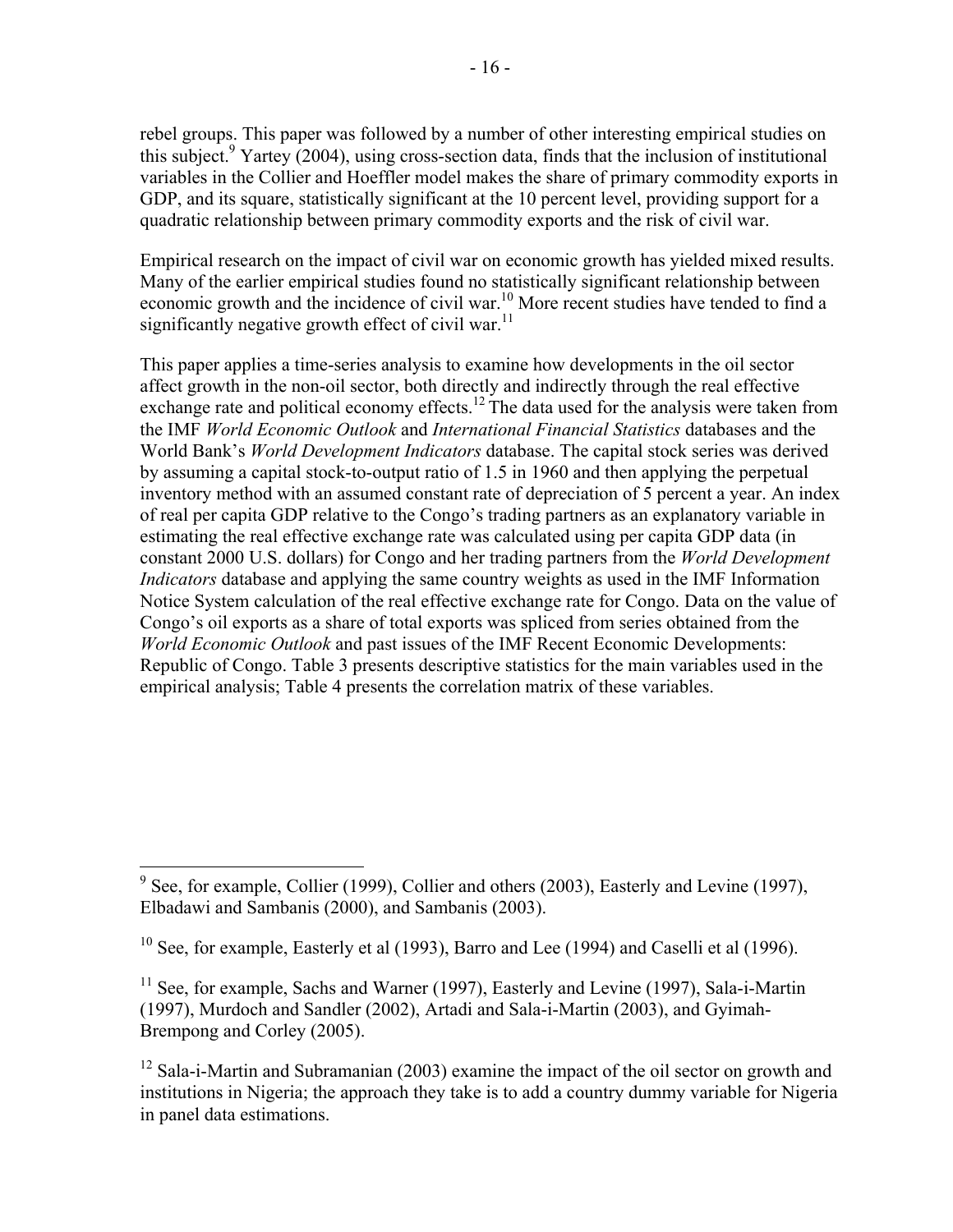rebel groups. This paper was followed by a number of other interesting empirical studies on this subject.<sup>9</sup> Yartey (2004), using cross-section data, finds that the inclusion of institutional variables in the Collier and Hoeffler model makes the share of primary commodity exports in GDP, and its square, statistically significant at the 10 percent level, providing support for a quadratic relationship between primary commodity exports and the risk of civil war.

Empirical research on the impact of civil war on economic growth has yielded mixed results. Many of the earlier empirical studies found no statistically significant relationship between economic growth and the incidence of civil war.<sup>10</sup> More recent studies have tended to find a significantly negative growth effect of civil war.<sup>11</sup>

This paper applies a time-series analysis to examine how developments in the oil sector affect growth in the non-oil sector, both directly and indirectly through the real effective exchange rate and political economy effects.<sup>12</sup> The data used for the analysis were taken from the IMF *World Economic Outlook* and *International Financial Statistics* databases and the World Bank's *World Development Indicators* database. The capital stock series was derived by assuming a capital stock-to-output ratio of 1.5 in 1960 and then applying the perpetual inventory method with an assumed constant rate of depreciation of 5 percent a year. An index of real per capita GDP relative to the Congo's trading partners as an explanatory variable in estimating the real effective exchange rate was calculated using per capita GDP data (in constant 2000 U.S. dollars) for Congo and her trading partners from the *World Development Indicators* database and applying the same country weights as used in the IMF Information Notice System calculation of the real effective exchange rate for Congo. Data on the value of Congo's oil exports as a share of total exports was spliced from series obtained from the *World Economic Outlook* and past issues of the IMF Recent Economic Developments: Republic of Congo. Table 3 presents descriptive statistics for the main variables used in the empirical analysis; Table 4 presents the correlation matrix of these variables.

<sup>&</sup>lt;sup>9</sup> See, for example, Collier (1999), Collier and others (2003), Easterly and Levine (1997), Elbadawi and Sambanis (2000), and Sambanis (2003).

 $10$  See, for example, Easterly et al (1993), Barro and Lee (1994) and Caselli et al (1996).

 $11$  See, for example, Sachs and Warner (1997), Easterly and Levine (1997), Sala-i-Martin (1997), Murdoch and Sandler (2002), Artadi and Sala-i-Martin (2003), and Gyimah-Brempong and Corley (2005).

 $12$  Sala-i-Martin and Subramanian (2003) examine the impact of the oil sector on growth and institutions in Nigeria; the approach they take is to add a country dummy variable for Nigeria in panel data estimations.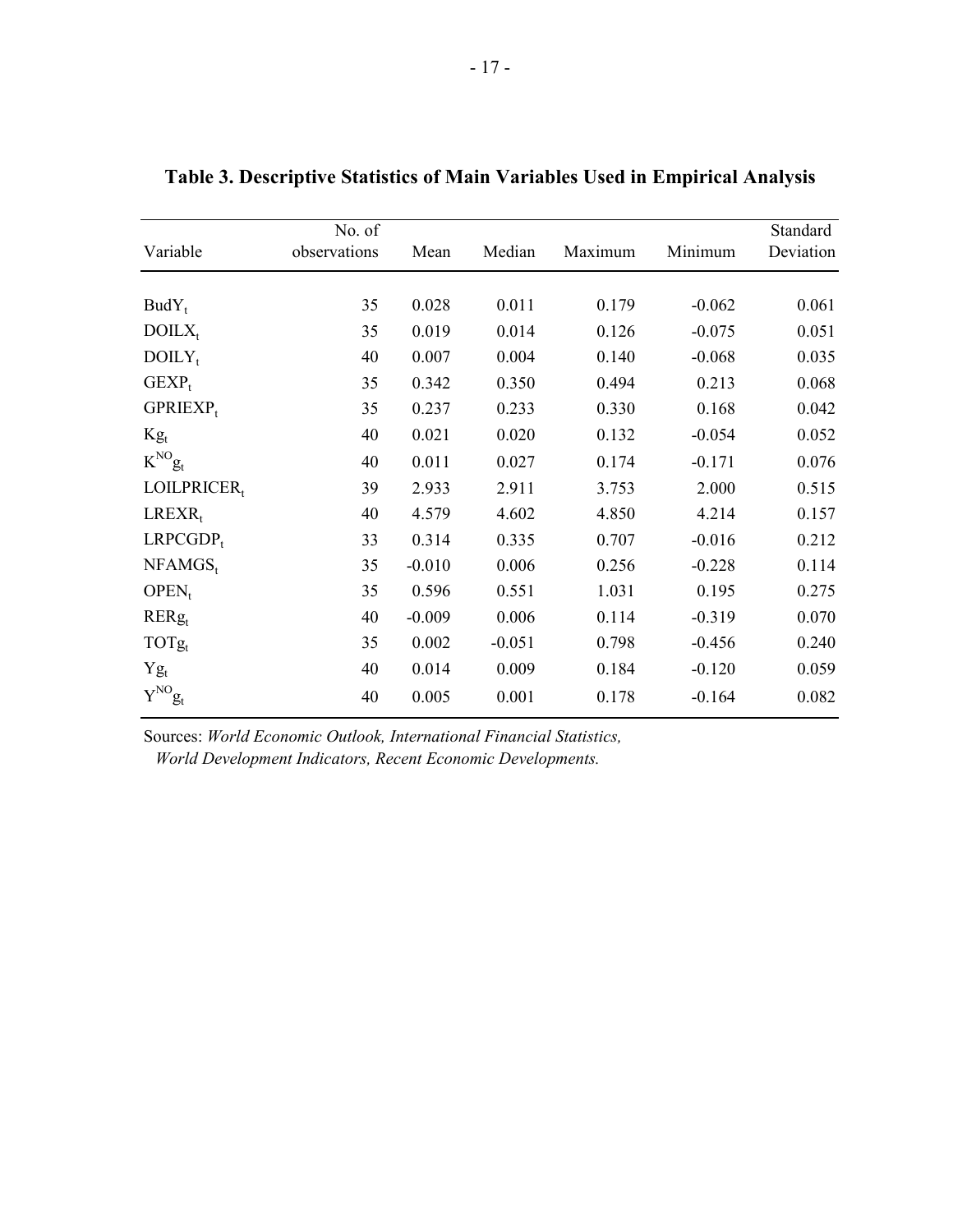| Variable              | No. of<br>observations | Mean     | Median   | Maximum | Minimum  | Standard<br>Deviation |
|-----------------------|------------------------|----------|----------|---------|----------|-----------------------|
| $BudY_t$              | 35                     | 0.028    | 0.011    | 0.179   | $-0.062$ | 0.061                 |
| $DOLX_t$              | 35                     | 0.019    | 0.014    | 0.126   | $-0.075$ | 0.051                 |
| $DOLY_t$              | 40                     | 0.007    | 0.004    | 0.140   | $-0.068$ | 0.035                 |
| $GEXP_t$              | 35                     | 0.342    | 0.350    | 0.494   | 0.213    | 0.068                 |
| $GPRIEXP_t$           | 35                     | 0.237    | 0.233    | 0.330   | 0.168    | 0.042                 |
| $Kg_t$                | 40                     | 0.021    | 0.020    | 0.132   | $-0.054$ | 0.052                 |
| $K^{\rm NO}g_{\rm t}$ | 40                     | 0.011    | 0.027    | 0.174   | $-0.171$ | 0.076                 |
| LOILPRICER,           | 39                     | 2.933    | 2.911    | 3.753   | 2.000    | 0.515                 |
| $LREXR_t$             | 40                     | 4.579    | 4.602    | 4.850   | 4.214    | 0.157                 |
| $LRPCGDP_t$           | 33                     | 0.314    | 0.335    | 0.707   | $-0.016$ | 0.212                 |
| $NFAMGS_t$            | 35                     | $-0.010$ | 0.006    | 0.256   | $-0.228$ | 0.114                 |
| $OPEN_t$              | 35                     | 0.596    | 0.551    | 1.031   | 0.195    | 0.275                 |
| $RERg_t$              | 40                     | $-0.009$ | 0.006    | 0.114   | $-0.319$ | 0.070                 |
| $TOTg_t$              | 35                     | 0.002    | $-0.051$ | 0.798   | $-0.456$ | 0.240                 |
| $Yg_t$                | 40                     | 0.014    | 0.009    | 0.184   | $-0.120$ | 0.059                 |
| $Y^{\rm NO} g_t$      | 40                     | 0.005    | 0.001    | 0.178   | $-0.164$ | 0.082                 |

**Table 3. Descriptive Statistics of Main Variables Used in Empirical Analysis**

Sources: *World Economic Outlook, International Financial Statistics,* 

*World Development Indicators, Recent Economic Developments.*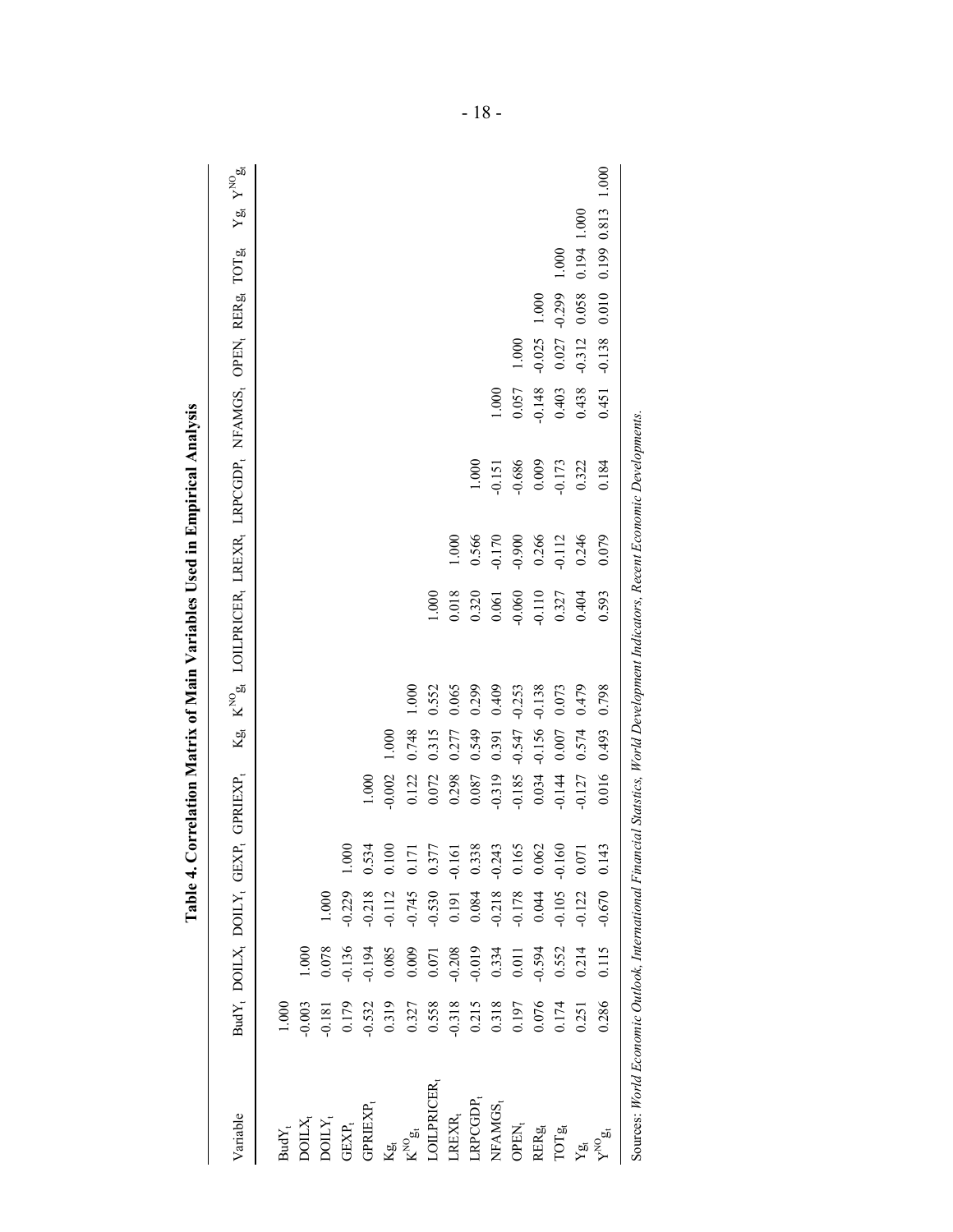| Variable                                                                                                                       |           |           |          |                          | BudY <sub>t</sub> DOILX, DOILY, GEXP, GPRIEXP, |          |          | Kg, K <sup>NO</sup> g, LOILPRICER, LREXR, LRPCGDP, NFAMGS, OPEN, RERg, TOTG, |          |          |          |          |           |                   | $Yg R V^{{NO}}g$ |
|--------------------------------------------------------------------------------------------------------------------------------|-----------|-----------|----------|--------------------------|------------------------------------------------|----------|----------|------------------------------------------------------------------------------|----------|----------|----------|----------|-----------|-------------------|------------------|
| $\mathbf{BudY}_\mathfrak{t}$                                                                                                   | $1.000\,$ |           |          |                          |                                                |          |          |                                                                              |          |          |          |          |           |                   |                  |
| $\mathrm{DOLX}_\mathrm{t}$                                                                                                     | 0.003     | $1.000\,$ |          |                          |                                                |          |          |                                                                              |          |          |          |          |           |                   |                  |
| $\mathrm{D}\mathrm{O}\amalg Y_t$                                                                                               | $-0.181$  | 0.078     | 1.000    |                          |                                                |          |          |                                                                              |          |          |          |          |           |                   |                  |
| $\mbox{GEXP}_\mbox{t}$                                                                                                         | 0.179     | 0.136     | $-0.229$ | 1.000                    |                                                |          |          |                                                                              |          |          |          |          |           |                   |                  |
| <b>GPRIEXP</b>                                                                                                                 | $-0.532$  | $-0.194$  | $-0.218$ | 0.534                    | 1.000                                          |          |          |                                                                              |          |          |          |          |           |                   |                  |
| Кg<br>И                                                                                                                        | 0.319     | 0.085     | $-0.112$ | $\geq$<br>$\overline{c}$ | $-0.002$                                       | 1.000    |          |                                                                              |          |          |          |          |           |                   |                  |
| $K^{\infty}$ ox                                                                                                                | 0.327     | 0.009     | $-0.745$ | $\overline{\Box}$        | 0.122                                          | 0.748    | 1.000    |                                                                              |          |          |          |          |           |                   |                  |
| LOILPRICER,                                                                                                                    | 0.558     | 0.071     | $-0.530$ | 0.377                    | 0.072                                          | 0.315    | 0.552    | 1.000                                                                        |          |          |          |          |           |                   |                  |
| REXR <sub>t</sub>                                                                                                              | $-0.318$  | 0.208     | 0.191    | $-0.161$                 | 0.298                                          | 0.277    | 0.065    | 0.018                                                                        | 1.000    |          |          |          |           |                   |                  |
| LRPCGDP                                                                                                                        | 0.215     | $-0.019$  | 0.084    | 0.338                    | 0.087                                          | 0.549    | 0.299    | 0.320                                                                        | 0.566    | 1.000    |          |          |           |                   |                  |
| NFAMGS <sub>t</sub>                                                                                                            | 0.318     | 0.334     | $-0.218$ | $-0.243$                 | $-0.319$                                       | 0.391    | 0.409    | 0.061                                                                        | 0.170    | $-0.151$ | 1.000    |          |           |                   |                  |
| OPEN <sub>1</sub>                                                                                                              | 0.197     | 0.011     | $-0.178$ | 0.165                    | $-0.185$                                       | $-0.547$ | $-0.253$ | $-0.060$                                                                     | 0.900    | -0.686   | 0.057    | 1.000    |           |                   |                  |
| RERg                                                                                                                           | 0.076     | 0.594     | 0.044    | 0.062                    | 0.034                                          | $-0.156$ | $-0.138$ | $-0.110$                                                                     | 0.266    | 0.009    | $-0.148$ | $-0.025$ | $1.000\,$ |                   |                  |
| ТОТа                                                                                                                           | 0.174     | 0.552     | $-0.105$ | 60<br>$\overline{Q}$     | $-0.144$                                       | $0.007$  | 0.073    | 0.327                                                                        | $-0.112$ | $-0.173$ | 0.403    | 0.027    | $-0.299$  | 1.000             |                  |
| Yы                                                                                                                             | 0.251     | 0.214     | $-0.122$ | 0.071                    | $-0.127$                                       | 0.574    | 0.479    | 0.404                                                                        | 0.246    | 0.322    | 0.438    | $-0.312$ | 0.058     | 0.194 1.000       |                  |
| $\mathbf{v}^{\text{NO}}$                                                                                                       | 0.286     | 0.115     | $-0.670$ | $\frac{43}{5}$           | 0.016                                          | 0.493    | 0.798    | 0.593                                                                        | 0.079    | 0.184    | 0.451    | $-0.138$ | 0.010     | 0.199 0.813 1.000 |                  |
| Sources: World Economic Outlook, International Financial Statstics, World Development Indicators, Recent Economic Developments |           |           |          |                          |                                                |          |          |                                                                              |          |          |          |          |           |                   |                  |

Table 4. Correlation Matrix of Main Variables Used in Empirical Analysis **Table 4. Correlation Matrix of Main Variables Used in Empirical Analysis**

- 18 -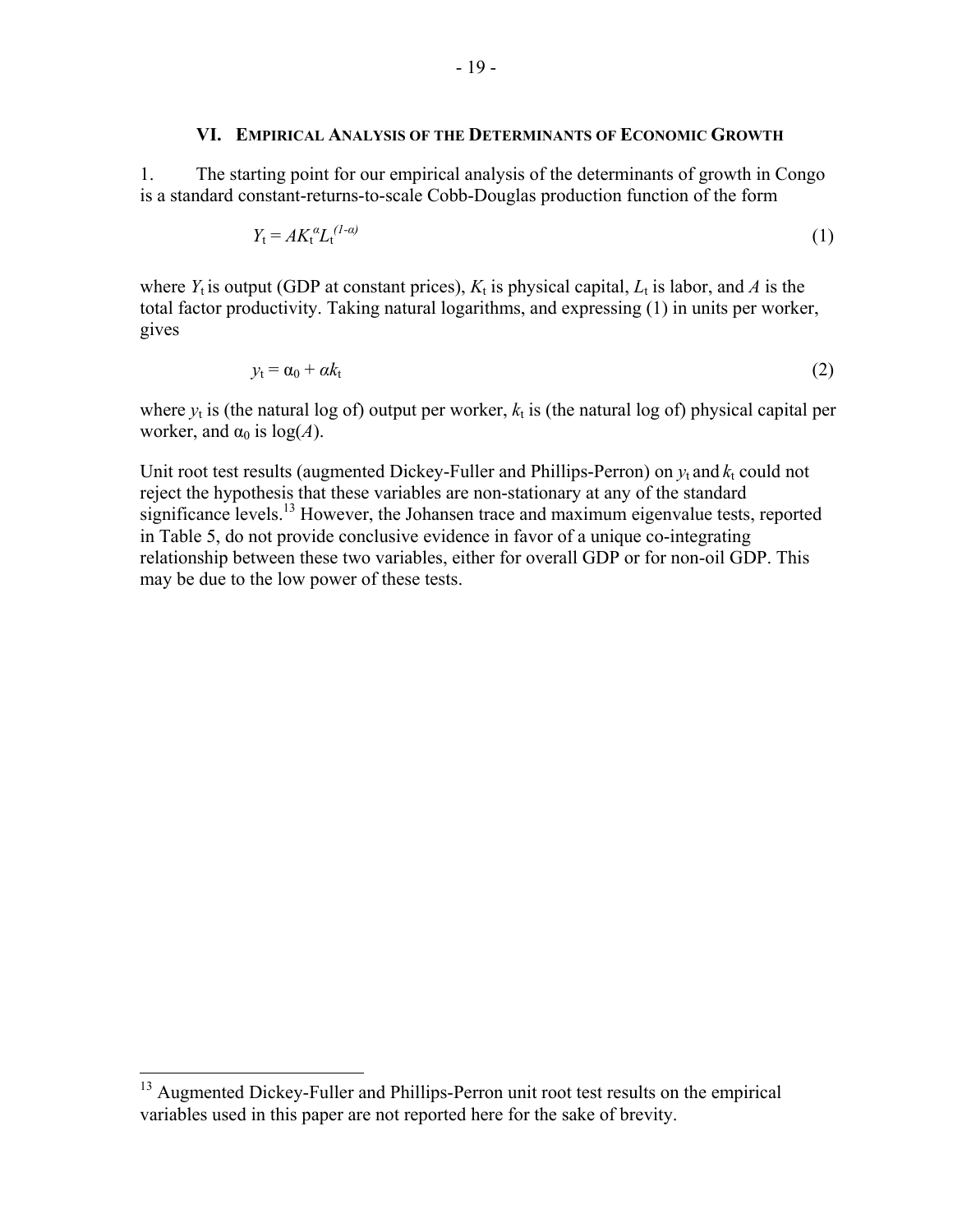#### **VI. EMPIRICAL ANALYSIS OF THE DETERMINANTS OF ECONOMIC GROWTH**

1. The starting point for our empirical analysis of the determinants of growth in Congo is a standard constant-returns-to-scale Cobb-Douglas production function of the form

$$
Y_t = A K_t^{\alpha} L_t^{(1-\alpha)} \tag{1}
$$

where  $Y_t$  is output (GDP at constant prices),  $K_t$  is physical capital,  $L_t$  is labor, and A is the total factor productivity. Taking natural logarithms, and expressing (1) in units per worker, gives

$$
y_t = \alpha_0 + \alpha k_t \tag{2}
$$

where  $y_t$  is (the natural log of) output per worker,  $k_t$  is (the natural log of) physical capital per worker, and  $\alpha_0$  is  $log(A)$ .

Unit root test results (augmented Dickey-Fuller and Phillips-Perron) on  $y_t$  and  $k_t$  could not reject the hypothesis that these variables are non-stationary at any of the standard significance levels.<sup>13</sup> However, the Johansen trace and maximum eigenvalue tests, reported in Table 5, do not provide conclusive evidence in favor of a unique co-integrating relationship between these two variables, either for overall GDP or for non-oil GDP. This may be due to the low power of these tests.

1

<sup>&</sup>lt;sup>13</sup> Augmented Dickey-Fuller and Phillips-Perron unit root test results on the empirical variables used in this paper are not reported here for the sake of brevity.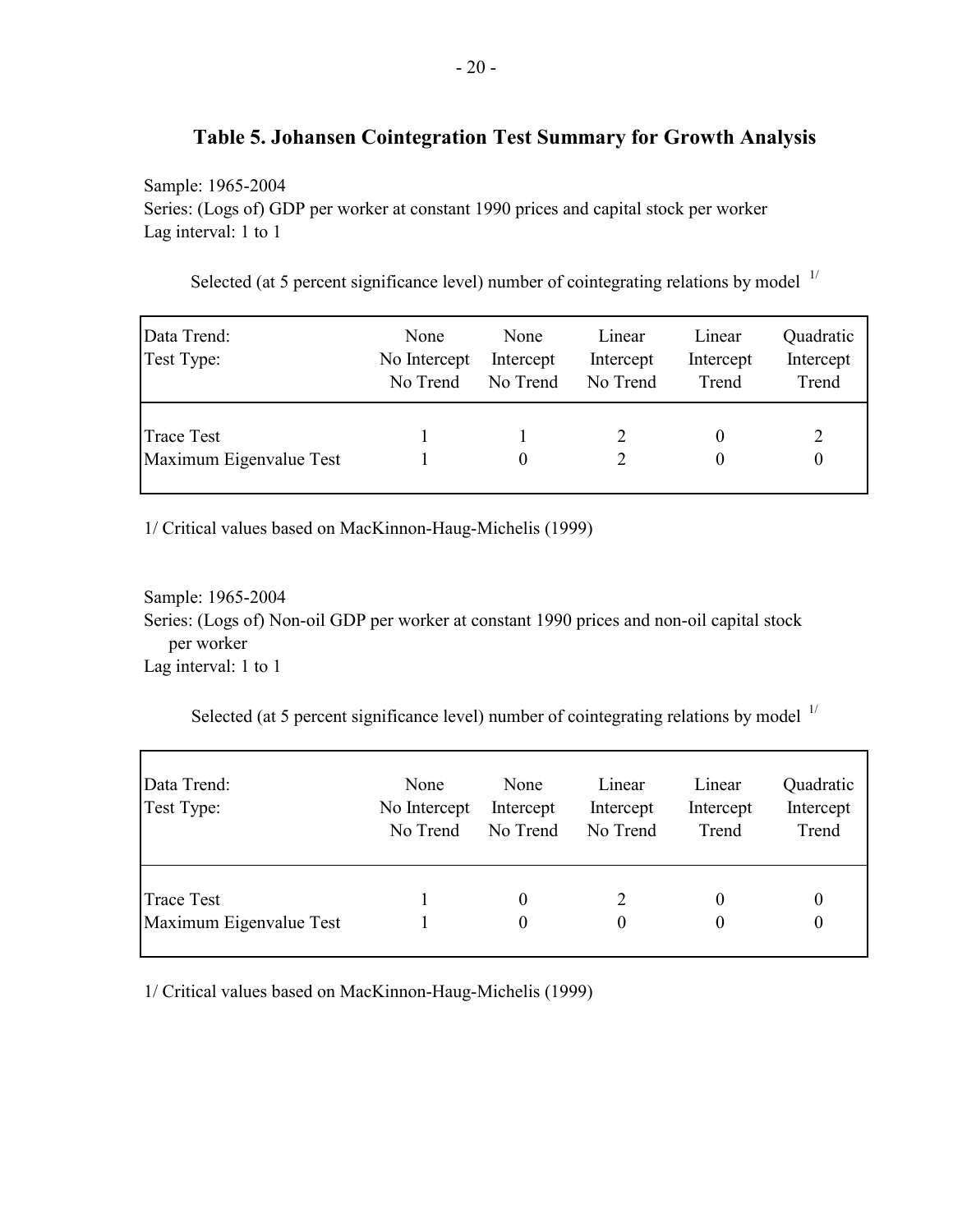## **Table 5. Johansen Cointegration Test Summary for Growth Analysis**

Sample: 1965-2004

Series: (Logs of) GDP per worker at constant 1990 prices and capital stock per worker Lag interval: 1 to 1

| Data Trend:<br>Test Type:                    | None<br>No Intercept<br>No Trend | None<br>Intercept<br>No Trend | Linear<br>Intercept<br>No Trend | Linear<br>Intercept<br>Trend | Quadratic<br>Intercept<br>Trend |
|----------------------------------------------|----------------------------------|-------------------------------|---------------------------------|------------------------------|---------------------------------|
| <b>Trace Test</b><br>Maximum Eigenvalue Test |                                  |                               |                                 |                              | 2<br>0                          |

Selected (at 5 percent significance level) number of cointegrating relations by model  $1/$ 

1/ Critical values based on MacKinnon-Haug-Michelis (1999)

Sample: 1965-2004 Series: (Logs of) Non-oil GDP per worker at constant 1990 prices and non-oil capital stock per worker Lag interval: 1 to 1

Selected (at 5 percent significance level) number of cointegrating relations by model  $1/$ 

| Data Trend:<br>Test Type:                    | None<br>No Intercept<br>No Trend | None<br>Intercept<br>No Trend | Linear<br>Intercept<br>No Trend | Linear<br>Intercept<br>Trend | Quadratic<br>Intercept<br>Trend |
|----------------------------------------------|----------------------------------|-------------------------------|---------------------------------|------------------------------|---------------------------------|
| <b>Trace Test</b><br>Maximum Eigenvalue Test |                                  | $\theta$                      | 0                               | 0                            | 0<br>$\boldsymbol{0}$           |

1/ Critical values based on MacKinnon-Haug-Michelis (1999)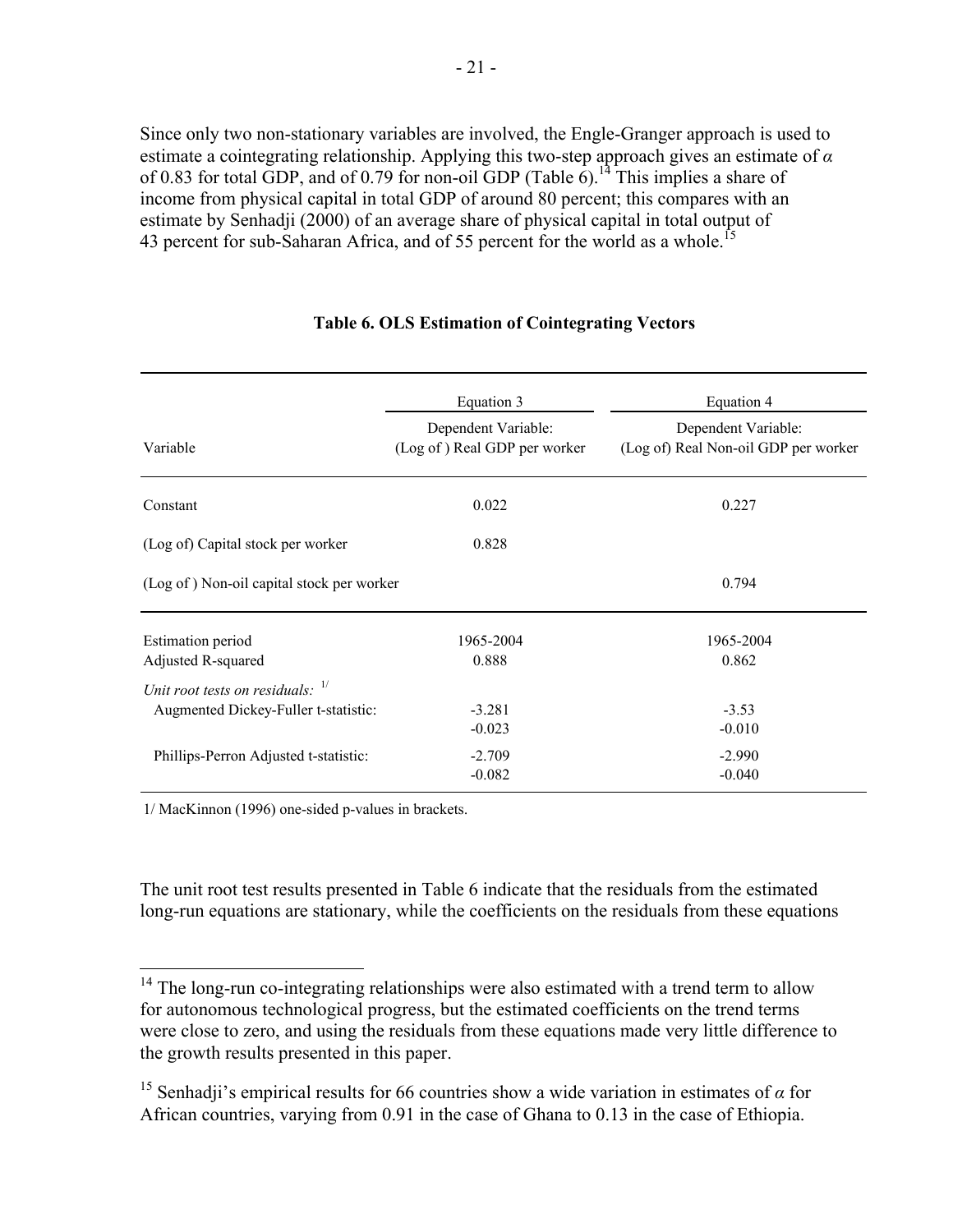Since only two non-stationary variables are involved, the Engle-Granger approach is used to estimate a cointegrating relationship. Applying this two-step approach gives an estimate of *α* of 0.83 for total GDP, and of 0.79 for non-oil GDP (Table 6).<sup>14</sup> This implies a share of income from physical capital in total GDP of around 80 percent; this compares with an estimate by Senhadji (2000) of an average share of physical capital in total output of 43 percent for sub-Saharan Africa, and of 55 percent for the world as a whole.<sup>15</sup>

|                                                | Equation 3                                          | Equation 4                                                  |
|------------------------------------------------|-----------------------------------------------------|-------------------------------------------------------------|
| Variable                                       | Dependent Variable:<br>(Log of) Real GDP per worker | Dependent Variable:<br>(Log of) Real Non-oil GDP per worker |
| Constant                                       | 0.022                                               | 0.227                                                       |
| (Log of) Capital stock per worker              | 0.828                                               |                                                             |
| (Log of) Non-oil capital stock per worker      |                                                     | 0.794                                                       |
| <b>Estimation period</b><br>Adjusted R-squared | 1965-2004<br>0.888                                  | 1965-2004<br>0.862                                          |
| Unit root tests on residuals: $1/$             |                                                     |                                                             |
| Augmented Dickey-Fuller t-statistic:           | $-3.281$<br>$-0.023$                                | $-3.53$<br>$-0.010$                                         |
| Phillips-Perron Adjusted t-statistic:          | $-2.709$<br>$-0.082$                                | $-2.990$<br>$-0.040$                                        |

#### **Table 6. OLS Estimation of Cointegrating Vectors**

1/ MacKinnon (1996) one-sided p-values in brackets.

 $\overline{a}$ 

The unit root test results presented in Table 6 indicate that the residuals from the estimated long-run equations are stationary, while the coefficients on the residuals from these equations

 $14$  The long-run co-integrating relationships were also estimated with a trend term to allow for autonomous technological progress, but the estimated coefficients on the trend terms were close to zero, and using the residuals from these equations made very little difference to the growth results presented in this paper.

<sup>&</sup>lt;sup>15</sup> Senhadji's empirical results for 66 countries show a wide variation in estimates of  $\alpha$  for African countries, varying from 0.91 in the case of Ghana to 0.13 in the case of Ethiopia.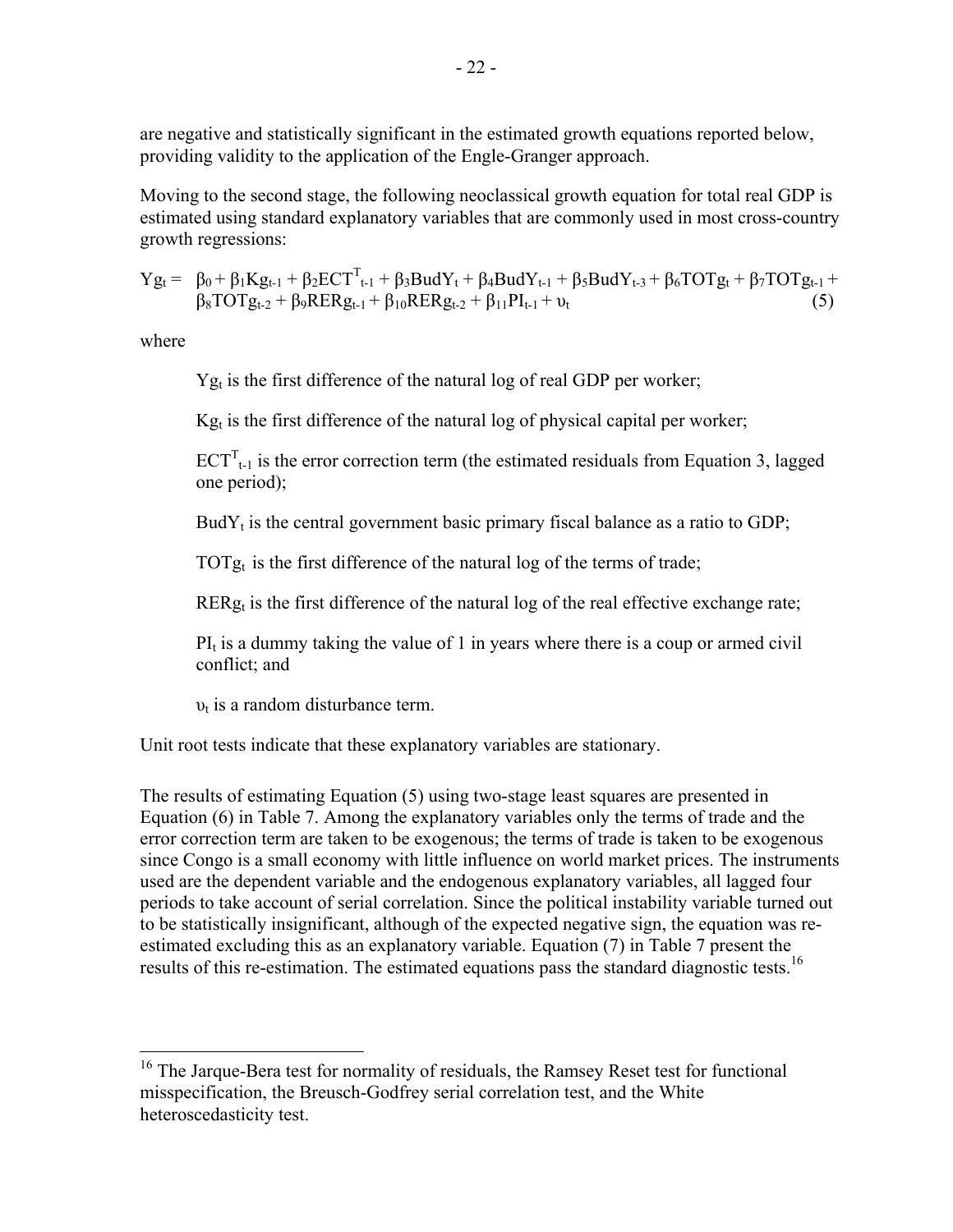are negative and statistically significant in the estimated growth equations reported below, providing validity to the application of the Engle-Granger approach.

Moving to the second stage, the following neoclassical growth equation for total real GDP is estimated using standard explanatory variables that are commonly used in most cross-country growth regressions:

 $Yg_t = \beta_0 + \beta_1 Kg_{t-1} + \beta_2 ECT_{t-1}^T + \beta_3 BudY_t + \beta_4 BudY_{t-1} + \beta_5 BudY_{t-3} + \beta_6 TOTg_t + \beta_7 TOTg_{t-1} +$  $\beta_8 \text{TOTg}_{t-2} + \beta_9 \text{RERg}_{t-1} + \beta_{10} \text{RERg}_{t-2} + \beta_{11} \text{PI}_{t-1} + \nu_t$  (5)

where

1

 $Yg_t$  is the first difference of the natural log of real GDP per worker;

 $Kg_t$  is the first difference of the natural log of physical capital per worker;

 $ECT<sup>T</sup><sub>t-1</sub>$  is the error correction term (the estimated residuals from Equation 3, lagged one period);

Bud $Y_t$  is the central government basic primary fiscal balance as a ratio to GDP;

TOT $g_t$  is the first difference of the natural log of the terms of trade;

 $RERg<sub>t</sub>$  is the first difference of the natural log of the real effective exchange rate;

 $PI<sub>t</sub>$  is a dummy taking the value of 1 in years where there is a coup or armed civil conflict; and

 $v_t$  is a random disturbance term.

Unit root tests indicate that these explanatory variables are stationary.

The results of estimating Equation (5) using two-stage least squares are presented in Equation (6) in Table 7. Among the explanatory variables only the terms of trade and the error correction term are taken to be exogenous; the terms of trade is taken to be exogenous since Congo is a small economy with little influence on world market prices. The instruments used are the dependent variable and the endogenous explanatory variables, all lagged four periods to take account of serial correlation. Since the political instability variable turned out to be statistically insignificant, although of the expected negative sign, the equation was reestimated excluding this as an explanatory variable. Equation (7) in Table 7 present the results of this re-estimation. The estimated equations pass the standard diagnostic tests.<sup>16</sup>

 $16$  The Jarque-Bera test for normality of residuals, the Ramsey Reset test for functional misspecification, the Breusch-Godfrey serial correlation test, and the White heteroscedasticity test.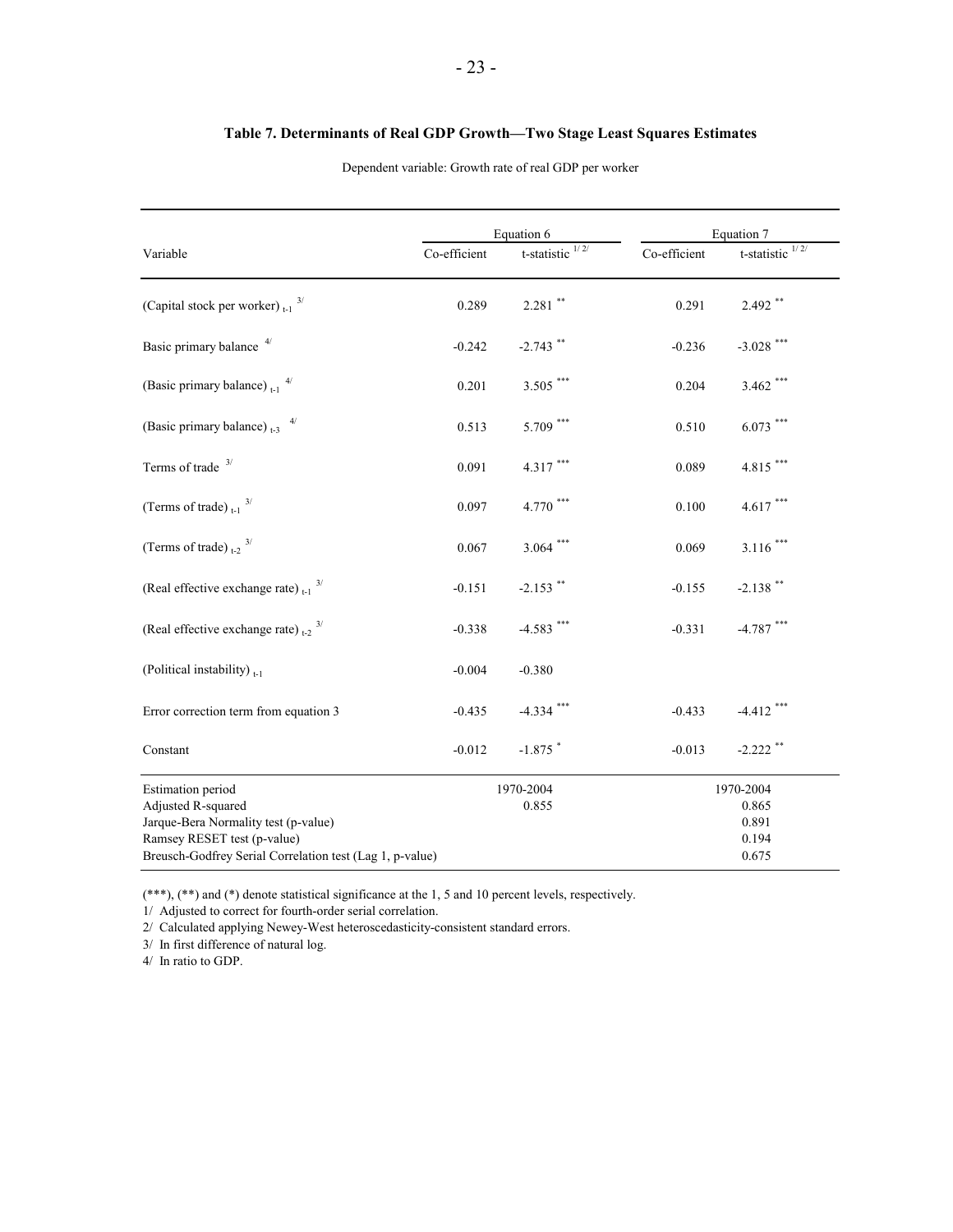|                                                          |              | Equation 6                |              | Equation 7          |
|----------------------------------------------------------|--------------|---------------------------|--------------|---------------------|
| Variable                                                 | Co-efficient | t-statistic $\frac{1}{2}$ | Co-efficient | 1/2/<br>t-statistic |
| (Capital stock per worker) $_{t-1}$ <sup>3/</sup>        | 0.289        | $2.281$ **                | 0.291        | $2.492$ **          |
| Basic primary balance <sup>4/</sup>                      | $-0.242$     | $-2.743$ **               | $-0.236$     | $-3.028$ ***        |
| (Basic primary balance) $_{t-1}$ <sup>4/</sup>           | 0.201        | $3.505$ $^{***}\,$        | 0.204        | $3.462$ ***         |
| (Basic primary balance) $_{t-3}$ <sup>4/</sup>           | 0.513        | $5.709$ ***               | 0.510        | $6.073$ ***         |
| Terms of trade $3/$                                      | 0.091        | $4.317***$                | 0.089        | $4.815***$          |
| (Terms of trade) $_{t-1}$ <sup>3/</sup>                  | 0.097        | $4.770$ $^{***}\,$        | 0.100        | $4.617$ ***         |
| (Terms of trade) $_{t=2}$ 3/                             | 0.067        | $3.064$ ***               | 0.069        | $3.116$ ***         |
| (Real effective exchange rate) $_{t-1}$ $^{3/}$          | $-0.151$     | $-2.153$ **               | $-0.155$     | $-2.138$ **         |
| (Real effective exchange rate) $_{t-2}$ $^{3/}$          | $-0.338$     | $-4.583$ ***              | $-0.331$     | $-4.787$ ***        |
| (Political instability) <sub>t-1</sub>                   | $-0.004$     | $-0.380$                  |              |                     |
| Error correction term from equation 3                    | $-0.435$     | $-4.334$ ***              | $-0.433$     | $-4.412$ ***        |
| Constant                                                 | $-0.012$     | $-1.875$ *                | $-0.013$     | $-2.222$ **         |
| <b>Estimation</b> period                                 |              | 1970-2004                 |              | 1970-2004           |
| Adjusted R-squared                                       |              | 0.855                     |              | 0.865               |
| Jarque-Bera Normality test (p-value)                     |              |                           |              | 0.891               |
| Ramsey RESET test (p-value)                              |              |                           |              | 0.194               |
| Breusch-Godfrey Serial Correlation test (Lag 1, p-value) |              |                           |              | 0.675               |

#### **Table 7. Determinants of Real GDP Growth—Two Stage Least Squares Estimates**

Dependent variable: Growth rate of real GDP per worker

(\*\*\*), (\*\*) and (\*) denote statistical significance at the 1, 5 and 10 percent levels, respectively.

1/ Adjusted to correct for fourth-order serial correlation.

2/ Calculated applying Newey-West heteroscedasticity-consistent standard errors.

3/ In first difference of natural log.

4/ In ratio to GDP.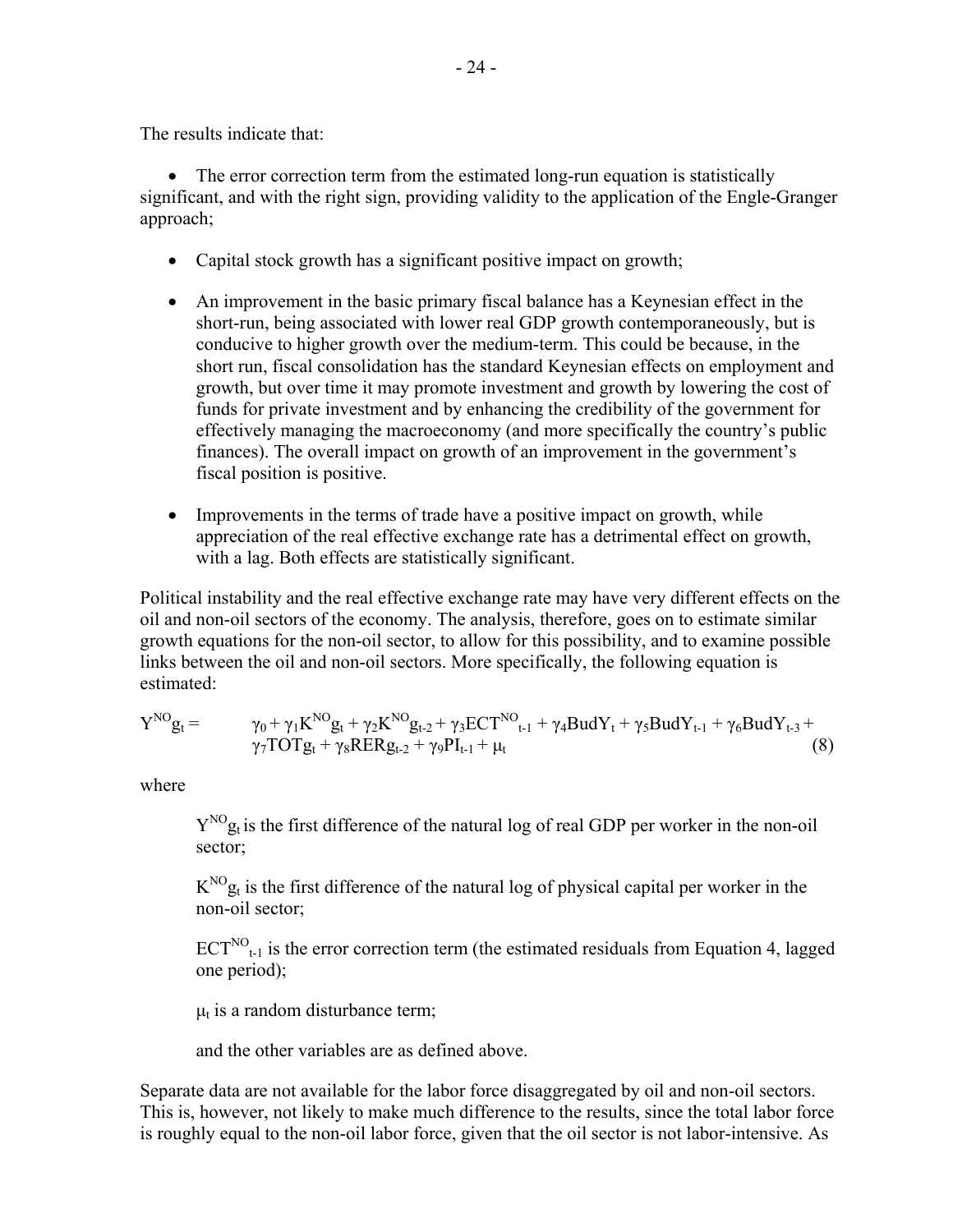The results indicate that:

• The error correction term from the estimated long-run equation is statistically significant, and with the right sign, providing validity to the application of the Engle-Granger approach;

- Capital stock growth has a significant positive impact on growth;
- An improvement in the basic primary fiscal balance has a Keynesian effect in the short-run, being associated with lower real GDP growth contemporaneously, but is conducive to higher growth over the medium-term. This could be because, in the short run, fiscal consolidation has the standard Keynesian effects on employment and growth, but over time it may promote investment and growth by lowering the cost of funds for private investment and by enhancing the credibility of the government for effectively managing the macroeconomy (and more specifically the country's public finances). The overall impact on growth of an improvement in the government's fiscal position is positive.
- Improvements in the terms of trade have a positive impact on growth, while appreciation of the real effective exchange rate has a detrimental effect on growth, with a lag. Both effects are statistically significant.

Political instability and the real effective exchange rate may have very different effects on the oil and non-oil sectors of the economy. The analysis, therefore, goes on to estimate similar growth equations for the non-oil sector, to allow for this possibility, and to examine possible links between the oil and non-oil sectors. More specifically, the following equation is estimated:

$$
Y^{NO}g_{t} = \gamma_{0} + \gamma_{1}K^{NO}g_{t} + \gamma_{2}K^{NO}g_{t\text{-}2} + \gamma_{3}ECT^{NO}_{t\text{-}1} + \gamma_{4}BudY_{t} + \gamma_{5}BudY_{t\text{-}1} + \gamma_{6}BudY_{t\text{-}3} + \gamma_{7}TOTg_{t} + \gamma_{8}RERg_{t\text{-}2} + \gamma_{9}PI_{t\text{-}1} + \mu_{t}
$$
\n(8)

where

 $Y^{NO}$ g<sub>t</sub> is the first difference of the natural log of real GDP per worker in the non-oil sector;

 $K^{NO}$ g<sub>t</sub> is the first difference of the natural log of physical capital per worker in the non-oil sector;

 $ECT^{NO}_{t-1}$  is the error correction term (the estimated residuals from Equation 4, lagged one period);

 $\mu_t$  is a random disturbance term;

and the other variables are as defined above.

Separate data are not available for the labor force disaggregated by oil and non-oil sectors. This is, however, not likely to make much difference to the results, since the total labor force is roughly equal to the non-oil labor force, given that the oil sector is not labor-intensive. As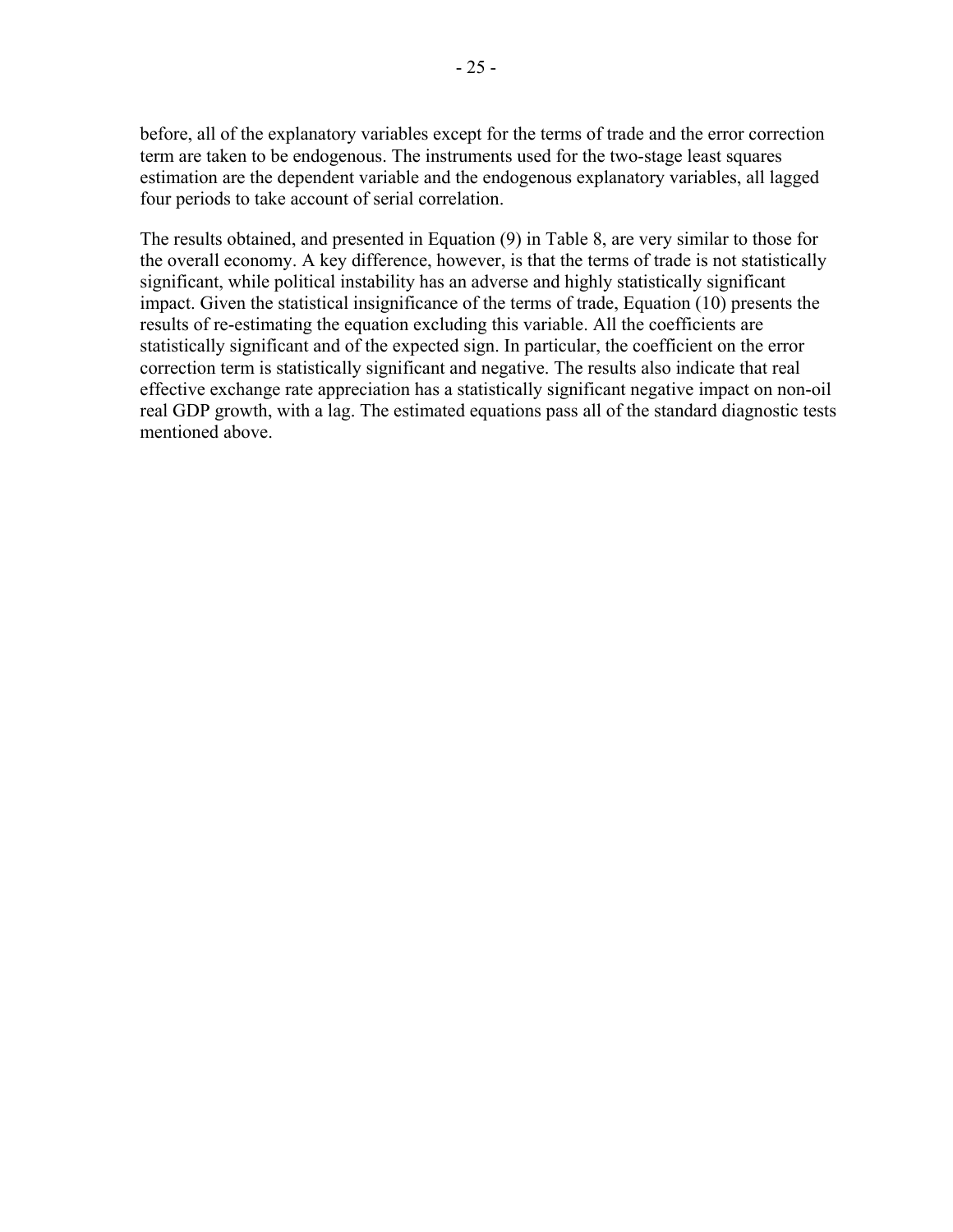before, all of the explanatory variables except for the terms of trade and the error correction term are taken to be endogenous. The instruments used for the two-stage least squares estimation are the dependent variable and the endogenous explanatory variables, all lagged four periods to take account of serial correlation.

The results obtained, and presented in Equation (9) in Table 8, are very similar to those for the overall economy. A key difference, however, is that the terms of trade is not statistically significant, while political instability has an adverse and highly statistically significant impact. Given the statistical insignificance of the terms of trade, Equation (10) presents the results of re-estimating the equation excluding this variable. All the coefficients are statistically significant and of the expected sign. In particular, the coefficient on the error correction term is statistically significant and negative. The results also indicate that real effective exchange rate appreciation has a statistically significant negative impact on non-oil real GDP growth, with a lag. The estimated equations pass all of the standard diagnostic tests mentioned above.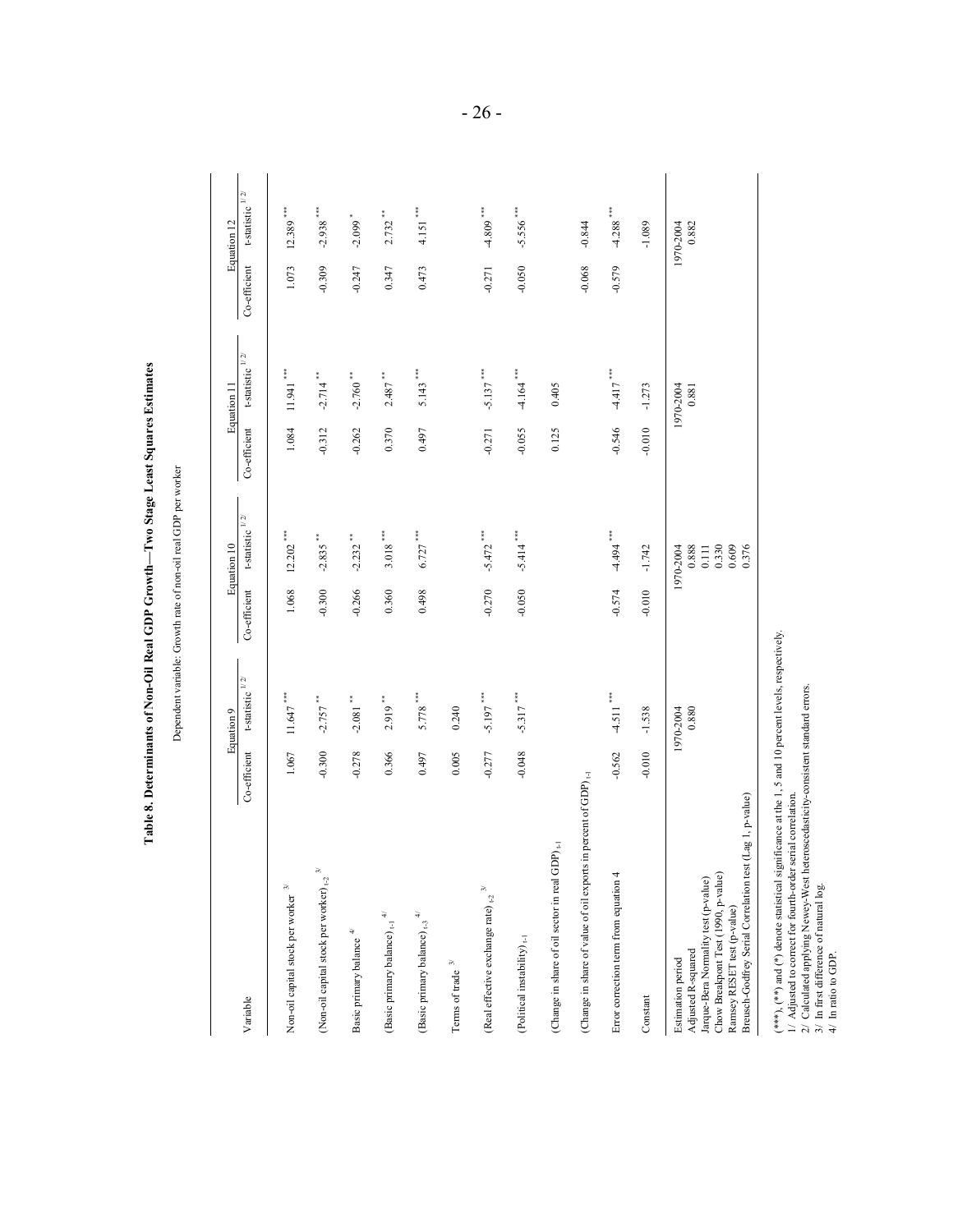|                                                                                                                                                                                                                      |              | Equation 9                           |              | Equation 10                                            |              | Equation 11                            |              | Equation 12                    |
|----------------------------------------------------------------------------------------------------------------------------------------------------------------------------------------------------------------------|--------------|--------------------------------------|--------------|--------------------------------------------------------|--------------|----------------------------------------|--------------|--------------------------------|
| Variable                                                                                                                                                                                                             | Co-efficient | t-statistic $\frac{1}{2}$            | Co-efficient | t-statistic $^{1/2}$                                   | Co-efficient | t-statistic $^{1\!\!/ 2\!\!/}$         | Co-efficient | t-statistic $^{1/2\mathbb{Z}}$ |
| Non-oil capital stock per worker $^{\rm 3/}$                                                                                                                                                                         | 1.067        | $11.647$                             | 1.068        | ŧ<br>12.202                                            | 1.084        | $11.941$ $\cdots$                      | 1.073        | $12.389$ ***                   |
| $\widetilde{\kappa}$<br>(Non-oil capital stock per worker) <sub>t-2</sub>                                                                                                                                            | $-0.300$     | $-2.757$ **                          | $-0.300$     | ÷<br>$-2.835$                                          | $-0.312$     | $-2.714$ **                            | $-0.309$     | ŧ<br>$-2.938$                  |
| Basic primary balance $4^{\prime\prime}$                                                                                                                                                                             | $-0.278$     | $-2.081$ $\hspace{0.1cm}^{\ast\ast}$ | $-0.266$     | t<br>$-2.232$                                          | $-0.262$     | $-2.760$ $\hspace{0.1cm}^{\circ\circ}$ | $-0.247$     | ٠<br>$-2.099$                  |
| (Basic primary balance) $_{\rm t\text{-}l}$ $^{4\! \prime}$                                                                                                                                                          | 0.366        | $2.919$ <sup>**</sup>                | 0.360        | ŧ<br>3.018                                             | 0.370        | $2.487$<br>$\hspace{0.1cm}$            | 0.347        | ÷.<br>2.732                    |
| (Basic primary balance) $_{\rm t\text{-}3}$ $^4\!$                                                                                                                                                                   | 0.497        | $5.778***$                           | 0.498        | $6.727$ ***                                            | 0.497        | $5.143***$                             | 0.473        | $4.151$ ***                    |
| Terms of trade $\sqrt[3]{}$                                                                                                                                                                                          | 0.005        | 0.240                                |              |                                                        |              |                                        |              |                                |
| $\frac{1}{\sqrt{2}}$<br>(Real effective exchange rate) $_{\rm t2}$                                                                                                                                                   | $-0.277$     | $-5.197$ ***                         | $-0.270$     | ***<br>$-5.472$                                        | $-0.271$     | $-5.137$ ***                           | $-0.271$     | $-4.809$ ***                   |
| (Political instability) $_{\rm t\text{-}1}$                                                                                                                                                                          | $-0.048$     | $-5.317$ ***                         | $-0.050$     | $-5.414$ ***                                           | $-0.055$     | $-4.164$ $$                            | $-0.050$     | $-5.556$ ***                   |
| (Change in share of oil sector in real GDP) <sub>1-1</sub>                                                                                                                                                           |              |                                      |              |                                                        | 0.125        | 0.405                                  |              |                                |
| in percent of GDP) $_{t-1}$<br>(Change in share of value of oil exports                                                                                                                                              |              |                                      |              |                                                        |              |                                        | $-0.068$     | $-0.844$                       |
| Error correction term from equation 4                                                                                                                                                                                | $-0.562$     | $-4.511$ ***                         | $-0.574$     | $-4.494$ $$                                            | $-0.546$     | $-4.417$ ***                           | $-0.579$     | $-4.288$ ***                   |
| Constant                                                                                                                                                                                                             | $-0.010$     | $-1.538$                             | $-0.010$     | $-1.742$                                               | $-0.010$     | $-1.273$                               |              | $-1.089$                       |
| (Lag 1, p-value)<br>Breusch-Godfrey Serial Correlation test<br>Chow Breakpont Test (1990, p-value)<br>Jarque-Bera Normality test (p-value)<br>Ramsey RESET test (p-value)<br>Adjusted R-squared<br>Estimation period |              | 0.880<br>1970-2004                   |              | 0.330<br>0.609<br>0.888<br>0.111<br>0.376<br>1970-2004 |              | 1970-2004<br>0.881                     |              | 0.882<br>1970-2004             |

 $-26$  -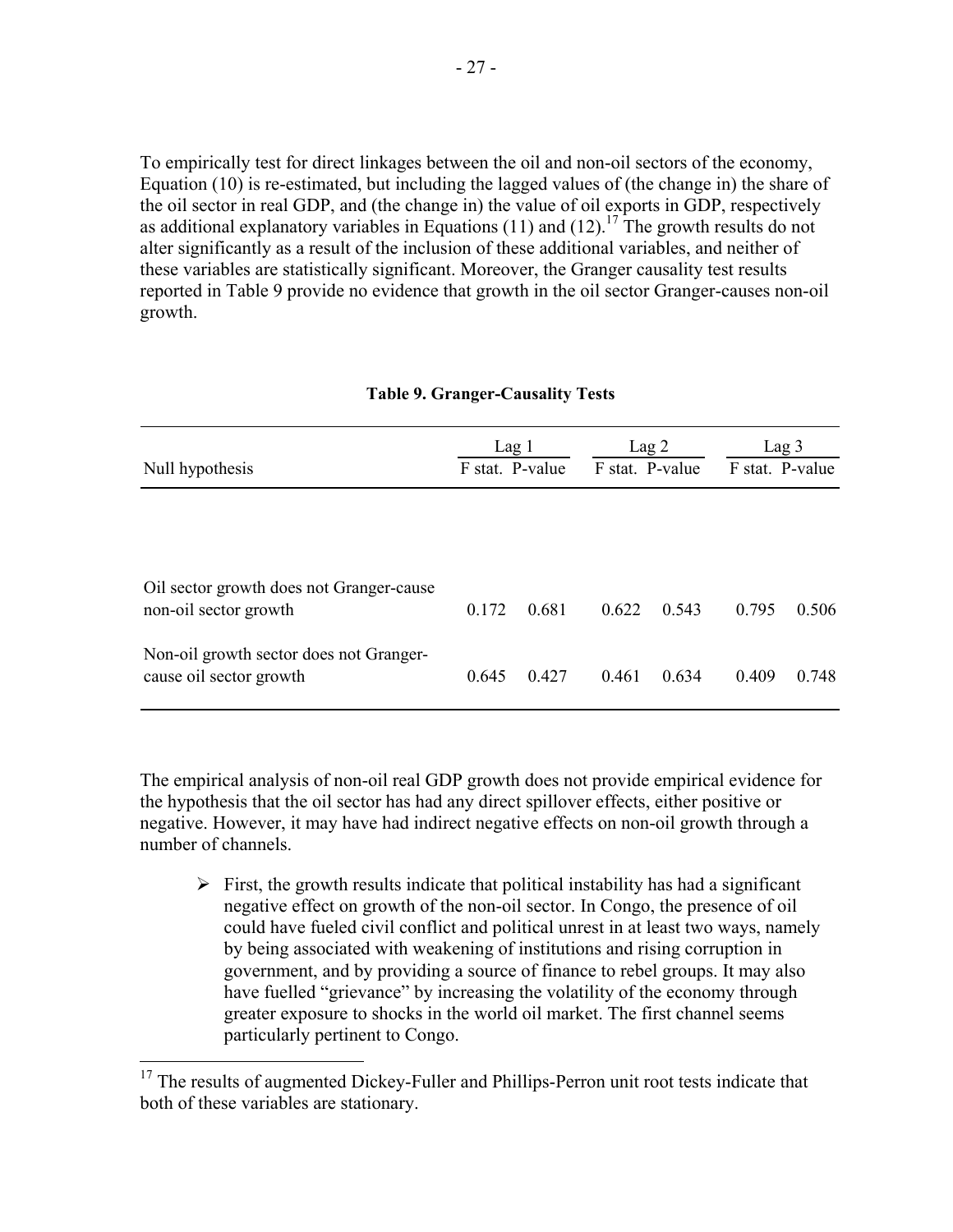To empirically test for direct linkages between the oil and non-oil sectors of the economy, Equation (10) is re-estimated, but including the lagged values of (the change in) the share of the oil sector in real GDP, and (the change in) the value of oil exports in GDP, respectively as additional explanatory variables in Equations (11) and (12).<sup>17</sup> The growth results do not alter significantly as a result of the inclusion of these additional variables, and neither of these variables are statistically significant. Moreover, the Granger causality test results reported in Table 9 provide no evidence that growth in the oil sector Granger-causes non-oil growth.

| Null hypothesis                                                    | Lag 1<br>F stat. P-value |       | F stat. P-value | Lag <sub>2</sub> |       | Lag <sub>3</sub><br>F stat. P-value |
|--------------------------------------------------------------------|--------------------------|-------|-----------------|------------------|-------|-------------------------------------|
|                                                                    |                          |       |                 |                  |       |                                     |
| Oil sector growth does not Granger-cause<br>non-oil sector growth  | 0.172                    | 0.681 | 0.622           | 0.543            | 0.795 | 0.506                               |
| Non-oil growth sector does not Granger-<br>cause oil sector growth | 0.645                    | 0.427 | 0.461           | 0.634            | 0.409 | 0.748                               |

#### **Table 9. Granger-Causality Tests**

The empirical analysis of non-oil real GDP growth does not provide empirical evidence for the hypothesis that the oil sector has had any direct spillover effects, either positive or negative. However, it may have had indirect negative effects on non-oil growth through a number of channels.

 $\triangleright$  First, the growth results indicate that political instability has had a significant negative effect on growth of the non-oil sector. In Congo, the presence of oil could have fueled civil conflict and political unrest in at least two ways, namely by being associated with weakening of institutions and rising corruption in government, and by providing a source of finance to rebel groups. It may also have fuelled "grievance" by increasing the volatility of the economy through greater exposure to shocks in the world oil market. The first channel seems particularly pertinent to Congo.

<u>.</u>

 $17$  The results of augmented Dickey-Fuller and Phillips-Perron unit root tests indicate that both of these variables are stationary.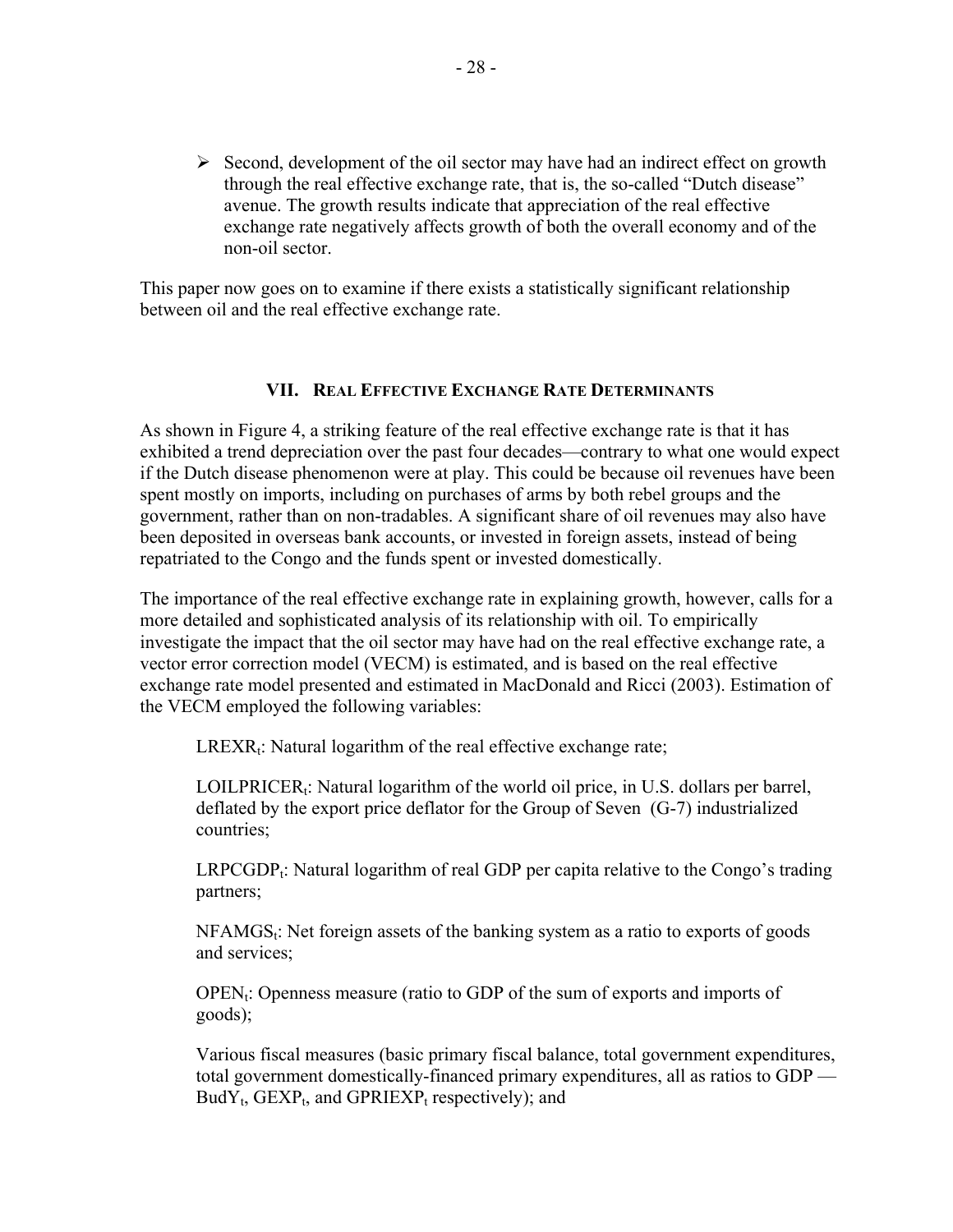$\triangleright$  Second, development of the oil sector may have had an indirect effect on growth through the real effective exchange rate, that is, the so-called "Dutch disease" avenue. The growth results indicate that appreciation of the real effective exchange rate negatively affects growth of both the overall economy and of the non-oil sector.

This paper now goes on to examine if there exists a statistically significant relationship between oil and the real effective exchange rate.

## **VII. REAL EFFECTIVE EXCHANGE RATE DETERMINANTS**

As shown in Figure 4, a striking feature of the real effective exchange rate is that it has exhibited a trend depreciation over the past four decades—contrary to what one would expect if the Dutch disease phenomenon were at play. This could be because oil revenues have been spent mostly on imports, including on purchases of arms by both rebel groups and the government, rather than on non-tradables. A significant share of oil revenues may also have been deposited in overseas bank accounts, or invested in foreign assets, instead of being repatriated to the Congo and the funds spent or invested domestically.

The importance of the real effective exchange rate in explaining growth, however, calls for a more detailed and sophisticated analysis of its relationship with oil. To empirically investigate the impact that the oil sector may have had on the real effective exchange rate, a vector error correction model (VECM) is estimated, and is based on the real effective exchange rate model presented and estimated in MacDonald and Ricci (2003). Estimation of the VECM employed the following variables:

 $LREXR_t$ : Natural logarithm of the real effective exchange rate;

LOILPRICER<sub>t</sub>: Natural logarithm of the world oil price, in U.S. dollars per barrel, deflated by the export price deflator for the Group of Seven (G-7) industrialized countries;

 $LRPCGDP_t$ : Natural logarithm of real GDP per capita relative to the Congo's trading partners;

 $NFAMGS<sub>t</sub>$ : Net foreign assets of the banking system as a ratio to exports of goods and services;

 $OPEN_t$ : Openness measure (ratio to GDP of the sum of exports and imports of goods);

Various fiscal measures (basic primary fiscal balance, total government expenditures, total government domestically-financed primary expenditures, all as ratios to GDP —  $BudY_t$ , GEXP<sub>t</sub>, and GPRIEXP<sub>t</sub> respectively); and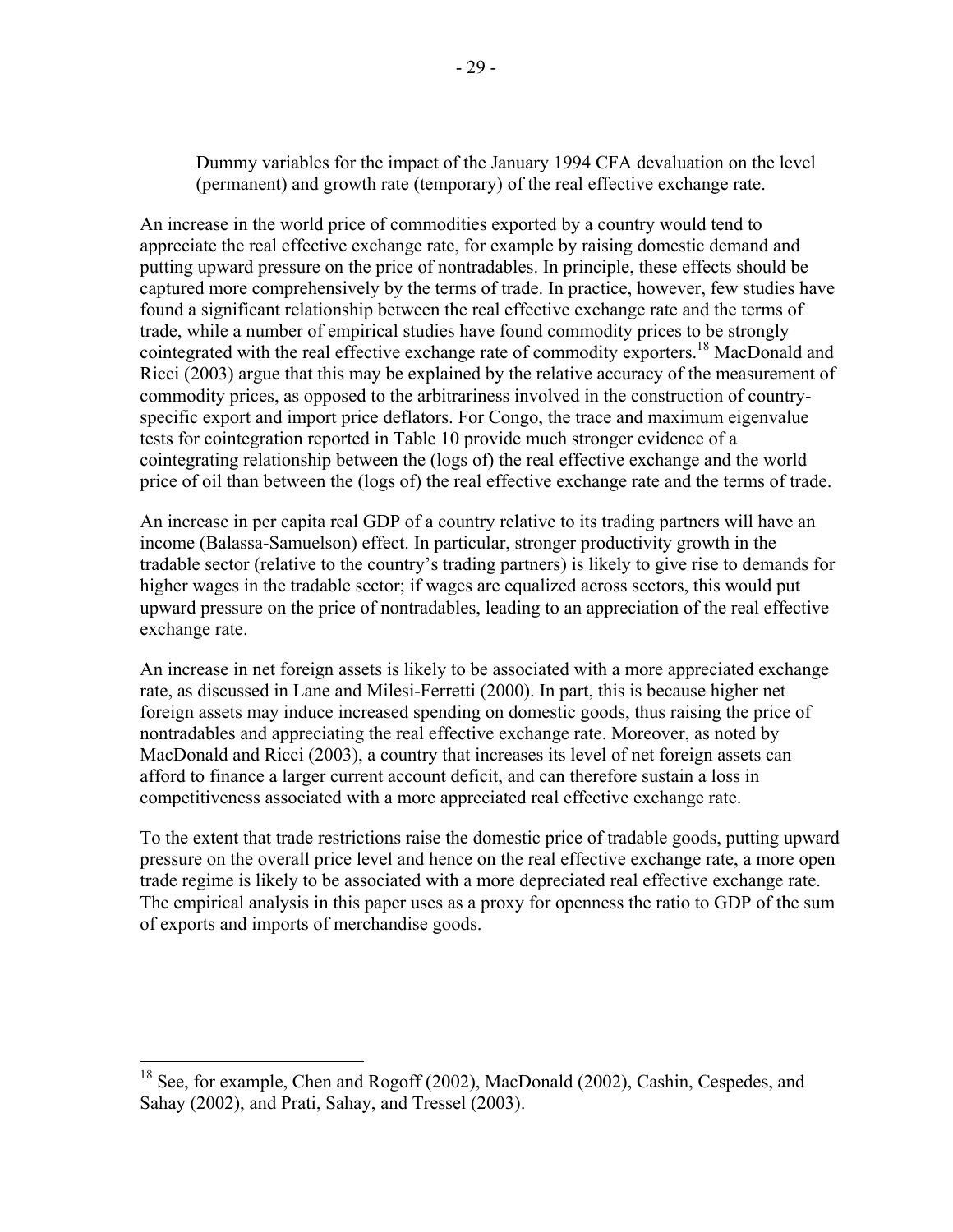Dummy variables for the impact of the January 1994 CFA devaluation on the level (permanent) and growth rate (temporary) of the real effective exchange rate.

An increase in the world price of commodities exported by a country would tend to appreciate the real effective exchange rate, for example by raising domestic demand and putting upward pressure on the price of nontradables. In principle, these effects should be captured more comprehensively by the terms of trade. In practice, however, few studies have found a significant relationship between the real effective exchange rate and the terms of trade, while a number of empirical studies have found commodity prices to be strongly cointegrated with the real effective exchange rate of commodity exporters.<sup>18</sup> MacDonald and Ricci (2003) argue that this may be explained by the relative accuracy of the measurement of commodity prices, as opposed to the arbitrariness involved in the construction of countryspecific export and import price deflators. For Congo, the trace and maximum eigenvalue tests for cointegration reported in Table 10 provide much stronger evidence of a cointegrating relationship between the (logs of) the real effective exchange and the world price of oil than between the (logs of) the real effective exchange rate and the terms of trade.

An increase in per capita real GDP of a country relative to its trading partners will have an income (Balassa-Samuelson) effect. In particular, stronger productivity growth in the tradable sector (relative to the country's trading partners) is likely to give rise to demands for higher wages in the tradable sector; if wages are equalized across sectors, this would put upward pressure on the price of nontradables, leading to an appreciation of the real effective exchange rate.

An increase in net foreign assets is likely to be associated with a more appreciated exchange rate, as discussed in Lane and Milesi-Ferretti (2000). In part, this is because higher net foreign assets may induce increased spending on domestic goods, thus raising the price of nontradables and appreciating the real effective exchange rate. Moreover, as noted by MacDonald and Ricci (2003), a country that increases its level of net foreign assets can afford to finance a larger current account deficit, and can therefore sustain a loss in competitiveness associated with a more appreciated real effective exchange rate.

To the extent that trade restrictions raise the domestic price of tradable goods, putting upward pressure on the overall price level and hence on the real effective exchange rate, a more open trade regime is likely to be associated with a more depreciated real effective exchange rate. The empirical analysis in this paper uses as a proxy for openness the ratio to GDP of the sum of exports and imports of merchandise goods.

 $\overline{a}$ 

<sup>&</sup>lt;sup>18</sup> See, for example, Chen and Rogoff (2002), MacDonald (2002), Cashin, Cespedes, and Sahay (2002), and Prati, Sahay, and Tressel (2003).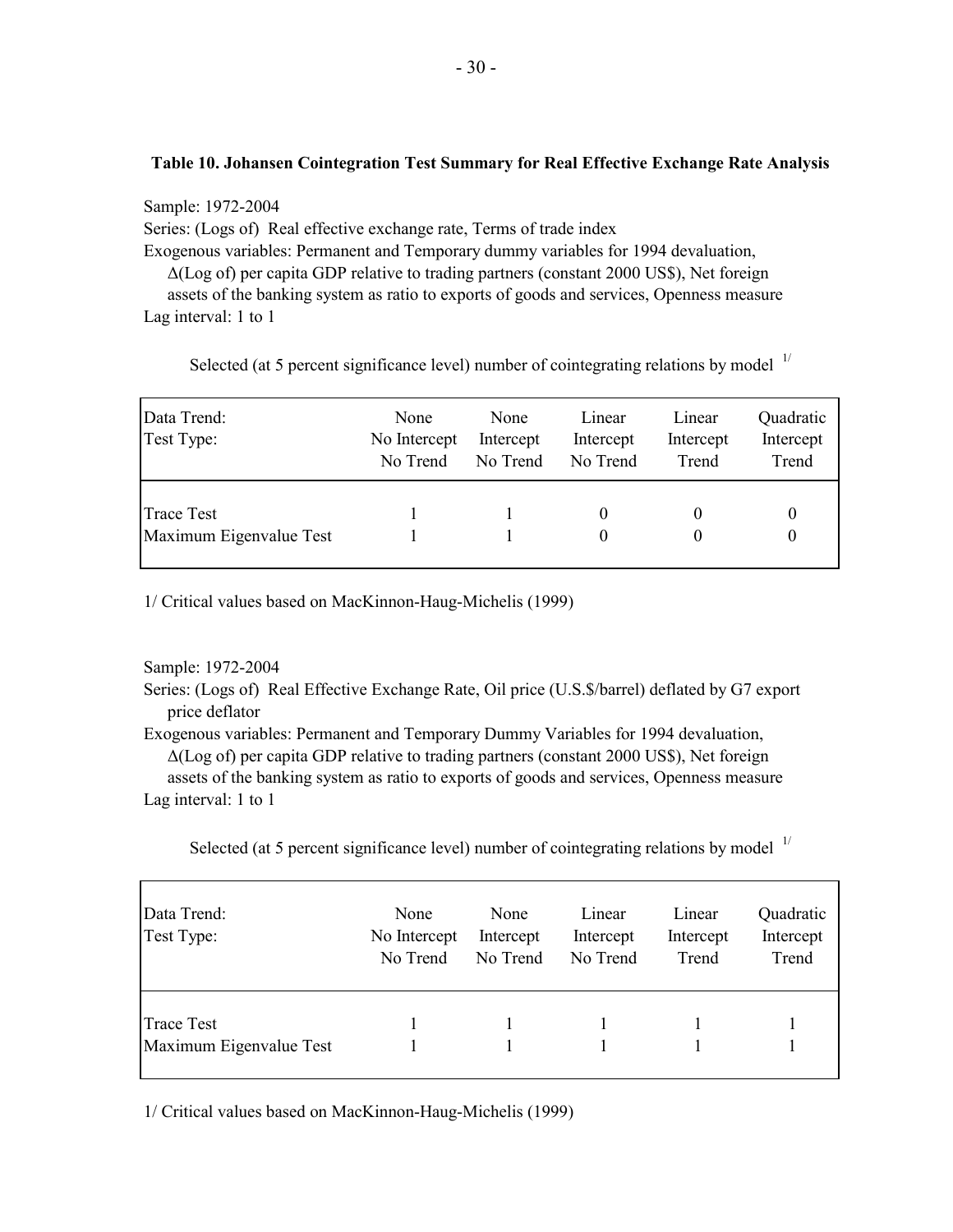#### **Table 10. Johansen Cointegration Test Summary for Real Effective Exchange Rate Analysis**

Sample: 1972-2004 Series: (Logs of) Real effective exchange rate, Terms of trade index Exogenous variables: Permanent and Temporary dummy variables for 1994 devaluation, ∆(Log of) per capita GDP relative to trading partners (constant 2000 US\$), Net foreign assets of the banking system as ratio to exports of goods and services, Openness measure

Lag interval: 1 to 1

Selected (at 5 percent significance level) number of cointegrating relations by model  $1/$ 

| Data Trend:<br>Test Type:                    | None<br>No Intercept<br>No Trend | None<br>Intercept<br>No Trend | Linear<br>Intercept<br>No Trend | Linear<br>Intercept<br>Trend | Quadratic<br>Intercept<br>Trend |  |
|----------------------------------------------|----------------------------------|-------------------------------|---------------------------------|------------------------------|---------------------------------|--|
| <b>Trace Test</b><br>Maximum Eigenvalue Test |                                  |                               |                                 |                              |                                 |  |

1/ Critical values based on MacKinnon-Haug-Michelis (1999)

#### Sample: 1972-2004

Series: (Logs of) Real Effective Exchange Rate, Oil price (U.S.\$/barrel) deflated by G7 export price deflator

Exogenous variables: Permanent and Temporary Dummy Variables for 1994 devaluation, ∆(Log of) per capita GDP relative to trading partners (constant 2000 US\$), Net foreign assets of the banking system as ratio to exports of goods and services, Openness measure

Lag interval: 1 to 1

Selected (at 5 percent significance level) number of cointegrating relations by model  $1/$ 

| Data Trend:<br>Test Type:             | None<br>No Intercept<br>No Trend | None<br>Intercept<br>No Trend | Linear<br>Intercept<br>No Trend | Linear<br>Intercept<br>Trend | Quadratic<br>Intercept<br>Trend |  |
|---------------------------------------|----------------------------------|-------------------------------|---------------------------------|------------------------------|---------------------------------|--|
| Trace Test<br>Maximum Eigenvalue Test |                                  |                               |                                 |                              |                                 |  |

1/ Critical values based on MacKinnon-Haug-Michelis (1999)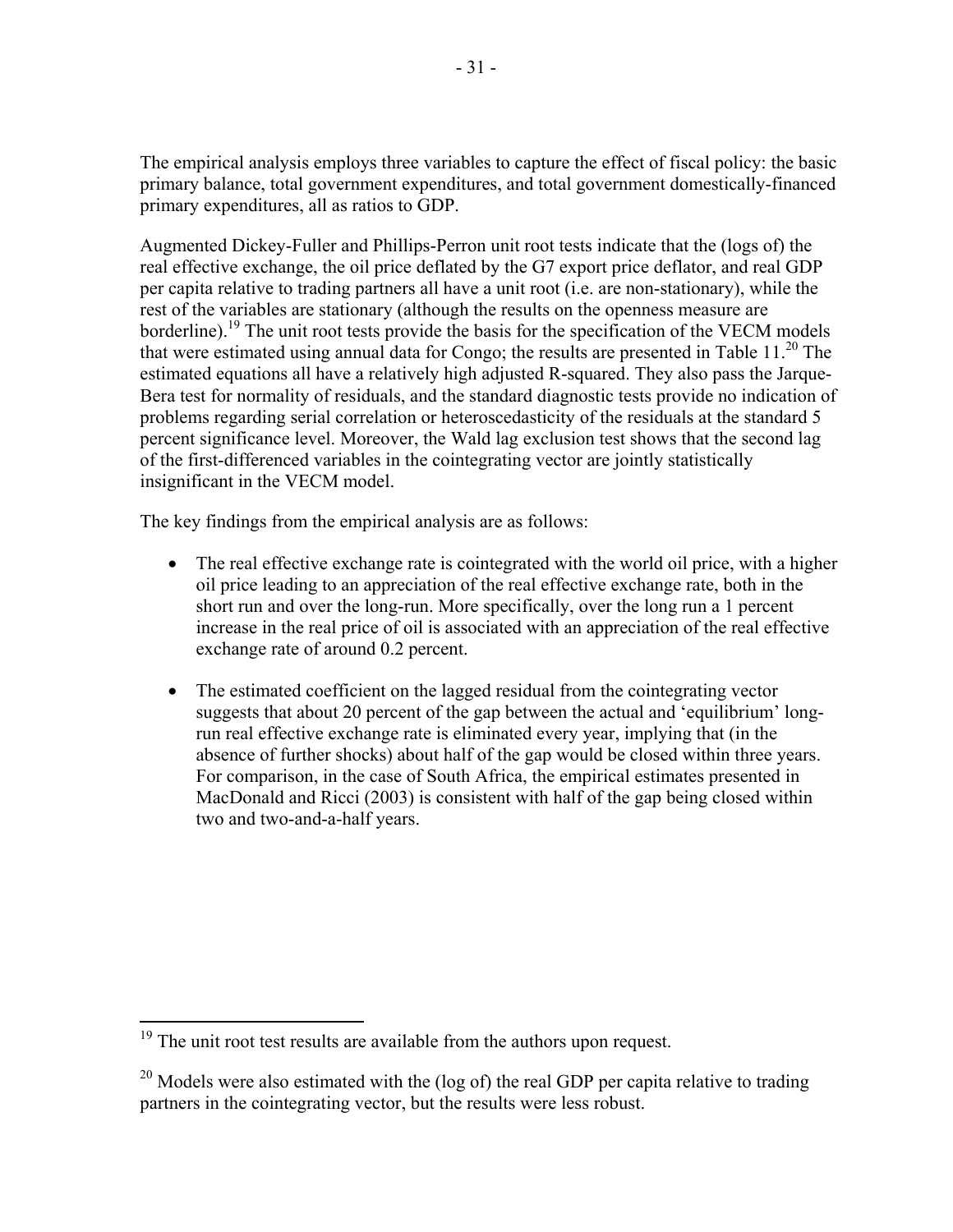The empirical analysis employs three variables to capture the effect of fiscal policy: the basic primary balance, total government expenditures, and total government domestically-financed primary expenditures, all as ratios to GDP.

Augmented Dickey-Fuller and Phillips-Perron unit root tests indicate that the (logs of) the real effective exchange, the oil price deflated by the G7 export price deflator, and real GDP per capita relative to trading partners all have a unit root (i.e. are non-stationary), while the rest of the variables are stationary (although the results on the openness measure are borderline).<sup>19</sup> The unit root tests provide the basis for the specification of the VECM models that were estimated using annual data for Congo; the results are presented in Table  $11<sup>20</sup>$ . The estimated equations all have a relatively high adjusted R-squared. They also pass the Jarque-Bera test for normality of residuals, and the standard diagnostic tests provide no indication of problems regarding serial correlation or heteroscedasticity of the residuals at the standard 5 percent significance level. Moreover, the Wald lag exclusion test shows that the second lag of the first-differenced variables in the cointegrating vector are jointly statistically insignificant in the VECM model.

The key findings from the empirical analysis are as follows:

- The real effective exchange rate is cointegrated with the world oil price, with a higher oil price leading to an appreciation of the real effective exchange rate, both in the short run and over the long-run. More specifically, over the long run a 1 percent increase in the real price of oil is associated with an appreciation of the real effective exchange rate of around 0.2 percent.
- The estimated coefficient on the lagged residual from the cointegrating vector suggests that about 20 percent of the gap between the actual and 'equilibrium' longrun real effective exchange rate is eliminated every year, implying that (in the absence of further shocks) about half of the gap would be closed within three years. For comparison, in the case of South Africa, the empirical estimates presented in MacDonald and Ricci (2003) is consistent with half of the gap being closed within two and two-and-a-half years.

1

 $19$ <sup>19</sup> The unit root test results are available from the authors upon request.

<sup>&</sup>lt;sup>20</sup> Models were also estimated with the (log of) the real GDP per capita relative to trading partners in the cointegrating vector, but the results were less robust.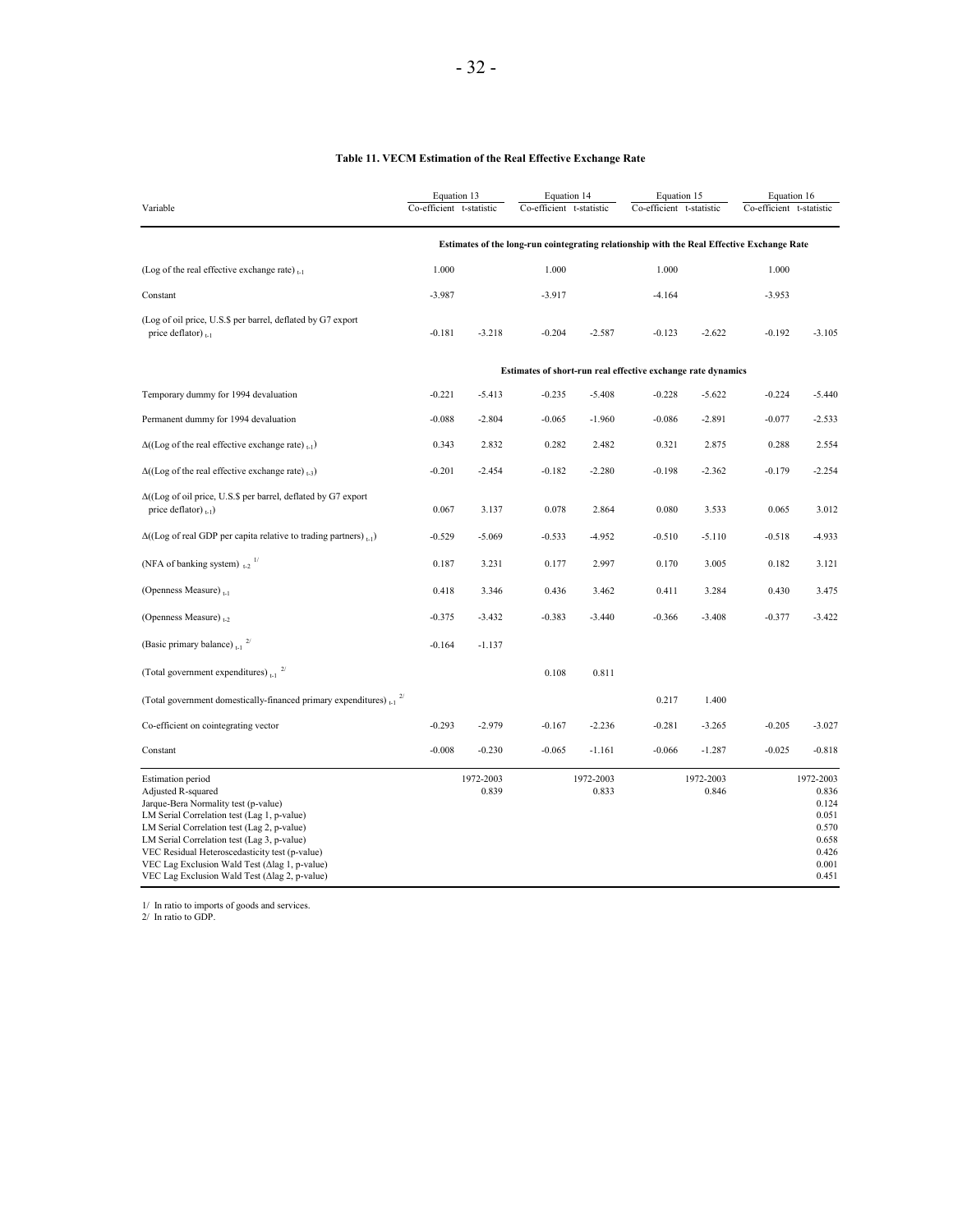#### **Table 11. VECM Estimation of the Real Effective Exchange Rate**

| Variable                                                                                                                                                                                                                                                                                                                                                                                | Equation 13<br>Co-efficient t-statistic                      |                    | Equation 14<br>Co-efficient t-statistic |                    | Equation 15<br>Co-efficient t-statistic |                    | Equation 16<br>Co-efficient t-statistic                                                    |                                                                                   |
|-----------------------------------------------------------------------------------------------------------------------------------------------------------------------------------------------------------------------------------------------------------------------------------------------------------------------------------------------------------------------------------------|--------------------------------------------------------------|--------------------|-----------------------------------------|--------------------|-----------------------------------------|--------------------|--------------------------------------------------------------------------------------------|-----------------------------------------------------------------------------------|
|                                                                                                                                                                                                                                                                                                                                                                                         |                                                              |                    |                                         |                    |                                         |                    | Estimates of the long-run cointegrating relationship with the Real Effective Exchange Rate |                                                                                   |
| (Log of the real effective exchange rate) $_{t-1}$                                                                                                                                                                                                                                                                                                                                      | 1.000                                                        |                    | 1.000                                   |                    | 1.000                                   |                    | 1.000                                                                                      |                                                                                   |
| Constant                                                                                                                                                                                                                                                                                                                                                                                | $-3.987$                                                     |                    | $-3.917$                                |                    | $-4.164$                                |                    | $-3.953$                                                                                   |                                                                                   |
| (Log of oil price, U.S.\$ per barrel, deflated by G7 export<br>price deflator) $_{t-1}$                                                                                                                                                                                                                                                                                                 | $-0.181$                                                     | $-3.218$           | $-0.204$                                | $-2.587$           | $-0.123$                                | $-2.622$           | $-0.192$                                                                                   | $-3.105$                                                                          |
|                                                                                                                                                                                                                                                                                                                                                                                         | Estimates of short-run real effective exchange rate dynamics |                    |                                         |                    |                                         |                    |                                                                                            |                                                                                   |
| Temporary dummy for 1994 devaluation                                                                                                                                                                                                                                                                                                                                                    | $-0.221$                                                     | $-5.413$           | $-0.235$                                | $-5.408$           | $-0.228$                                | $-5.622$           | $-0.224$                                                                                   | $-5.440$                                                                          |
| Permanent dummy for 1994 devaluation                                                                                                                                                                                                                                                                                                                                                    | $-0.088$                                                     | $-2.804$           | $-0.065$                                | $-1.960$           | $-0.086$                                | $-2.891$           | $-0.077$                                                                                   | $-2.533$                                                                          |
| $\Delta((\text{Log of the real effective exchange rate})_{t=1})$                                                                                                                                                                                                                                                                                                                        | 0.343                                                        | 2.832              | 0.282                                   | 2.482              | 0.321                                   | 2.875              | 0.288                                                                                      | 2.554                                                                             |
| $\Delta((\text{Log of the real effective exchange rate})_{t=3})$                                                                                                                                                                                                                                                                                                                        | $-0.201$                                                     | $-2.454$           | $-0.182$                                | $-2.280$           | $-0.198$                                | $-2.362$           | $-0.179$                                                                                   | $-2.254$                                                                          |
| $\Delta$ ((Log of oil price, U.S.\$ per barrel, deflated by G7 export<br>price deflator) $_{1-1}$ )                                                                                                                                                                                                                                                                                     | 0.067                                                        | 3.137              | 0.078                                   | 2.864              | 0.080                                   | 3.533              | 0.065                                                                                      | 3.012                                                                             |
| $\Delta$ ((Log of real GDP per capita relative to trading partners), $\epsilon$ <sub>1</sub> )                                                                                                                                                                                                                                                                                          | $-0.529$                                                     | $-5.069$           | $-0.533$                                | $-4.952$           | $-0.510$                                | $-5.110$           | $-0.518$                                                                                   | $-4.933$                                                                          |
| (NFA of banking system) $_{12}$ <sup>1/</sup>                                                                                                                                                                                                                                                                                                                                           | 0.187                                                        | 3.231              | 0.177                                   | 2.997              | 0.170                                   | 3.005              | 0.182                                                                                      | 3.121                                                                             |
| (Openness Measure) $_{t-1}$                                                                                                                                                                                                                                                                                                                                                             | 0.418                                                        | 3.346              | 0.436                                   | 3.462              | 0.411                                   | 3.284              | 0.430                                                                                      | 3.475                                                                             |
| (Openness Measure) <sub>1-2</sub>                                                                                                                                                                                                                                                                                                                                                       | $-0.375$                                                     | $-3.432$           | $-0.383$                                | $-3.440$           | $-0.366$                                | $-3.408$           | $-0.377$                                                                                   | $-3.422$                                                                          |
| (Basic primary balance) $_{t-1}$ <sup>2/</sup>                                                                                                                                                                                                                                                                                                                                          | $-0.164$                                                     | $-1.137$           |                                         |                    |                                         |                    |                                                                                            |                                                                                   |
| (Total government expenditures) $_{1.1}$ <sup>2/</sup>                                                                                                                                                                                                                                                                                                                                  |                                                              |                    | 0.108                                   | 0.811              |                                         |                    |                                                                                            |                                                                                   |
| (Total government domestically-financed primary expenditures) $_{t=1}^{27}$                                                                                                                                                                                                                                                                                                             |                                                              |                    |                                         |                    | 0.217                                   | 1.400              |                                                                                            |                                                                                   |
| Co-efficient on cointegrating vector                                                                                                                                                                                                                                                                                                                                                    | $-0.293$                                                     | $-2.979$           | $-0.167$                                | $-2.236$           | $-0.281$                                | $-3.265$           | $-0.205$                                                                                   | $-3.027$                                                                          |
| Constant                                                                                                                                                                                                                                                                                                                                                                                | $-0.008$                                                     | $-0.230$           | $-0.065$                                | $-1.161$           | $-0.066$                                | $-1.287$           | $-0.025$                                                                                   | $-0.818$                                                                          |
| <b>Estimation</b> period<br>Adjusted R-squared<br>Jarque-Bera Normality test (p-value)<br>LM Serial Correlation test (Lag 1, p-value)<br>LM Serial Correlation test (Lag 2, p-value)<br>LM Serial Correlation test (Lag 3, p-value)<br>VEC Residual Heteroscedasticity test (p-value)<br>VEC Lag Exclusion Wald Test (Δlag 1, p-value)<br>VEC Lag Exclusion Wald Test (Δlag 2, p-value) |                                                              | 1972-2003<br>0.839 |                                         | 1972-2003<br>0.833 |                                         | 1972-2003<br>0.846 |                                                                                            | 1972-2003<br>0.836<br>0.124<br>0.051<br>0.570<br>0.658<br>0.426<br>0.001<br>0.451 |

1/ In ratio to imports of goods and services. 2/ In ratio to GDP.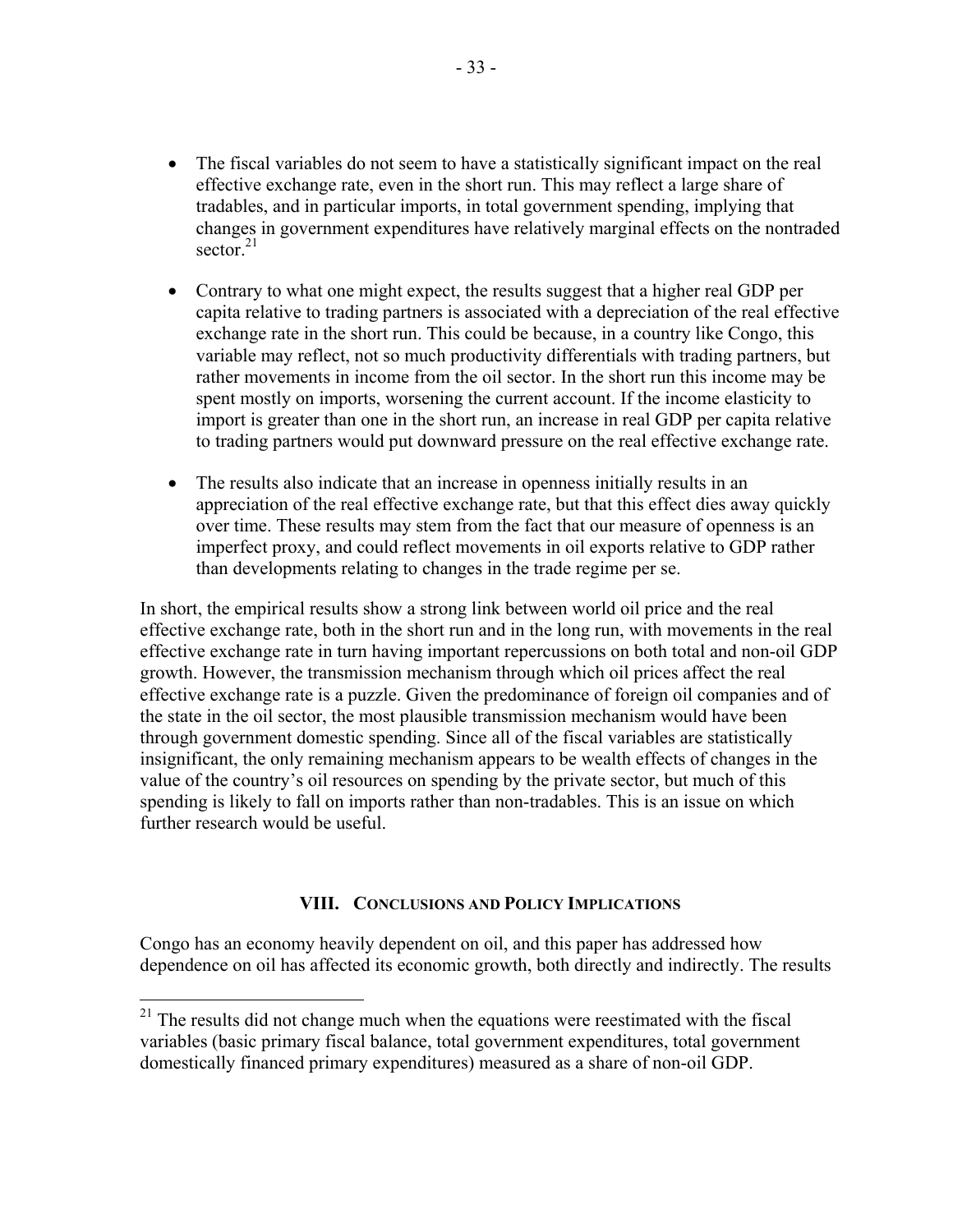- The fiscal variables do not seem to have a statistically significant impact on the real effective exchange rate, even in the short run. This may reflect a large share of tradables, and in particular imports, in total government spending, implying that changes in government expenditures have relatively marginal effects on the nontraded sector. $21$
- Contrary to what one might expect, the results suggest that a higher real GDP per capita relative to trading partners is associated with a depreciation of the real effective exchange rate in the short run. This could be because, in a country like Congo, this variable may reflect, not so much productivity differentials with trading partners, but rather movements in income from the oil sector. In the short run this income may be spent mostly on imports, worsening the current account. If the income elasticity to import is greater than one in the short run, an increase in real GDP per capita relative to trading partners would put downward pressure on the real effective exchange rate.
- The results also indicate that an increase in openness initially results in an appreciation of the real effective exchange rate, but that this effect dies away quickly over time. These results may stem from the fact that our measure of openness is an imperfect proxy, and could reflect movements in oil exports relative to GDP rather than developments relating to changes in the trade regime per se.

In short, the empirical results show a strong link between world oil price and the real effective exchange rate, both in the short run and in the long run, with movements in the real effective exchange rate in turn having important repercussions on both total and non-oil GDP growth. However, the transmission mechanism through which oil prices affect the real effective exchange rate is a puzzle. Given the predominance of foreign oil companies and of the state in the oil sector, the most plausible transmission mechanism would have been through government domestic spending. Since all of the fiscal variables are statistically insignificant, the only remaining mechanism appears to be wealth effects of changes in the value of the country's oil resources on spending by the private sector, but much of this spending is likely to fall on imports rather than non-tradables. This is an issue on which further research would be useful.

## **VIII. CONCLUSIONS AND POLICY IMPLICATIONS**

Congo has an economy heavily dependent on oil, and this paper has addressed how dependence on oil has affected its economic growth, both directly and indirectly. The results

 $\overline{a}$ 

 $21$  The results did not change much when the equations were reestimated with the fiscal variables (basic primary fiscal balance, total government expenditures, total government domestically financed primary expenditures) measured as a share of non-oil GDP.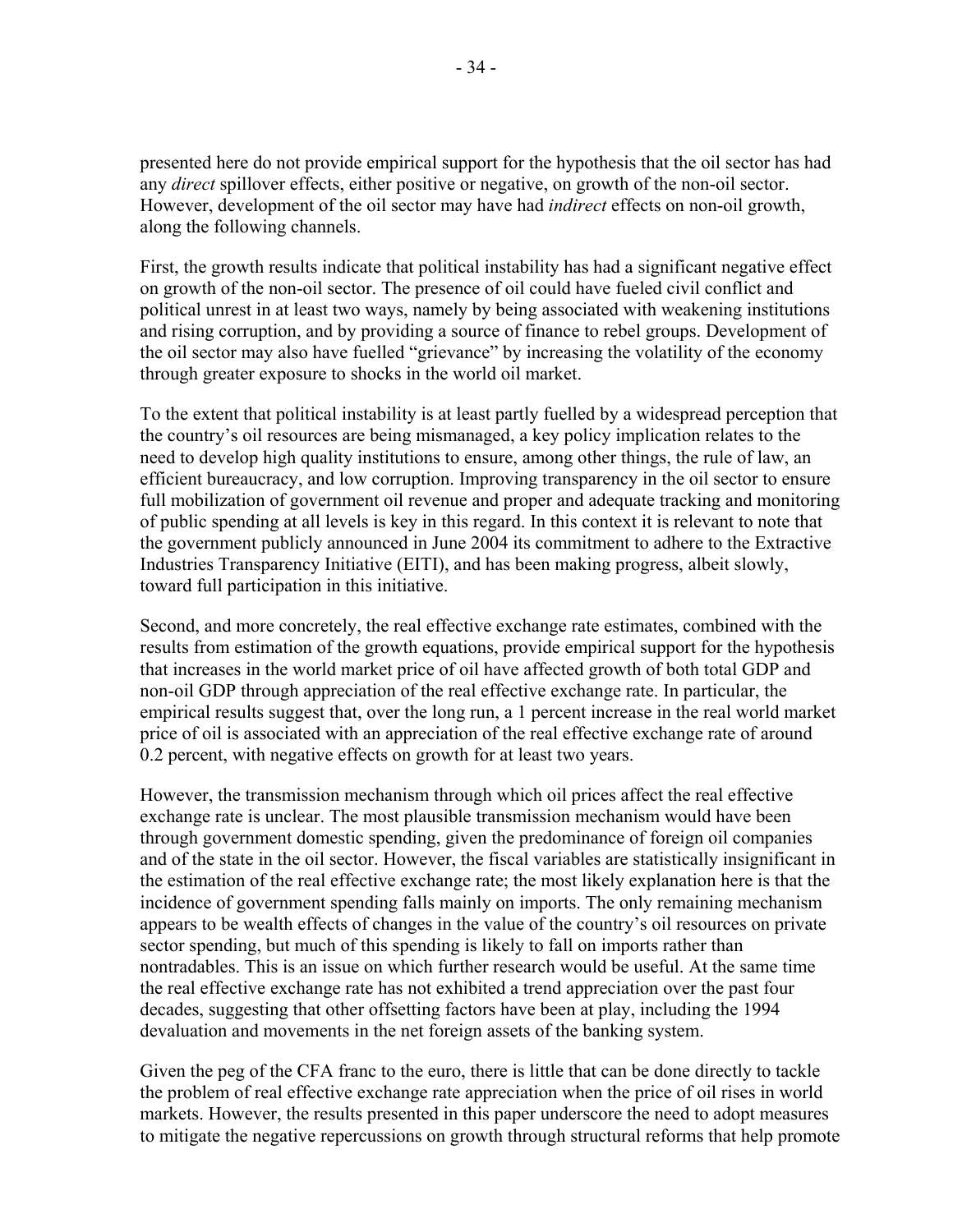presented here do not provide empirical support for the hypothesis that the oil sector has had any *direct* spillover effects, either positive or negative, on growth of the non-oil sector. However, development of the oil sector may have had *indirect* effects on non-oil growth, along the following channels.

First, the growth results indicate that political instability has had a significant negative effect on growth of the non-oil sector. The presence of oil could have fueled civil conflict and political unrest in at least two ways, namely by being associated with weakening institutions and rising corruption, and by providing a source of finance to rebel groups. Development of the oil sector may also have fuelled "grievance" by increasing the volatility of the economy through greater exposure to shocks in the world oil market.

To the extent that political instability is at least partly fuelled by a widespread perception that the country's oil resources are being mismanaged, a key policy implication relates to the need to develop high quality institutions to ensure, among other things, the rule of law, an efficient bureaucracy, and low corruption. Improving transparency in the oil sector to ensure full mobilization of government oil revenue and proper and adequate tracking and monitoring of public spending at all levels is key in this regard. In this context it is relevant to note that the government publicly announced in June 2004 its commitment to adhere to the Extractive Industries Transparency Initiative (EITI), and has been making progress, albeit slowly, toward full participation in this initiative.

Second, and more concretely, the real effective exchange rate estimates, combined with the results from estimation of the growth equations, provide empirical support for the hypothesis that increases in the world market price of oil have affected growth of both total GDP and non-oil GDP through appreciation of the real effective exchange rate. In particular, the empirical results suggest that, over the long run, a 1 percent increase in the real world market price of oil is associated with an appreciation of the real effective exchange rate of around 0.2 percent, with negative effects on growth for at least two years.

However, the transmission mechanism through which oil prices affect the real effective exchange rate is unclear. The most plausible transmission mechanism would have been through government domestic spending, given the predominance of foreign oil companies and of the state in the oil sector. However, the fiscal variables are statistically insignificant in the estimation of the real effective exchange rate; the most likely explanation here is that the incidence of government spending falls mainly on imports. The only remaining mechanism appears to be wealth effects of changes in the value of the country's oil resources on private sector spending, but much of this spending is likely to fall on imports rather than nontradables. This is an issue on which further research would be useful. At the same time the real effective exchange rate has not exhibited a trend appreciation over the past four decades, suggesting that other offsetting factors have been at play, including the 1994 devaluation and movements in the net foreign assets of the banking system.

Given the peg of the CFA franc to the euro, there is little that can be done directly to tackle the problem of real effective exchange rate appreciation when the price of oil rises in world markets. However, the results presented in this paper underscore the need to adopt measures to mitigate the negative repercussions on growth through structural reforms that help promote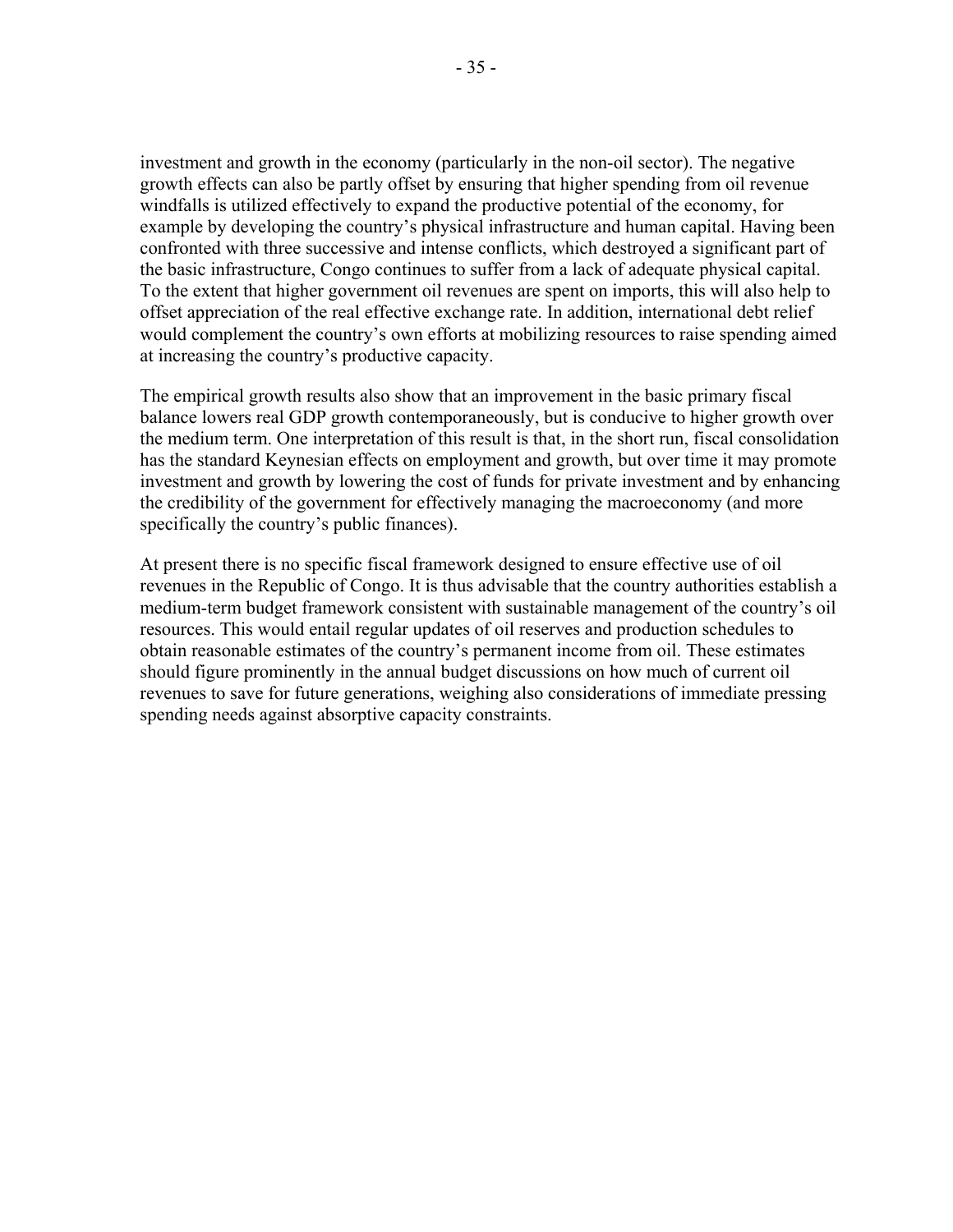investment and growth in the economy (particularly in the non-oil sector). The negative growth effects can also be partly offset by ensuring that higher spending from oil revenue windfalls is utilized effectively to expand the productive potential of the economy, for example by developing the country's physical infrastructure and human capital. Having been confronted with three successive and intense conflicts, which destroyed a significant part of the basic infrastructure, Congo continues to suffer from a lack of adequate physical capital. To the extent that higher government oil revenues are spent on imports, this will also help to offset appreciation of the real effective exchange rate. In addition, international debt relief would complement the country's own efforts at mobilizing resources to raise spending aimed at increasing the country's productive capacity.

The empirical growth results also show that an improvement in the basic primary fiscal balance lowers real GDP growth contemporaneously, but is conducive to higher growth over the medium term. One interpretation of this result is that, in the short run, fiscal consolidation has the standard Keynesian effects on employment and growth, but over time it may promote investment and growth by lowering the cost of funds for private investment and by enhancing the credibility of the government for effectively managing the macroeconomy (and more specifically the country's public finances).

At present there is no specific fiscal framework designed to ensure effective use of oil revenues in the Republic of Congo. It is thus advisable that the country authorities establish a medium-term budget framework consistent with sustainable management of the country's oil resources. This would entail regular updates of oil reserves and production schedules to obtain reasonable estimates of the country's permanent income from oil. These estimates should figure prominently in the annual budget discussions on how much of current oil revenues to save for future generations, weighing also considerations of immediate pressing spending needs against absorptive capacity constraints.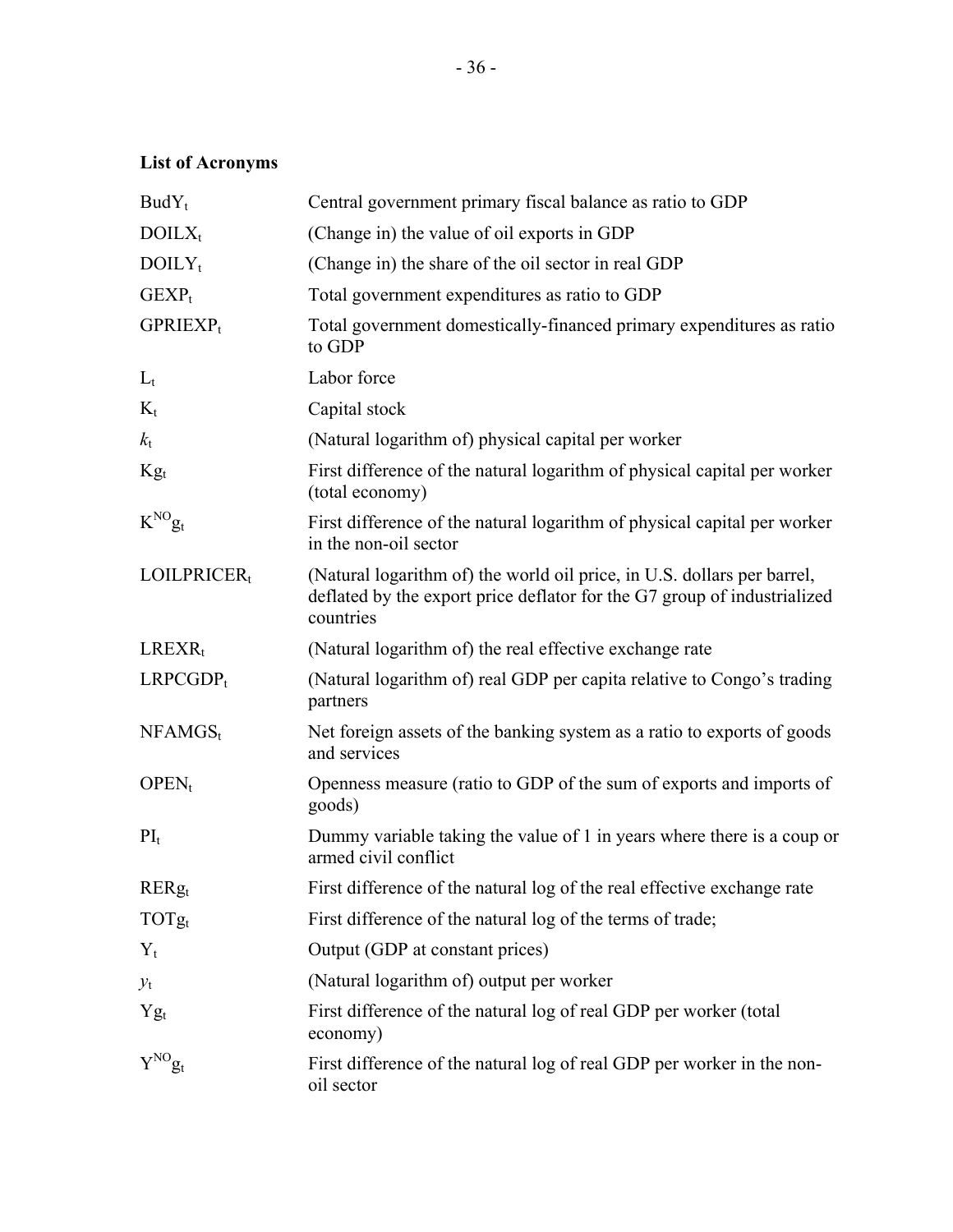# **List of Acronyms**

| $BudY_t$                | Central government primary fiscal balance as ratio to GDP                                                                                                        |
|-------------------------|------------------------------------------------------------------------------------------------------------------------------------------------------------------|
| $DOLX_t$                | (Change in) the value of oil exports in GDP                                                                                                                      |
| $DOLY_t$                | (Change in) the share of the oil sector in real GDP                                                                                                              |
| $GEXP_t$                | Total government expenditures as ratio to GDP                                                                                                                    |
| $GPRIEXP_t$             | Total government domestically-financed primary expenditures as ratio<br>to GDP                                                                                   |
| $L_t$                   | Labor force                                                                                                                                                      |
| $K_t$                   | Capital stock                                                                                                                                                    |
| $k_{\rm t}$             | (Natural logarithm of) physical capital per worker                                                                                                               |
| $\mathrm{Kg}_t$         | First difference of the natural logarithm of physical capital per worker<br>(total economy)                                                                      |
| $K^{NO}$ g <sub>t</sub> | First difference of the natural logarithm of physical capital per worker<br>in the non-oil sector                                                                |
| $LOILPRICER_t$          | (Natural logarithm of) the world oil price, in U.S. dollars per barrel,<br>deflated by the export price deflator for the G7 group of industrialized<br>countries |
| $LREXR_t$               | (Natural logarithm of) the real effective exchange rate                                                                                                          |
| $LRPCGDP_t$             | (Natural logarithm of) real GDP per capita relative to Congo's trading<br>partners                                                                               |
| $NFAMGS_t$              | Net foreign assets of the banking system as a ratio to exports of goods<br>and services                                                                          |
| $OPEN_t$                | Openness measure (ratio to GDP of the sum of exports and imports of<br>goods)                                                                                    |
| $PI_t$                  | Dummy variable taking the value of 1 in years where there is a coup or<br>armed civil conflict                                                                   |
| $RERg_t$                | First difference of the natural log of the real effective exchange rate                                                                                          |
| $TOTg_t$                | First difference of the natural log of the terms of trade;                                                                                                       |
| $Y_t$                   | Output (GDP at constant prices)                                                                                                                                  |
| $y_{t}$                 | (Natural logarithm of) output per worker                                                                                                                         |
| $Yg_t$                  | First difference of the natural log of real GDP per worker (total<br>economy)                                                                                    |
| $Y^{\rm NO} g_t$        | First difference of the natural log of real GDP per worker in the non-<br>oil sector                                                                             |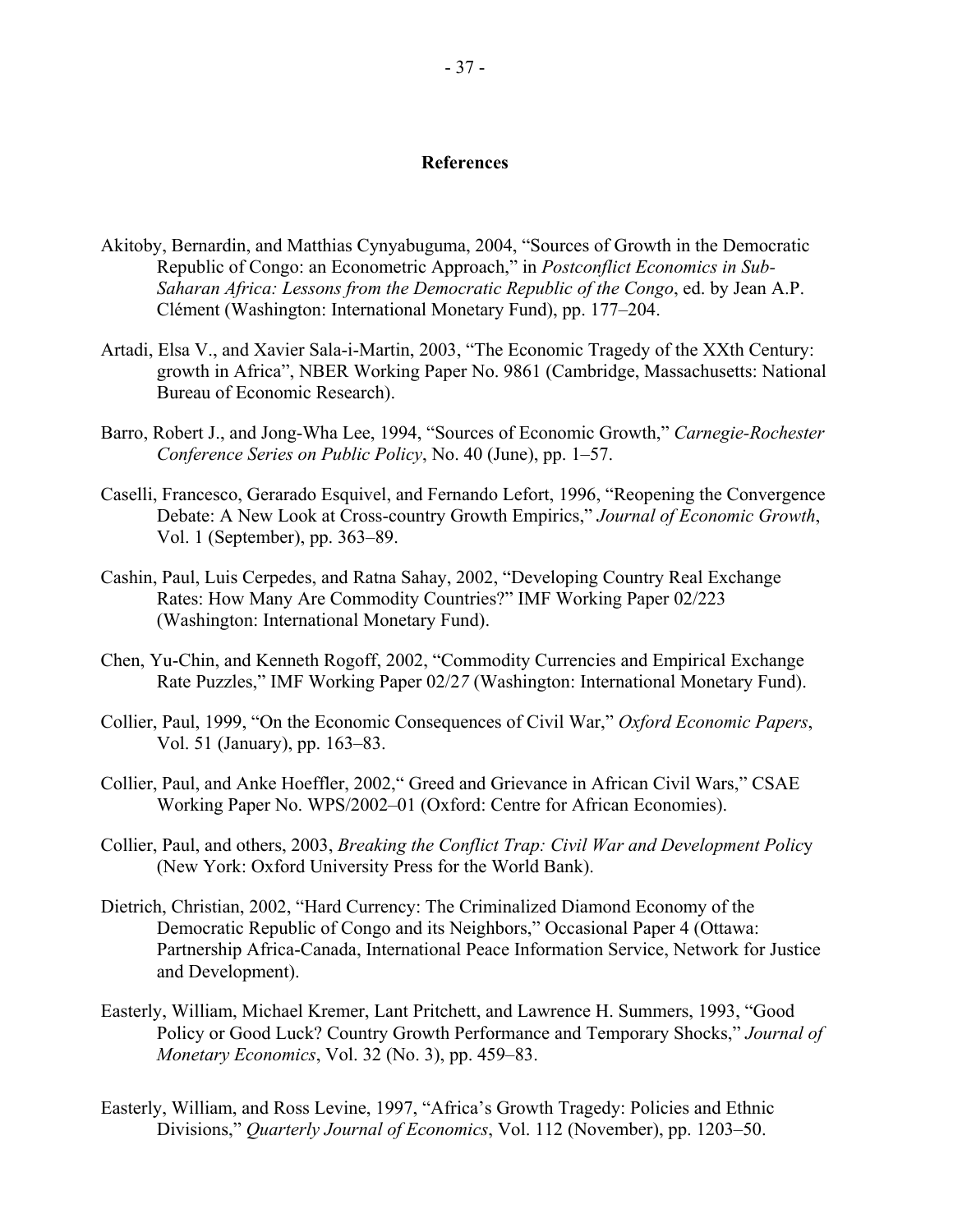#### **References**

- Akitoby, Bernardin, and Matthias Cynyabuguma, 2004, "Sources of Growth in the Democratic Republic of Congo: an Econometric Approach," in *Postconflict Economics in Sub-Saharan Africa: Lessons from the Democratic Republic of the Congo*, ed. by Jean A.P. Clément (Washington: International Monetary Fund), pp. 177–204.
- Artadi, Elsa V., and Xavier Sala-i-Martin, 2003, "The Economic Tragedy of the XXth Century: growth in Africa", NBER Working Paper No. 9861 (Cambridge, Massachusetts: National Bureau of Economic Research).
- Barro, Robert J., and Jong-Wha Lee, 1994, "Sources of Economic Growth," *Carnegie-Rochester Conference Series on Public Policy*, No. 40 (June), pp. 1–57.
- Caselli, Francesco, Gerarado Esquivel, and Fernando Lefort, 1996, "Reopening the Convergence Debate: A New Look at Cross-country Growth Empirics," *Journal of Economic Growth*, Vol. 1 (September), pp. 363–89.
- Cashin, Paul, Luis Cerpedes, and Ratna Sahay, 2002, "Developing Country Real Exchange Rates: How Many Are Commodity Countries?" IMF Working Paper 02/223 (Washington: International Monetary Fund).
- Chen, Yu-Chin, and Kenneth Rogoff, 2002, "Commodity Currencies and Empirical Exchange Rate Puzzles," IMF Working Paper 02/2*7* (Washington: International Monetary Fund).
- Collier, Paul, 1999, "On the Economic Consequences of Civil War," *Oxford Economic Papers*, Vol. 51 (January), pp. 163–83.
- Collier, Paul, and Anke Hoeffler, 2002," Greed and Grievance in African Civil Wars," CSAE Working Paper No. WPS/2002–01 (Oxford: Centre for African Economies).
- Collier, Paul, and others, 2003, *Breaking the Conflict Trap: Civil War and Development Polic*y (New York: Oxford University Press for the World Bank).
- Dietrich, Christian, 2002, "Hard Currency: The Criminalized Diamond Economy of the Democratic Republic of Congo and its Neighbors," Occasional Paper 4 (Ottawa: Partnership Africa-Canada, International Peace Information Service, Network for Justice and Development).
- Easterly, William, Michael Kremer, Lant Pritchett, and Lawrence H. Summers, 1993, "Good Policy or Good Luck? Country Growth Performance and Temporary Shocks," *Journal of Monetary Economics*, Vol. 32 (No. 3), pp. 459–83.
- Easterly, William, and Ross Levine, 1997, "Africa's Growth Tragedy: Policies and Ethnic Divisions," *Quarterly Journal of Economics*, Vol. 112 (November), pp. 1203–50.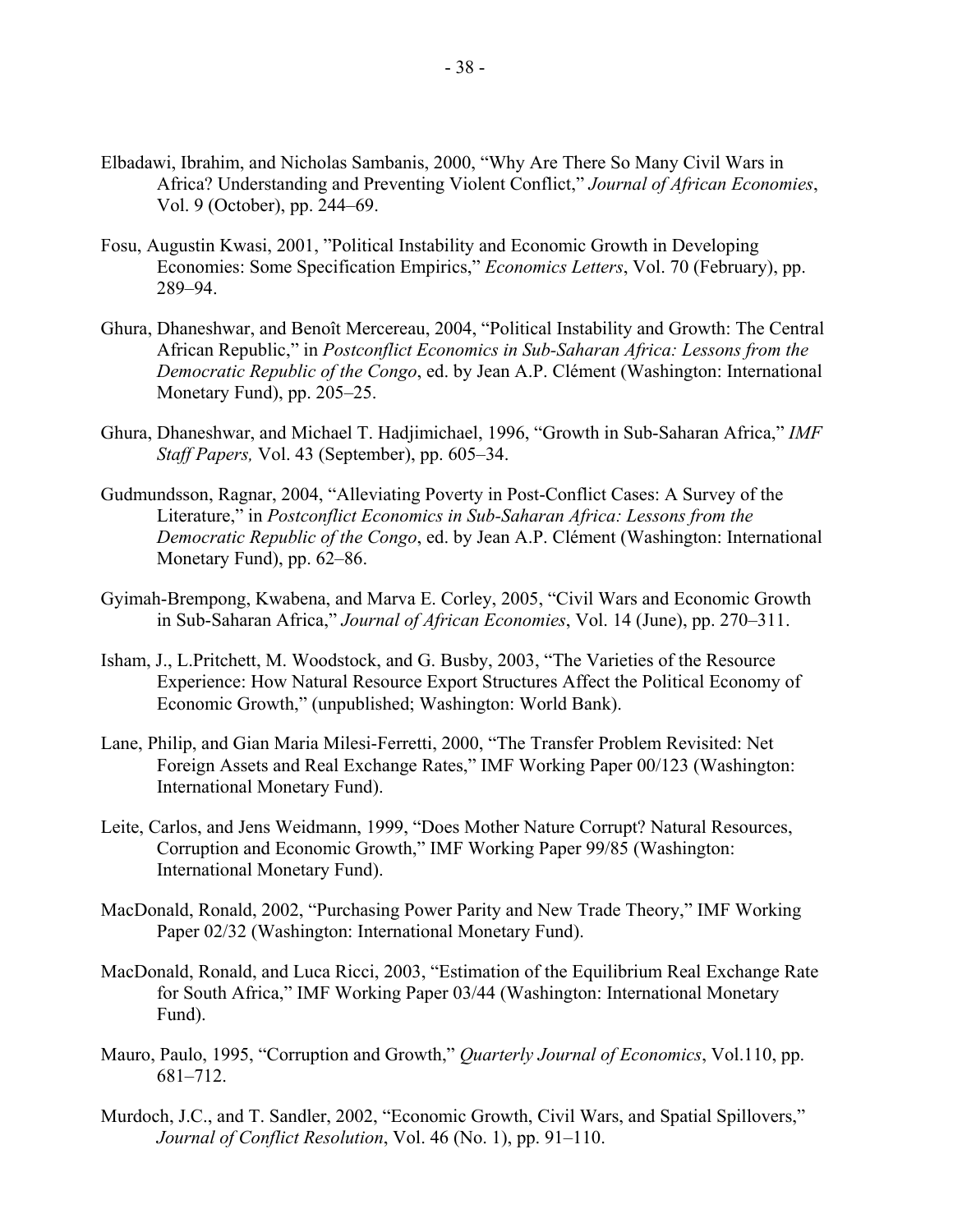- Elbadawi, Ibrahim, and Nicholas Sambanis, 2000, "Why Are There So Many Civil Wars in Africa? Understanding and Preventing Violent Conflict," *Journal of African Economies*, Vol. 9 (October), pp. 244–69.
- Fosu, Augustin Kwasi, 2001, "Political Instability and Economic Growth in Developing Economies: Some Specification Empirics," *Economics Letters*, Vol. 70 (February), pp. 289–94.
- Ghura, Dhaneshwar, and Benoît Mercereau, 2004, "Political Instability and Growth: The Central African Republic," in *Postconflict Economics in Sub-Saharan Africa: Lessons from the Democratic Republic of the Congo*, ed. by Jean A.P. Clément (Washington: International Monetary Fund), pp. 205–25.
- Ghura, Dhaneshwar, and Michael T. Hadjimichael, 1996, "Growth in Sub-Saharan Africa," *IMF Staff Papers,* Vol. 43 (September), pp. 605–34.
- Gudmundsson, Ragnar, 2004, "Alleviating Poverty in Post-Conflict Cases: A Survey of the Literature," in *Postconflict Economics in Sub-Saharan Africa: Lessons from the Democratic Republic of the Congo*, ed. by Jean A.P. Clément (Washington: International Monetary Fund), pp. 62–86.
- Gyimah-Brempong, Kwabena, and Marva E. Corley, 2005, "Civil Wars and Economic Growth in Sub-Saharan Africa," *Journal of African Economies*, Vol. 14 (June), pp. 270–311.
- Isham, J., L.Pritchett, M. Woodstock, and G. Busby, 2003, "The Varieties of the Resource Experience: How Natural Resource Export Structures Affect the Political Economy of Economic Growth," (unpublished; Washington: World Bank).
- Lane, Philip, and Gian Maria Milesi-Ferretti, 2000, "The Transfer Problem Revisited: Net Foreign Assets and Real Exchange Rates," IMF Working Paper 00/123 (Washington: International Monetary Fund).
- Leite, Carlos, and Jens Weidmann, 1999, "Does Mother Nature Corrupt? Natural Resources, Corruption and Economic Growth," IMF Working Paper 99/85 (Washington: International Monetary Fund).
- MacDonald, Ronald, 2002, "Purchasing Power Parity and New Trade Theory," IMF Working Paper 02/32 (Washington: International Monetary Fund).
- MacDonald, Ronald, and Luca Ricci, 2003, "Estimation of the Equilibrium Real Exchange Rate for South Africa," IMF Working Paper 03/44 (Washington: International Monetary Fund).
- Mauro, Paulo, 1995, "Corruption and Growth," *Quarterly Journal of Economics*, Vol.110, pp. 681–712.
- Murdoch, J.C., and T. Sandler, 2002, "Economic Growth, Civil Wars, and Spatial Spillovers," *Journal of Conflict Resolution*, Vol. 46 (No. 1), pp. 91–110.